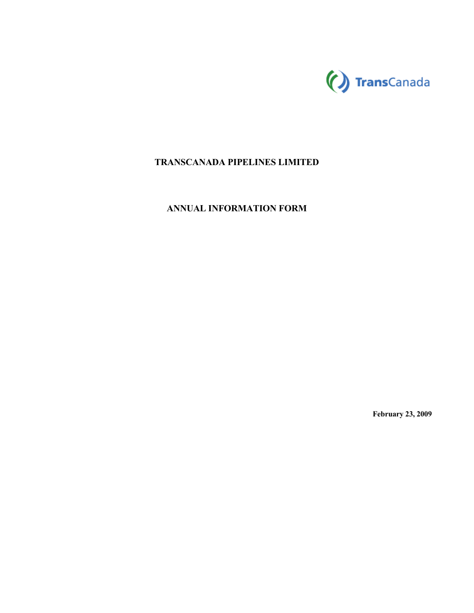

# **TRANSCANADA PIPELINES LIMITED**

# **ANNUAL INFORMATION FORM**

**February 23, 2009**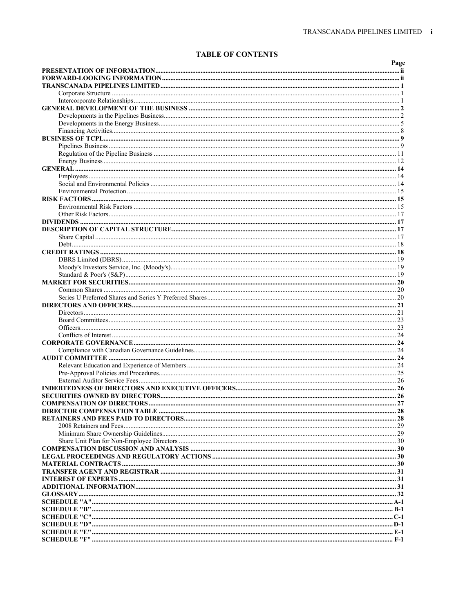# **TABLE OF CONTENTS**

|                                   | Page |
|-----------------------------------|------|
|                                   |      |
|                                   |      |
|                                   |      |
|                                   |      |
|                                   |      |
|                                   |      |
|                                   |      |
|                                   |      |
|                                   |      |
|                                   |      |
|                                   |      |
|                                   |      |
|                                   |      |
|                                   |      |
|                                   |      |
|                                   |      |
|                                   |      |
|                                   |      |
|                                   |      |
|                                   |      |
|                                   |      |
|                                   |      |
|                                   |      |
|                                   |      |
|                                   |      |
|                                   |      |
|                                   |      |
|                                   |      |
|                                   |      |
|                                   |      |
|                                   |      |
|                                   |      |
|                                   |      |
|                                   |      |
|                                   |      |
|                                   |      |
|                                   |      |
|                                   |      |
|                                   |      |
|                                   |      |
|                                   |      |
|                                   |      |
| <b>COMPENSATION OF DIRECTORS.</b> | 27   |
|                                   |      |
|                                   |      |
|                                   |      |
|                                   |      |
|                                   |      |
|                                   |      |
|                                   |      |
|                                   |      |
|                                   |      |
|                                   |      |
|                                   |      |
|                                   |      |
|                                   |      |
|                                   |      |
|                                   |      |
|                                   |      |
|                                   |      |
|                                   |      |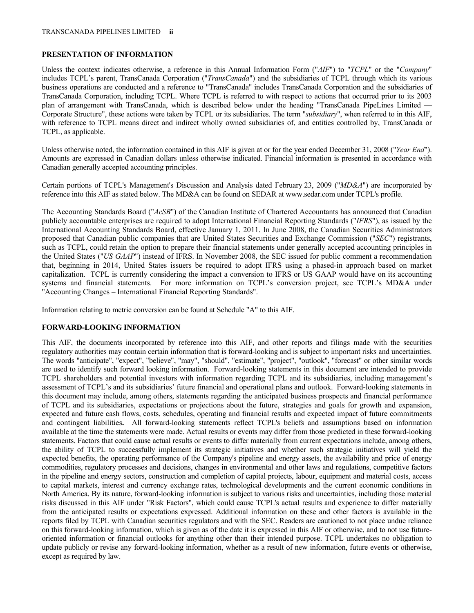# **PRESENTATION OF INFORMATION**

Unless the context indicates otherwise, a reference in this Annual Information Form ("*AIF*") to "*TCPL*" or the "*Company*" includes TCPL's parent, TransCanada Corporation ("*TransCanada*") and the subsidiaries of TCPL through which its various business operations are conducted and a reference to "TransCanada" includes TransCanada Corporation and the subsidiaries of TransCanada Corporation, including TCPL. Where TCPL is referred to with respect to actions that occurred prior to its 2003 plan of arrangement with TransCanada, which is described below under the heading "TransCanada PipeLines Limited — Corporate Structure", these actions were taken by TCPL or its subsidiaries. The term "*subsidiary*", when referred to in this AIF, with reference to TCPL means direct and indirect wholly owned subsidiaries of, and entities controlled by, TransCanada or TCPL, as applicable.

Unless otherwise noted, the information contained in this AIF is given at or for the year ended December 31, 2008 ("*Year End*"). Amounts are expressed in Canadian dollars unless otherwise indicated. Financial information is presented in accordance with Canadian generally accepted accounting principles.

Certain portions of TCPL's Management's Discussion and Analysis dated February 23, 2009 ("*MD&A*") are incorporated by reference into this AIF as stated below. The MD&A can be found on SEDAR at www.sedar.com under TCPL's profile.

The Accounting Standards Board ("*AcSB*") of the Canadian Institute of Chartered Accountants has announced that Canadian publicly accountable enterprises are required to adopt International Financial Reporting Standards ("*IFRS*"), as issued by the International Accounting Standards Board, effective January 1, 2011. In June 2008, the Canadian Securities Administrators proposed that Canadian public companies that are United States Securities and Exchange Commission ("*SEC*") registrants, such as TCPL, could retain the option to prepare their financial statements under generally accepted accounting principles in the United States ("*US GAAP*") instead of IFRS. In November 2008, the SEC issued for public comment a recommendation that, beginning in 2014, United States issuers be required to adopt IFRS using a phased-in approach based on market capitalization. TCPL is currently considering the impact a conversion to IFRS or US GAAP would have on its accounting systems and financial statements. For more information on TCPL's conversion project, see TCPL's MD&A under "Accounting Changes – International Financial Reporting Standards".

Information relating to metric conversion can be found at Schedule "A" to this AIF.

### **FORWARD-LOOKING INFORMATION**

This AIF, the documents incorporated by reference into this AIF, and other reports and filings made with the securities regulatory authorities may contain certain information that is forward-looking and is subject to important risks and uncertainties. The words "anticipate", "expect", "believe", "may", "should", "estimate", "project", "outlook", "forecast" or other similar words are used to identify such forward looking information. Forward-looking statements in this document are intended to provide TCPL shareholders and potential investors with information regarding TCPL and its subsidiaries, including management's assessment of TCPL's and its subsidiaries' future financial and operational plans and outlook. Forward-looking statements in this document may include, among others, statements regarding the anticipated business prospects and financial performance of TCPL and its subsidiaries, expectations or projections about the future, strategies and goals for growth and expansion, expected and future cash flows, costs, schedules, operating and financial results and expected impact of future commitments and contingent liabilities**.** All forward-looking statements reflect TCPL's beliefs and assumptions based on information available at the time the statements were made. Actual results or events may differ from those predicted in these forward-looking statements. Factors that could cause actual results or events to differ materially from current expectations include, among others, the ability of TCPL to successfully implement its strategic initiatives and whether such strategic initiatives will yield the expected benefits, the operating performance of the Company's pipeline and energy assets, the availability and price of energy commodities, regulatory processes and decisions, changes in environmental and other laws and regulations, competitive factors in the pipeline and energy sectors, construction and completion of capital projects, labour, equipment and material costs, access to capital markets, interest and currency exchange rates, technological developments and the current economic conditions in North America. By its nature, forward-looking information is subject to various risks and uncertainties, including those material risks discussed in this AIF under "Risk Factors", which could cause TCPL's actual results and experience to differ materially from the anticipated results or expectations expressed. Additional information on these and other factors is available in the reports filed by TCPL with Canadian securities regulators and with the SEC. Readers are cautioned to not place undue reliance on this forward-looking information, which is given as of the date it is expressed in this AIF or otherwise, and to not use futureoriented information or financial outlooks for anything other than their intended purpose. TCPL undertakes no obligation to update publicly or revise any forward-looking information, whether as a result of new information, future events or otherwise, except as required by law.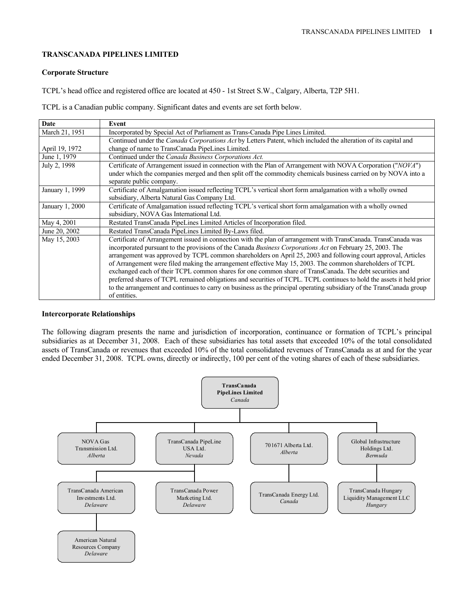#### **TRANSCANADA PIPELINES LIMITED**

#### **Corporate Structure**

TCPL's head office and registered office are located at 450 - 1st Street S.W., Calgary, Alberta, T2P 5H1.

TCPL is a Canadian public company. Significant dates and events are set forth below.

| Date            | Event                                                                                                                 |
|-----------------|-----------------------------------------------------------------------------------------------------------------------|
| March 21, 1951  | Incorporated by Special Act of Parliament as Trans-Canada Pipe Lines Limited.                                         |
|                 | Continued under the Canada Corporations Act by Letters Patent, which included the alteration of its capital and       |
| April 19, 1972  | change of name to TransCanada PipeLines Limited.                                                                      |
| June 1, 1979    | Continued under the Canada Business Corporations Act.                                                                 |
| July 2, 1998    | Certificate of Arrangement issued in connection with the Plan of Arrangement with NOVA Corporation ("NOVA")           |
|                 | under which the companies merged and then split off the commodity chemicals business carried on by NOVA into a        |
|                 | separate public company.                                                                                              |
| January 1, 1999 | Certificate of Amalgamation issued reflecting TCPL's vertical short form amalgamation with a wholly owned             |
|                 | subsidiary, Alberta Natural Gas Company Ltd.                                                                          |
| January 1, 2000 | Certificate of Amalgamation issued reflecting TCPL's vertical short form amalgamation with a wholly owned             |
|                 | subsidiary, NOVA Gas International Ltd.                                                                               |
| May 4, 2001     | Restated TransCanada PipeLines Limited Articles of Incorporation filed.                                               |
| June 20, 2002   | Restated TransCanada PipeLines Limited By-Laws filed.                                                                 |
| May 15, 2003    | Certificate of Arrangement issued in connection with the plan of arrangement with TransCanada. TransCanada was        |
|                 | incorporated pursuant to the provisions of the Canada Business Corporations Act on February 25, 2003. The             |
|                 | arrangement was approved by TCPL common shareholders on April 25, 2003 and following court approval, Articles         |
|                 | of Arrangement were filed making the arrangement effective May 15, 2003. The common shareholders of TCPL              |
|                 | exchanged each of their TCPL common shares for one common share of TransCanada. The debt securities and               |
|                 | preferred shares of TCPL remained obligations and securities of TCPL. TCPL continues to hold the assets it held prior |
|                 | to the arrangement and continues to carry on business as the principal operating subsidiary of the TransCanada group  |
|                 | of entities.                                                                                                          |

#### **Intercorporate Relationships**

The following diagram presents the name and jurisdiction of incorporation, continuance or formation of TCPL's principal subsidiaries as at December 31, 2008. Each of these subsidiaries has total assets that exceeded 10% of the total consolidated assets of TransCanada or revenues that exceeded 10% of the total consolidated revenues of TransCanada as at and for the year ended December 31, 2008. TCPL owns, directly or indirectly, 100 per cent of the voting shares of each of these subsidiaries.

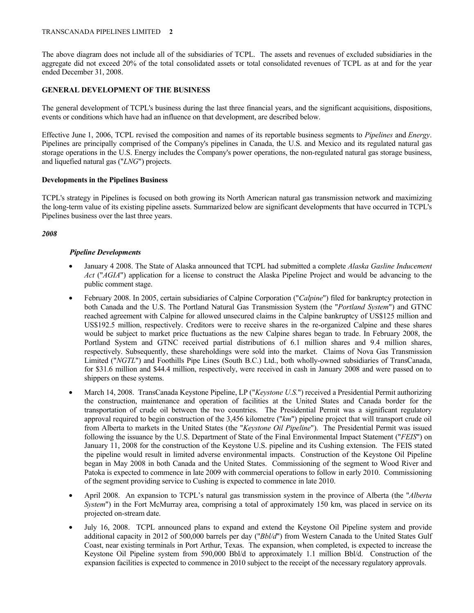#### TRANSCANADA PIPELINES LIMITED **2**

The above diagram does not include all of the subsidiaries of TCPL. The assets and revenues of excluded subsidiaries in the aggregate did not exceed 20% of the total consolidated assets or total consolidated revenues of TCPL as at and for the year ended December 31, 2008.

### **GENERAL DEVELOPMENT OF THE BUSINESS**

The general development of TCPL's business during the last three financial years, and the significant acquisitions, dispositions, events or conditions which have had an influence on that development, are described below.

Effective June 1, 2006, TCPL revised the composition and names of its reportable business segments to *Pipelines* and *Energy*. Pipelines are principally comprised of the Company's pipelines in Canada, the U.S. and Mexico and its regulated natural gas storage operations in the U.S. Energy includes the Company's power operations, the non-regulated natural gas storage business, and liquefied natural gas ("*LNG*") projects.

### **Developments in the Pipelines Business**

TCPL's strategy in Pipelines is focused on both growing its North American natural gas transmission network and maximizing the long-term value of its existing pipeline assets. Summarized below are significant developments that have occurred in TCPL's Pipelines business over the last three years.

### *2008*

### *Pipeline Developments*

- January 4 2008. The State of Alaska announced that TCPL had submitted a complete *Alaska Gasline Inducement Act* ("*AGIA*") application for a license to construct the Alaska Pipeline Project and would be advancing to the public comment stage.
- February 2008. In 2005, certain subsidiaries of Calpine Corporation ("*Calpine*") filed for bankruptcy protection in both Canada and the U.S. The Portland Natural Gas Transmission System (the "*Portland System*") and GTNC reached agreement with Calpine for allowed unsecured claims in the Calpine bankruptcy of US\$125 million and US\$192.5 million, respectively. Creditors were to receive shares in the re-organized Calpine and these shares would be subject to market price fluctuations as the new Calpine shares began to trade. In February 2008, the Portland System and GTNC received partial distributions of 6.1 million shares and 9.4 million shares, respectively. Subsequently, these shareholdings were sold into the market. Claims of Nova Gas Transmission Limited ("*NGTL*") and Foothills Pipe Lines (South B.C.) Ltd., both wholly-owned subsidiaries of TransCanada, for \$31.6 million and \$44.4 million, respectively, were received in cash in January 2008 and were passed on to shippers on these systems.
- March 14, 2008. TransCanada Keystone Pipeline, LP ("*Keystone U.S.*") received a Presidential Permit authorizing the construction, maintenance and operation of facilities at the United States and Canada border for the transportation of crude oil between the two countries. The Presidential Permit was a significant regulatory approval required to begin construction of the 3,456 kilometre ("*km*") pipeline project that will transport crude oil from Alberta to markets in the United States (the "*Keystone Oil Pipeline*"). The Presidential Permit was issued following the issuance by the U.S. Department of State of the Final Environmental Impact Statement ("*FEIS*") on January 11, 2008 for the construction of the Keystone U.S. pipeline and its Cushing extension. The FEIS stated the pipeline would result in limited adverse environmental impacts. Construction of the Keystone Oil Pipeline began in May 2008 in both Canada and the United States. Commissioning of the segment to Wood River and Patoka is expected to commence in late 2009 with commercial operations to follow in early 2010. Commissioning of the segment providing service to Cushing is expected to commence in late 2010.
- April 2008. An expansion to TCPL's natural gas transmission system in the province of Alberta (the "*Alberta System*") in the Fort McMurray area, comprising a total of approximately 150 km, was placed in service on its projected on-stream date.
- July 16, 2008. TCPL announced plans to expand and extend the Keystone Oil Pipeline system and provide additional capacity in 2012 of 500,000 barrels per day ("*Bbl/d*") from Western Canada to the United States Gulf Coast, near existing terminals in Port Arthur, Texas. The expansion, when completed, is expected to increase the Keystone Oil Pipeline system from 590,000 Bbl/d to approximately 1.1 million Bbl/d. Construction of the expansion facilities is expected to commence in 2010 subject to the receipt of the necessary regulatory approvals.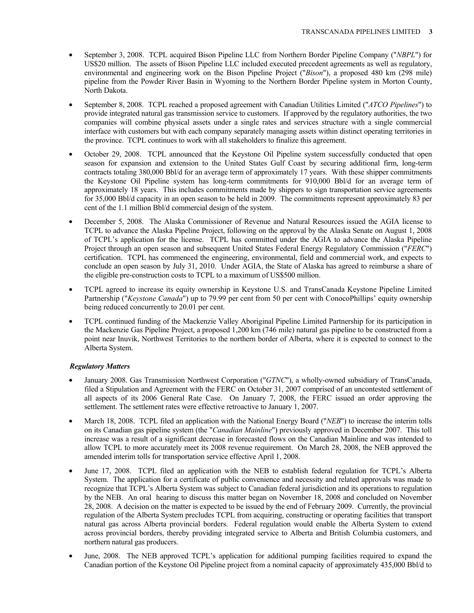- September 3, 2008. TCPL acquired Bison Pipeline LLC from Northern Border Pipeline Company ("*NBPL*") for US\$20 million. The assets of Bison Pipeline LLC included executed precedent agreements as well as regulatory, environmental and engineering work on the Bison Pipeline Project ("*Bison*"), a proposed 480 km (298 mile) pipeline from the Powder River Basin in Wyoming to the Northern Border Pipeline system in Morton County, North Dakota.
- September 8, 2008. TCPL reached a proposed agreement with Canadian Utilities Limited ("*ATCO Pipelines*") to provide integrated natural gas transmission service to customers. If approved by the regulatory authorities, the two companies will combine physical assets under a single rates and services structure with a single commercial interface with customers but with each company separately managing assets within distinct operating territories in the province. TCPL continues to work with all stakeholders to finalize this agreement.
- October 29, 2008. TCPL announced that the Keystone Oil Pipeline system successfully conducted that open season for expansion and extension to the United States Gulf Coast by securing additional firm, long-term contracts totaling 380,000 Bbl/d for an average term of approximately 17 years. With these shipper commitments the Keystone Oil Pipeline system has long-term commitments for 910,000 Bbl/d for an average term of approximately 18 years. This includes commitments made by shippers to sign transportation service agreements for 35,000 Bbl/d capacity in an open season to be held in 2009. The commitments represent approximately 83 per cent of the 1.1 million Bbl/d commercial design of the system.
- December 5, 2008. The Alaska Commissioner of Revenue and Natural Resources issued the AGIA license to TCPL to advance the Alaska Pipeline Project, following on the approval by the Alaska Senate on August 1, 2008 of TCPL's application for the license. TCPL has committed under the AGIA to advance the Alaska Pipeline Project through an open season and subsequent United States Federal Energy Regulatory Commission ("*FERC*") certification. TCPL has commenced the engineering, environmental, field and commercial work, and expects to conclude an open season by July 31, 2010. Under AGIA, the State of Alaska has agreed to reimburse a share of the eligible pre-construction costs to TCPL to a maximum of US\$500 million.
- TCPL agreed to increase its equity ownership in Keystone U.S. and TransCanada Keystone Pipeline Limited Partnership ("*Keystone Canada*") up to 79.99 per cent from 50 per cent with ConocoPhillips' equity ownership being reduced concurrently to 20.01 per cent.
- TCPL continued funding of the Mackenzie Valley Aboriginal Pipeline Limited Partnership for its participation in the Mackenzie Gas Pipeline Project, a proposed 1,200 km (746 mile) natural gas pipeline to be constructed from a point near Inuvik, Northwest Territories to the northern border of Alberta, where it is expected to connect to the Alberta System.

# *Regulatory Matters*

- January 2008. Gas Transmission Northwest Corporation ("*GTNC*"), a wholly-owned subsidiary of TransCanada, filed a Stipulation and Agreement with the FERC on October 31, 2007 comprised of an uncontested settlement of all aspects of its 2006 General Rate Case. On January 7, 2008, the FERC issued an order approving the settlement. The settlement rates were effective retroactive to January 1, 2007.
- March 18, 2008. TCPL filed an application with the National Energy Board ("*NEB*") to increase the interim tolls on its Canadian gas pipeline system (the "*Canadian Mainline*") previously approved in December 2007. This toll increase was a result of a significant decrease in forecasted flows on the Canadian Mainline and was intended to allow TCPL to more accurately meet its 2008 revenue requirement. On March 28, 2008, the NEB approved the amended interim tolls for transportation service effective April 1, 2008.
- June 17, 2008. TCPL filed an application with the NEB to establish federal regulation for TCPL's Alberta System. The application for a certificate of public convenience and necessity and related approvals was made to recognize that TCPL's Alberta System was subject to Canadian federal jurisdiction and its operations to regulation by the NEB. An oral hearing to discuss this matter began on November 18, 2008 and concluded on November 28, 2008. A decision on the matter is expected to be issued by the end of February 2009. Currently, the provincial regulation of the Alberta System precludes TCPL from acquiring, constructing or operating facilities that transport natural gas across Alberta provincial borders. Federal regulation would enable the Alberta System to extend across provincial borders, thereby providing integrated service to Alberta and British Columbia customers, and northern natural gas producers.
- June, 2008. The NEB approved TCPL's application for additional pumping facilities required to expand the Canadian portion of the Keystone Oil Pipeline project from a nominal capacity of approximately 435,000 Bbl/d to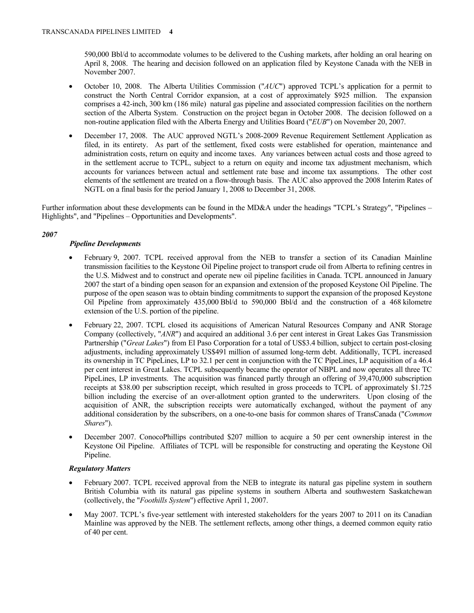590,000 Bbl/d to accommodate volumes to be delivered to the Cushing markets, after holding an oral hearing on April 8, 2008. The hearing and decision followed on an application filed by Keystone Canada with the NEB in November 2007.

- October 10, 2008. The Alberta Utilities Commission ("*AUC*") approved TCPL's application for a permit to construct the North Central Corridor expansion, at a cost of approximately \$925 million. The expansion comprises a 42-inch, 300 km (186 mile) natural gas pipeline and associated compression facilities on the northern section of the Alberta System. Construction on the project began in October 2008. The decision followed on a non-routine application filed with the Alberta Energy and Utilities Board ("*EUB*") on November 20, 2007.
- December 17, 2008. The AUC approved NGTL's 2008-2009 Revenue Requirement Settlement Application as filed, in its entirety. As part of the settlement, fixed costs were established for operation, maintenance and administration costs, return on equity and income taxes. Any variances between actual costs and those agreed to in the settlement accrue to TCPL, subject to a return on equity and income tax adjustment mechanism, which accounts for variances between actual and settlement rate base and income tax assumptions. The other cost elements of the settlement are treated on a flow-through basis. The AUC also approved the 2008 Interim Rates of NGTL on a final basis for the period January 1, 2008 to December 31, 2008.

Further information about these developments can be found in the MD&A under the headings "TCPL's Strategy", "Pipelines – Highlights", and "Pipelines – Opportunities and Developments".

# *2007*

# *Pipeline Developments*

- February 9, 2007. TCPL received approval from the NEB to transfer a section of its Canadian Mainline transmission facilities to the Keystone Oil Pipeline project to transport crude oil from Alberta to refining centres in the U.S. Midwest and to construct and operate new oil pipeline facilities in Canada. TCPL announced in January 2007 the start of a binding open season for an expansion and extension of the proposed Keystone Oil Pipeline. The purpose of the open season was to obtain binding commitments to support the expansion of the proposed Keystone Oil Pipeline from approximately 435,000 Bbl/d to 590,000 Bbl/d and the construction of a 468 kilometre extension of the U.S. portion of the pipeline.
- February 22, 2007. TCPL closed its acquisitions of American Natural Resources Company and ANR Storage Company (collectively, "*ANR*") and acquired an additional 3.6 per cent interest in Great Lakes Gas Transmission Partnership ("*Great Lakes*") from El Paso Corporation for a total of US\$3.4 billion, subject to certain post-closing adjustments, including approximately US\$491 million of assumed long-term debt. Additionally, TCPL increased its ownership in TC PipeLines, LP to 32.1 per cent in conjunction with the TC PipeLines, LP acquisition of a 46.4 per cent interest in Great Lakes. TCPL subsequently became the operator of NBPL and now operates all three TC PipeLines, LP investments. The acquisition was financed partly through an offering of 39,470,000 subscription receipts at \$38.00 per subscription receipt, which resulted in gross proceeds to TCPL of approximately \$1.725 billion including the exercise of an over-allotment option granted to the underwriters. Upon closing of the acquisition of ANR, the subscription receipts were automatically exchanged, without the payment of any additional consideration by the subscribers, on a one-to-one basis for common shares of TransCanada ("*Common Shares*").
- December 2007. ConocoPhillips contributed \$207 million to acquire a 50 per cent ownership interest in the Keystone Oil Pipeline. Affiliates of TCPL will be responsible for constructing and operating the Keystone Oil Pipeline.

# *Regulatory Matters*

- February 2007. TCPL received approval from the NEB to integrate its natural gas pipeline system in southern British Columbia with its natural gas pipeline systems in southern Alberta and southwestern Saskatchewan (collectively, the "*Foothills System*") effective April 1, 2007.
- May 2007. TCPL's five-year settlement with interested stakeholders for the years 2007 to 2011 on its Canadian Mainline was approved by the NEB. The settlement reflects, among other things, a deemed common equity ratio of 40 per cent.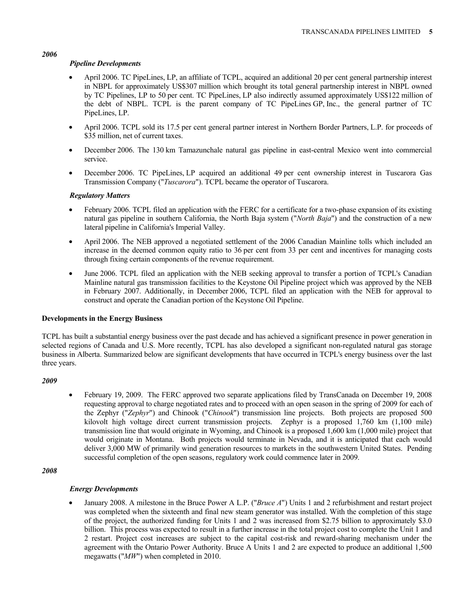#### *Pipeline Developments*

- April 2006. TC PipeLines, LP, an affiliate of TCPL, acquired an additional 20 per cent general partnership interest in NBPL for approximately US\$307 million which brought its total general partnership interest in NBPL owned by TC Pipelines, LP to 50 per cent. TC PipeLines, LP also indirectly assumed approximately US\$122 million of the debt of NBPL. TCPL is the parent company of TC PipeLines GP, Inc., the general partner of TC PipeLines, LP.
- April 2006. TCPL sold its 17.5 per cent general partner interest in Northern Border Partners, L.P. for proceeds of \$35 million, net of current taxes.
- December 2006. The 130 km Tamazunchale natural gas pipeline in east-central Mexico went into commercial service.
- December 2006. TC PipeLines, LP acquired an additional 49 per cent ownership interest in Tuscarora Gas Transmission Company ("*Tuscarora*"). TCPL became the operator of Tuscarora.

#### *Regulatory Matters*

- February 2006. TCPL filed an application with the FERC for a certificate for a two-phase expansion of its existing natural gas pipeline in southern California, the North Baja system ("*North Baja*") and the construction of a new lateral pipeline in California's Imperial Valley.
- April 2006. The NEB approved a negotiated settlement of the 2006 Canadian Mainline tolls which included an increase in the deemed common equity ratio to 36 per cent from 33 per cent and incentives for managing costs through fixing certain components of the revenue requirement.
- June 2006. TCPL filed an application with the NEB seeking approval to transfer a portion of TCPL's Canadian Mainline natural gas transmission facilities to the Keystone Oil Pipeline project which was approved by the NEB in February 2007. Additionally, in December 2006, TCPL filed an application with the NEB for approval to construct and operate the Canadian portion of the Keystone Oil Pipeline.

#### **Developments in the Energy Business**

TCPL has built a substantial energy business over the past decade and has achieved a significant presence in power generation in selected regions of Canada and U.S. More recently, TCPL has also developed a significant non-regulated natural gas storage business in Alberta. Summarized below are significant developments that have occurred in TCPL's energy business over the last three years.

#### *2009*

• February 19, 2009. The FERC approved two separate applications filed by TransCanada on December 19, 2008 requesting approval to charge negotiated rates and to proceed with an open season in the spring of 2009 for each of the Zephyr ("*Zephyr*") and Chinook ("*Chinook*") transmission line projects. Both projects are proposed 500 kilovolt high voltage direct current transmission projects. Zephyr is a proposed 1,760 km (1,100 mile) transmission line that would originate in Wyoming, and Chinook is a proposed 1,600 km (1,000 mile) project that would originate in Montana. Both projects would terminate in Nevada, and it is anticipated that each would deliver 3,000 MW of primarily wind generation resources to markets in the southwestern United States. Pending successful completion of the open seasons, regulatory work could commence later in 2009.

#### *2008*

### *Energy Developments*

• January 2008. A milestone in the Bruce Power A L.P. ("*Bruce A*") Units 1 and 2 refurbishment and restart project was completed when the sixteenth and final new steam generator was installed. With the completion of this stage of the project, the authorized funding for Units 1 and 2 was increased from \$2.75 billion to approximately \$3.0 billion. This process was expected to result in a further increase in the total project cost to complete the Unit 1 and 2 restart. Project cost increases are subject to the capital cost-risk and reward-sharing mechanism under the agreement with the Ontario Power Authority. Bruce A Units 1 and 2 are expected to produce an additional 1,500 megawatts ("*MW*") when completed in 2010.

#### *2006*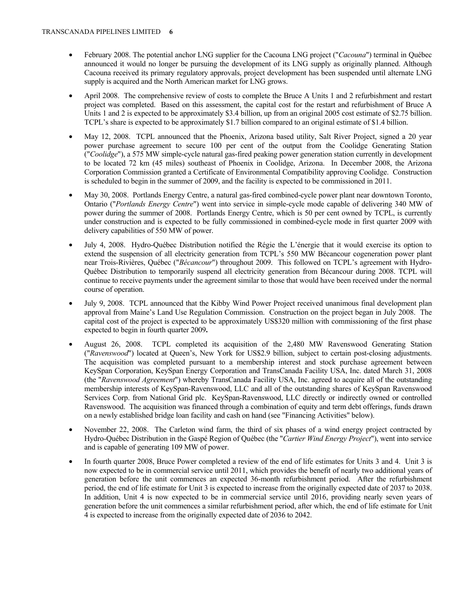- February 2008. The potential anchor LNG supplier for the Cacouna LNG project ("*Cacouna*") terminal in Québec announced it would no longer be pursuing the development of its LNG supply as originally planned. Although Cacouna received its primary regulatory approvals, project development has been suspended until alternate LNG supply is acquired and the North American market for LNG grows.
- April 2008. The comprehensive review of costs to complete the Bruce A Units 1 and 2 refurbishment and restart project was completed. Based on this assessment, the capital cost for the restart and refurbishment of Bruce A Units 1 and 2 is expected to be approximately \$3.4 billion, up from an original 2005 cost estimate of \$2.75 billion. TCPL's share is expected to be approximately \$1.7 billion compared to an original estimate of \$1.4 billion.
- May 12, 2008. TCPL announced that the Phoenix, Arizona based utility, Salt River Project, signed a 20 year power purchase agreement to secure 100 per cent of the output from the Coolidge Generating Station ("*Coolidge*"), a 575 MW simple-cycle natural gas-fired peaking power generation station currently in development to be located 72 km (45 miles) southeast of Phoenix in Coolidge, Arizona. In December 2008, the Arizona Corporation Commission granted a Certificate of Environmental Compatibility approving Coolidge. Construction is scheduled to begin in the summer of 2009, and the facility is expected to be commissioned in 2011.
- May 30, 2008. Portlands Energy Centre, a natural gas-fired combined-cycle power plant near downtown Toronto, Ontario ("*Portlands Energy Centre*") went into service in simple-cycle mode capable of delivering 340 MW of power during the summer of 2008. Portlands Energy Centre, which is 50 per cent owned by TCPL, is currently under construction and is expected to be fully commissioned in combined-cycle mode in first quarter 2009 with delivery capabilities of 550 MW of power.
- July 4, 2008. Hydro-Québec Distribution notified the Régie the L'énergie that it would exercise its option to extend the suspension of all electricity generation from TCPL's 550 MW Bécancour cogeneration power plant near Trois-Rivières, Québec ("*Bécancour*") throughout 2009. This followed on TCPL's agreement with Hydro-Québec Distribution to temporarily suspend all electricity generation from Bécancour during 2008. TCPL will continue to receive payments under the agreement similar to those that would have been received under the normal course of operation.
- July 9, 2008. TCPL announced that the Kibby Wind Power Project received unanimous final development plan approval from Maine's Land Use Regulation Commission. Construction on the project began in July 2008. The capital cost of the project is expected to be approximately US\$320 million with commissioning of the first phase expected to begin in fourth quarter 2009**.**
- August 26, 2008. TCPL completed its acquisition of the 2,480 MW Ravenswood Generating Station ("*Ravenswood*") located at Queen's, New York for US\$2.9 billion, subject to certain post-closing adjustments. The acquisition was completed pursuant to a membership interest and stock purchase agreement between KeySpan Corporation, KeySpan Energy Corporation and TransCanada Facility USA, Inc. dated March 31, 2008 (the "*Ravenswood Agreement*") whereby TransCanada Facility USA, Inc. agreed to acquire all of the outstanding membership interests of KeySpan-Ravenswood, LLC and all of the outstanding shares of KeySpan Ravenswood Services Corp. from National Grid plc. KeySpan-Ravenswood, LLC directly or indirectly owned or controlled Ravenswood. The acquisition was financed through a combination of equity and term debt offerings, funds drawn on a newly established bridge loan facility and cash on hand (see "Financing Activities" below).
- November 22, 2008. The Carleton wind farm, the third of six phases of a wind energy project contracted by Hydro-Québec Distribution in the Gaspé Region of Québec (the "*Cartier Wind Energy Project*"), went into service and is capable of generating 109 MW of power.
- In fourth quarter 2008, Bruce Power completed a review of the end of life estimates for Units 3 and 4. Unit 3 is now expected to be in commercial service until 2011, which provides the benefit of nearly two additional years of generation before the unit commences an expected 36-month refurbishment period. After the refurbishment period, the end of life estimate for Unit 3 is expected to increase from the originally expected date of 2037 to 2038. In addition, Unit 4 is now expected to be in commercial service until 2016, providing nearly seven years of generation before the unit commences a similar refurbishment period, after which, the end of life estimate for Unit 4 is expected to increase from the originally expected date of 2036 to 2042.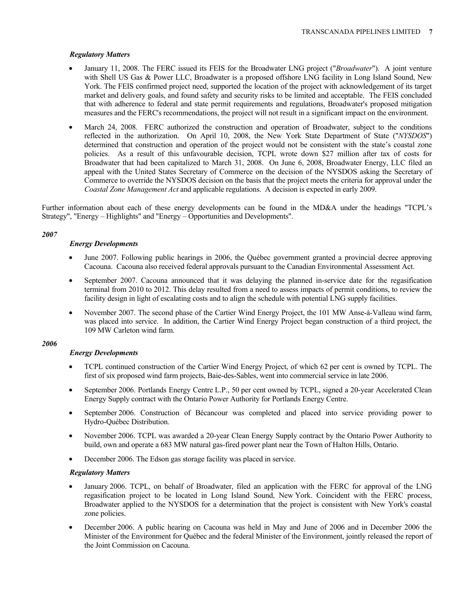# *Regulatory Matters*

- January 11, 2008. The FERC issued its FEIS for the Broadwater LNG project ("*Broadwater*"). A joint venture with Shell US Gas & Power LLC, Broadwater is a proposed offshore LNG facility in Long Island Sound, New York. The FEIS confirmed project need, supported the location of the project with acknowledgement of its target market and delivery goals, and found safety and security risks to be limited and acceptable. The FEIS concluded that with adherence to federal and state permit requirements and regulations, Broadwater's proposed mitigation measures and the FERC's recommendations, the project will not result in a significant impact on the environment.
- March 24, 2008. FERC authorized the construction and operation of Broadwater, subject to the conditions reflected in the authorization. On April 10, 2008, the New York State Department of State ("*NYSDOS*") determined that construction and operation of the project would not be consistent with the state's coastal zone policies. As a result of this unfavourable decision, TCPL wrote down \$27 million after tax of costs for Broadwater that had been capitalized to March 31, 2008. On June 6, 2008, Broadwater Energy, LLC filed an appeal with the United States Secretary of Commerce on the decision of the NYSDOS asking the Secretary of Commerce to override the NYSDOS decision on the basis that the project meets the criteria for approval under the *Coastal Zone Management Act* and applicable regulations. A decision is expected in early 2009.

Further information about each of these energy developments can be found in the MD&A under the headings "TCPL's Strategy", "Energy – Highlights" and "Energy – Opportunities and Developments".

# *2007*

# *Energy Developments*

- June 2007. Following public hearings in 2006, the Québec government granted a provincial decree approving Cacouna. Cacouna also received federal approvals pursuant to the Canadian Environmental Assessment Act.
- September 2007. Cacouna announced that it was delaying the planned in-service date for the regasification terminal from 2010 to 2012. This delay resulted from a need to assess impacts of permit conditions, to review the facility design in light of escalating costs and to align the schedule with potential LNG supply facilities.
- November 2007. The second phase of the Cartier Wind Energy Project, the 101 MW Anse-à-Valleau wind farm, was placed into service. In addition, the Cartier Wind Energy Project began construction of a third project, the 109 MW Carleton wind farm.

### *2006*

# *Energy Developments*

- TCPL continued construction of the Cartier Wind Energy Project, of which 62 per cent is owned by TCPL. The first of six proposed wind farm projects, Baie-des-Sables, went into commercial service in late 2006.
- September 2006. Portlands Energy Centre L.P., 50 per cent owned by TCPL, signed a 20-year Accelerated Clean Energy Supply contract with the Ontario Power Authority for Portlands Energy Centre.
- September 2006. Construction of Bécancour was completed and placed into service providing power to Hydro-Québec Distribution.
- November 2006. TCPL was awarded a 20-year Clean Energy Supply contract by the Ontario Power Authority to build, own and operate a 683 MW natural gas-fired power plant near the Town of Halton Hills, Ontario.
- December 2006. The Edson gas storage facility was placed in service.

### *Regulatory Matters*

- January 2006. TCPL, on behalf of Broadwater, filed an application with the FERC for approval of the LNG regasification project to be located in Long Island Sound, New York. Coincident with the FERC process, Broadwater applied to the NYSDOS for a determination that the project is consistent with New York's coastal zone policies.
- December 2006. A public hearing on Cacouna was held in May and June of 2006 and in December 2006 the Minister of the Environment for Québec and the federal Minister of the Environment, jointly released the report of the Joint Commission on Cacouna.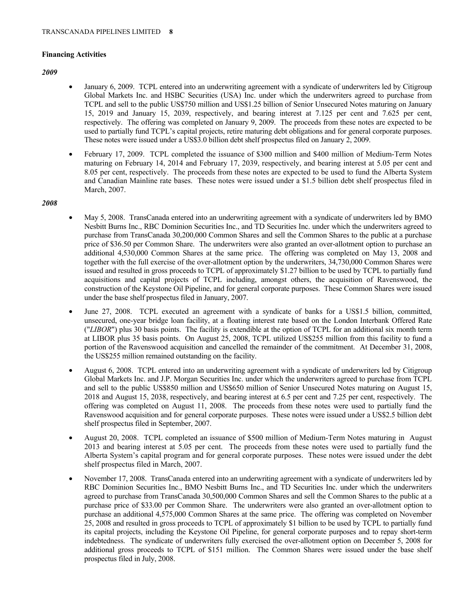### **Financing Activities**

#### *2009*

- January 6, 2009. TCPL entered into an underwriting agreement with a syndicate of underwriters led by Citigroup Global Markets Inc. and HSBC Securities (USA) Inc. under which the underwriters agreed to purchase from TCPL and sell to the public US\$750 million and US\$1.25 billion of Senior Unsecured Notes maturing on January 15, 2019 and January 15, 2039, respectively, and bearing interest at 7.125 per cent and 7.625 per cent, respectively. The offering was completed on January 9, 2009. The proceeds from these notes are expected to be used to partially fund TCPL's capital projects, retire maturing debt obligations and for general corporate purposes. These notes were issued under a US\$3.0 billion debt shelf prospectus filed on January 2, 2009.
- February 17, 2009. TCPL completed the issuance of \$300 million and \$400 million of Medium-Term Notes maturing on February 14, 2014 and February 17, 2039, respectively, and bearing interest at 5.05 per cent and 8.05 per cent, respectively. The proceeds from these notes are expected to be used to fund the Alberta System and Canadian Mainline rate bases. These notes were issued under a \$1.5 billion debt shelf prospectus filed in March, 2007.

#### *2008*

- May 5, 2008. TransCanada entered into an underwriting agreement with a syndicate of underwriters led by BMO Nesbitt Burns Inc., RBC Dominion Securities Inc., and TD Securities Inc. under which the underwriters agreed to purchase from TransCanada 30,200,000 Common Shares and sell the Common Shares to the public at a purchase price of \$36.50 per Common Share. The underwriters were also granted an over-allotment option to purchase an additional 4,530,000 Common Shares at the same price. The offering was completed on May 13, 2008 and together with the full exercise of the over-allotment option by the underwriters, 34,730,000 Common Shares were issued and resulted in gross proceeds to TCPL of approximately \$1.27 billion to be used by TCPL to partially fund acquisitions and capital projects of TCPL including, amongst others, the acquisition of Ravenswood, the construction of the Keystone Oil Pipeline, and for general corporate purposes. These Common Shares were issued under the base shelf prospectus filed in January, 2007.
- June 27, 2008. TCPL executed an agreement with a syndicate of banks for a US\$1.5 billion, committed, unsecured, one-year bridge loan facility, at a floating interest rate based on the London Interbank Offered Rate ("*LIBOR*") plus 30 basis points. The facility is extendible at the option of TCPL for an additional six month term at LIBOR plus 35 basis points. On August 25, 2008, TCPL utilized US\$255 million from this facility to fund a portion of the Ravenswood acquisition and cancelled the remainder of the commitment. At December 31, 2008, the US\$255 million remained outstanding on the facility.
- August 6, 2008. TCPL entered into an underwriting agreement with a syndicate of underwriters led by Citigroup Global Markets Inc. and J.P. Morgan Securities Inc. under which the underwriters agreed to purchase from TCPL and sell to the public US\$850 million and US\$650 million of Senior Unsecured Notes maturing on August 15, 2018 and August 15, 2038, respectively, and bearing interest at 6.5 per cent and 7.25 per cent, respectively. The offering was completed on August 11, 2008. The proceeds from these notes were used to partially fund the Ravenswood acquisition and for general corporate purposes. These notes were issued under a US\$2.5 billion debt shelf prospectus filed in September, 2007.
- August 20, 2008. TCPL completed an issuance of \$500 million of Medium-Term Notes maturing in August 2013 and bearing interest at 5.05 per cent. The proceeds from these notes were used to partially fund the Alberta System's capital program and for general corporate purposes. These notes were issued under the debt shelf prospectus filed in March, 2007.
- November 17, 2008. TransCanada entered into an underwriting agreement with a syndicate of underwriters led by RBC Dominion Securities Inc., BMO Nesbitt Burns Inc., and TD Securities Inc. under which the underwriters agreed to purchase from TransCanada 30,500,000 Common Shares and sell the Common Shares to the public at a purchase price of \$33.00 per Common Share. The underwriters were also granted an over-allotment option to purchase an additional 4,575,000 Common Shares at the same price. The offering was completed on November 25, 2008 and resulted in gross proceeds to TCPL of approximately \$1 billion to be used by TCPL to partially fund its capital projects, including the Keystone Oil Pipeline, for general corporate purposes and to repay short-term indebtedness. The syndicate of underwriters fully exercised the over-allotment option on December 5, 2008 for additional gross proceeds to TCPL of \$151 million. The Common Shares were issued under the base shelf prospectus filed in July, 2008.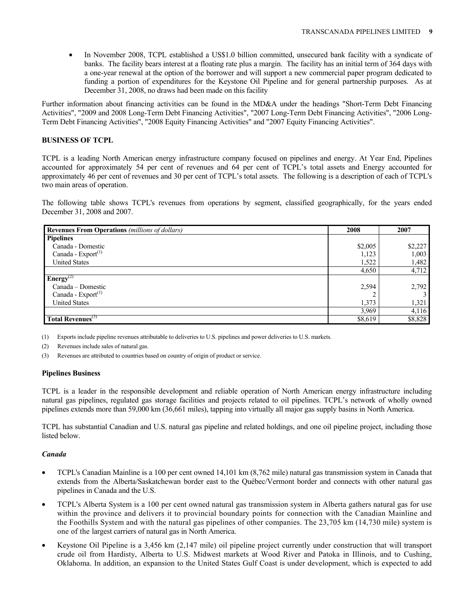• In November 2008, TCPL established a US\$1.0 billion committed, unsecured bank facility with a syndicate of banks. The facility bears interest at a floating rate plus a margin. The facility has an initial term of 364 days with a one-year renewal at the option of the borrower and will support a new commercial paper program dedicated to funding a portion of expenditures for the Keystone Oil Pipeline and for general partnership purposes. As at December 31, 2008, no draws had been made on this facility

Further information about financing activities can be found in the MD&A under the headings "Short-Term Debt Financing Activities", "2009 and 2008 Long-Term Debt Financing Activities", "2007 Long-Term Debt Financing Activities", "2006 Long-Term Debt Financing Activities", "2008 Equity Financing Activities" and "2007 Equity Financing Activities".

# **BUSINESS OF TCPL**

TCPL is a leading North American energy infrastructure company focused on pipelines and energy. At Year End, Pipelines accounted for approximately 54 per cent of revenues and 64 per cent of TCPL's total assets and Energy accounted for approximately 46 per cent of revenues and 30 per cent of TCPL's total assets. The following is a description of each of TCPL's two main areas of operation.

The following table shows TCPL's revenues from operations by segment, classified geographically, for the years ended December 31, 2008 and 2007.

| <b>Revenues From Operations</b> (millions of dollars) | 2008    | 2007    |
|-------------------------------------------------------|---------|---------|
| <b>Pipelines</b>                                      |         |         |
| Canada - Domestic                                     | \$2,005 | \$2,227 |
| Canada - $Export^{(1)}$                               | 1,123   | 1,003   |
| <b>United States</b>                                  | 1,522   | 1,482   |
|                                                       | 4,650   | 4,712   |
| Energy <sup>(2)</sup>                                 |         |         |
| Canada – Domestic                                     | 2,594   | 2,792   |
| Canada - $Export^{(1)}$                               |         |         |
| <b>United States</b>                                  | 1,373   | 1,321   |
|                                                       | 3,969   | 4,116   |
| Total Revenues <sup>(3)</sup>                         | \$8,619 | \$8,828 |

(1) Exports include pipeline revenues attributable to deliveries to U.S. pipelines and power deliveries to U.S. markets.

(2) Revenues include sales of natural gas.

Revenues are attributed to countries based on country of origin of product or service.

### **Pipelines Business**

TCPL is a leader in the responsible development and reliable operation of North American energy infrastructure including natural gas pipelines, regulated gas storage facilities and projects related to oil pipelines. TCPL's network of wholly owned pipelines extends more than 59,000 km (36,661 miles), tapping into virtually all major gas supply basins in North America.

TCPL has substantial Canadian and U.S. natural gas pipeline and related holdings, and one oil pipeline project, including those listed below.

#### *Canada*

- TCPL's Canadian Mainline is a 100 per cent owned 14,101 km (8,762 mile) natural gas transmission system in Canada that extends from the Alberta/Saskatchewan border east to the Québec/Vermont border and connects with other natural gas pipelines in Canada and the U.S.
- TCPL's Alberta System is a 100 per cent owned natural gas transmission system in Alberta gathers natural gas for use within the province and delivers it to provincial boundary points for connection with the Canadian Mainline and the Foothills System and with the natural gas pipelines of other companies. The 23,705 km (14,730 mile) system is one of the largest carriers of natural gas in North America.
- Keystone Oil Pipeline is a 3,456 km (2,147 mile) oil pipeline project currently under construction that will transport crude oil from Hardisty, Alberta to U.S. Midwest markets at Wood River and Patoka in Illinois, and to Cushing, Oklahoma. In addition, an expansion to the United States Gulf Coast is under development, which is expected to add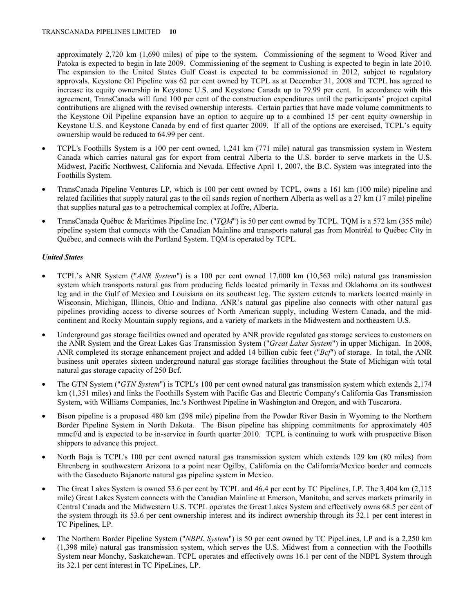approximately 2,720 km (1,690 miles) of pipe to the system. Commissioning of the segment to Wood River and Patoka is expected to begin in late 2009. Commissioning of the segment to Cushing is expected to begin in late 2010. The expansion to the United States Gulf Coast is expected to be commissioned in 2012, subject to regulatory approvals. Keystone Oil Pipeline was 62 per cent owned by TCPL as at December 31, 2008 and TCPL has agreed to increase its equity ownership in Keystone U.S. and Keystone Canada up to 79.99 per cent. In accordance with this agreement, TransCanada will fund 100 per cent of the construction expenditures until the participants' project capital contributions are aligned with the revised ownership interests. Certain parties that have made volume commitments to the Keystone Oil Pipeline expansion have an option to acquire up to a combined 15 per cent equity ownership in Keystone U.S. and Keystone Canada by end of first quarter 2009. If all of the options are exercised, TCPL's equity ownership would be reduced to 64.99 per cent.

- TCPL's Foothills System is a 100 per cent owned, 1,241 km (771 mile) natural gas transmission system in Western Canada which carries natural gas for export from central Alberta to the U.S. border to serve markets in the U.S. Midwest, Pacific Northwest, California and Nevada. Effective April 1, 2007, the B.C. System was integrated into the Foothills System.
- TransCanada Pipeline Ventures LP, which is 100 per cent owned by TCPL, owns a 161 km (100 mile) pipeline and related facilities that supply natural gas to the oil sands region of northern Alberta as well as a 27 km (17 mile) pipeline that supplies natural gas to a petrochemical complex at Joffre, Alberta.
- TransCanada Québec & Maritimes Pipeline Inc. ("*TQM*") is 50 per cent owned by TCPL. TQM is a 572 km (355 mile) pipeline system that connects with the Canadian Mainline and transports natural gas from Montréal to Québec City in Québec, and connects with the Portland System. TQM is operated by TCPL.

# *United States*

- TCPL's ANR System ("*ANR System*") is a 100 per cent owned 17,000 km (10,563 mile) natural gas transmission system which transports natural gas from producing fields located primarily in Texas and Oklahoma on its southwest leg and in the Gulf of Mexico and Louisiana on its southeast leg. The system extends to markets located mainly in Wisconsin, Michigan, Illinois, Ohio and Indiana. ANR's natural gas pipeline also connects with other natural gas pipelines providing access to diverse sources of North American supply, including Western Canada, and the midcontinent and Rocky Mountain supply regions, and a variety of markets in the Midwestern and northeastern U.S.
- Underground gas storage facilities owned and operated by ANR provide regulated gas storage services to customers on the ANR System and the Great Lakes Gas Transmission System ("*Great Lakes System*") in upper Michigan. In 2008, ANR completed its storage enhancement project and added 14 billion cubic feet ("*Bcf*") of storage. In total, the ANR business unit operates sixteen underground natural gas storage facilities throughout the State of Michigan with total natural gas storage capacity of 250 Bcf.
- The GTN System ("*GTN System*") is TCPL's 100 per cent owned natural gas transmission system which extends 2,174 km (1,351 miles) and links the Foothills System with Pacific Gas and Electric Company's California Gas Transmission System, with Williams Companies, Inc.'s Northwest Pipeline in Washington and Oregon, and with Tuscarora.
- Bison pipeline is a proposed 480 km (298 mile) pipeline from the Powder River Basin in Wyoming to the Northern Border Pipeline System in North Dakota. The Bison pipeline has shipping commitments for approximately 405 mmcf/d and is expected to be in-service in fourth quarter 2010. TCPL is continuing to work with prospective Bison shippers to advance this project.
- North Baja is TCPL's 100 per cent owned natural gas transmission system which extends 129 km (80 miles) from Ehrenberg in southwestern Arizona to a point near Ogilby, California on the California/Mexico border and connects with the Gasoducto Bajanorte natural gas pipeline system in Mexico.
- The Great Lakes System is owned 53.6 per cent by TCPL and 46.4 per cent by TC Pipelines, LP. The 3,404 km (2,115 mile) Great Lakes System connects with the Canadian Mainline at Emerson, Manitoba, and serves markets primarily in Central Canada and the Midwestern U.S. TCPL operates the Great Lakes System and effectively owns 68.5 per cent of the system through its 53.6 per cent ownership interest and its indirect ownership through its 32.1 per cent interest in TC Pipelines, LP.
- The Northern Border Pipeline System ("*NBPL System*") is 50 per cent owned by TC PipeLines, LP and is a 2,250 km (1,398 mile) natural gas transmission system, which serves the U.S. Midwest from a connection with the Foothills System near Monchy, Saskatchewan. TCPL operates and effectively owns 16.1 per cent of the NBPL System through its 32.1 per cent interest in TC PipeLines, LP.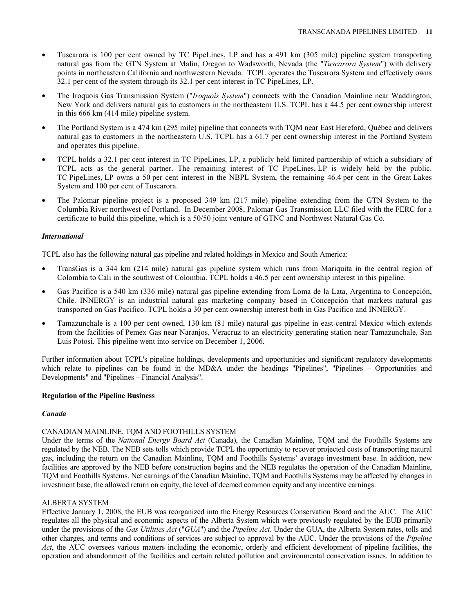- Tuscarora is 100 per cent owned by TC PipeLines, LP and has a 491 km (305 mile) pipeline system transporting natural gas from the GTN System at Malin, Oregon to Wadsworth, Nevada (the "*Tuscarora System*") with delivery points in northeastern California and northwestern Nevada. TCPL operates the Tuscarora System and effectively owns 32.1 per cent of the system through its 32.1 per cent interest in TC PipeLines, LP.
- The Iroquois Gas Transmission System ("*Iroquois System*") connects with the Canadian Mainline near Waddington, New York and delivers natural gas to customers in the northeastern U.S. TCPL has a 44.5 per cent ownership interest in this 666 km (414 mile) pipeline system.
- The Portland System is a 474 km (295 mile) pipeline that connects with TQM near East Hereford, Québec and delivers natural gas to customers in the northeastern U.S. TCPL has a 61.7 per cent ownership interest in the Portland System and operates this pipeline.
- TCPL holds a 32.1 per cent interest in TC PipeLines, LP, a publicly held limited partnership of which a subsidiary of TCPL acts as the general partner. The remaining interest of TC PipeLines, LP is widely held by the public. TC PipeLines, LP owns a 50 per cent interest in the NBPL System, the remaining 46.4 per cent in the Great Lakes System and 100 per cent of Tuscarora.
- The Palomar pipeline project is a proposed 349 km (217 mile) pipeline extending from the GTN System to the Columbia River northwest of Portland. In December 2008, Palomar Gas Transmission LLC filed with the FERC for a certificate to build this pipeline, which is a 50/50 joint venture of GTNC and Northwest Natural Gas Co.

# *International*

TCPL also has the following natural gas pipeline and related holdings in Mexico and South America:

- TransGas is a 344 km (214 mile) natural gas pipeline system which runs from Mariquita in the central region of Colombia to Cali in the southwest of Colombia. TCPL holds a 46.5 per cent ownership interest in this pipeline.
- Gas Pacifico is a 540 km (336 mile) natural gas pipeline extending from Loma de la Lata, Argentina to Concepción, Chile. INNERGY is an industrial natural gas marketing company based in Concepción that markets natural gas transported on Gas Pacifico. TCPL holds a 30 per cent ownership interest both in Gas Pacifico and INNERGY.
- Tamazunchale is a 100 per cent owned, 130 km (81 mile) natural gas pipeline in east-central Mexico which extends from the facilities of Pemex Gas near Naranjos, Veracruz to an electricity generating station near Tamazunchale, San Luis Potosi. This pipeline went into service on December 1, 2006.

Further information about TCPL's pipeline holdings, developments and opportunities and significant regulatory developments which relate to pipelines can be found in the MD&A under the headings "Pipelines", "Pipelines – Opportunities and Developments" and "Pipelines – Financial Analysis".

# **Regulation of the Pipeline Business**

# *Canada*

# CANADIAN MAINLINE, TQM AND FOOTHILLS SYSTEM

Under the terms of the *National Energy Board Act* (Canada), the Canadian Mainline, TQM and the Foothills Systems are regulated by the NEB. The NEB sets tolls which provide TCPL the opportunity to recover projected costs of transporting natural gas, including the return on the Canadian Mainline, TQM and Foothills Systems' average investment base. In addition, new facilities are approved by the NEB before construction begins and the NEB regulates the operation of the Canadian Mainline, TQM and Foothills Systems. Net earnings of the Canadian Mainline, TQM and Foothills Systems may be affected by changes in investment base, the allowed return on equity, the level of deemed common equity and any incentive earnings.

### ALBERTA SYSTEM

Effective January 1, 2008, the EUB was reorganized into the Energy Resources Conservation Board and the AUC. The AUC regulates all the physical and economic aspects of the Alberta System which were previously regulated by the EUB primarily under the provisions of the *Gas Utilities Act* ("*GUA*") and the *Pipeline Act*. Under the GUA, the Alberta System rates, tolls and other charges, and terms and conditions of services are subject to approval by the AUC. Under the provisions of the *Pipeline Act*, the AUC oversees various matters including the economic, orderly and efficient development of pipeline facilities, the operation and abandonment of the facilities and certain related pollution and environmental conservation issues. In addition to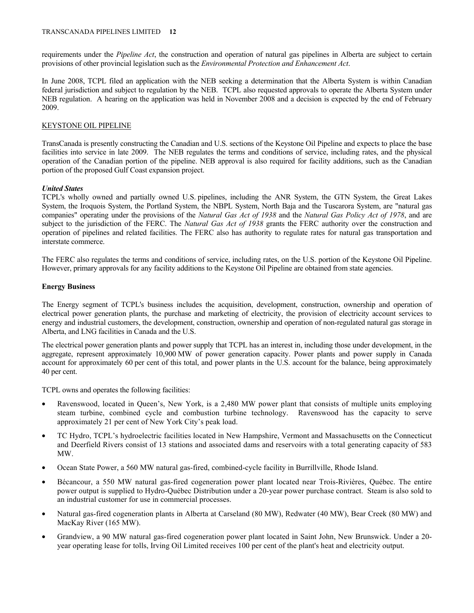requirements under the *Pipeline Act*, the construction and operation of natural gas pipelines in Alberta are subject to certain provisions of other provincial legislation such as the *Environmental Protection and Enhancement Act*.

In June 2008, TCPL filed an application with the NEB seeking a determination that the Alberta System is within Canadian federal jurisdiction and subject to regulation by the NEB. TCPL also requested approvals to operate the Alberta System under NEB regulation. A hearing on the application was held in November 2008 and a decision is expected by the end of February 2009.

# KEYSTONE OIL PIPELINE

TransCanada is presently constructing the Canadian and U.S. sections of the Keystone Oil Pipeline and expects to place the base facilities into service in late 2009. The NEB regulates the terms and conditions of service, including rates, and the physical operation of the Canadian portion of the pipeline. NEB approval is also required for facility additions, such as the Canadian portion of the proposed Gulf Coast expansion project.

# *United States*

TCPL's wholly owned and partially owned U.S. pipelines, including the ANR System, the GTN System, the Great Lakes System, the Iroquois System, the Portland System, the NBPL System, North Baja and the Tuscarora System, are "natural gas companies" operating under the provisions of the *Natural Gas Act of 1938* and the *Natural Gas Policy Act of 1978*, and are subject to the jurisdiction of the FERC. The *Natural Gas Act of 1938* grants the FERC authority over the construction and operation of pipelines and related facilities. The FERC also has authority to regulate rates for natural gas transportation and interstate commerce.

The FERC also regulates the terms and conditions of service, including rates, on the U.S. portion of the Keystone Oil Pipeline. However, primary approvals for any facility additions to the Keystone Oil Pipeline are obtained from state agencies.

### **Energy Business**

The Energy segment of TCPL's business includes the acquisition, development, construction, ownership and operation of electrical power generation plants, the purchase and marketing of electricity, the provision of electricity account services to energy and industrial customers, the development, construction, ownership and operation of non-regulated natural gas storage in Alberta, and LNG facilities in Canada and the U.S.

The electrical power generation plants and power supply that TCPL has an interest in, including those under development, in the aggregate, represent approximately 10,900 MW of power generation capacity. Power plants and power supply in Canada account for approximately 60 per cent of this total, and power plants in the U.S. account for the balance, being approximately 40 per cent.

TCPL owns and operates the following facilities:

- Ravenswood, located in Queen's, New York, is a 2,480 MW power plant that consists of multiple units employing steam turbine, combined cycle and combustion turbine technology. Ravenswood has the capacity to serve approximately 21 per cent of New York City's peak load.
- TC Hydro, TCPL's hydroelectric facilities located in New Hampshire, Vermont and Massachusetts on the Connecticut and Deerfield Rivers consist of 13 stations and associated dams and reservoirs with a total generating capacity of 583 MW.
- Ocean State Power, a 560 MW natural gas-fired, combined-cycle facility in Burrillville, Rhode Island.
- Bécancour, a 550 MW natural gas-fired cogeneration power plant located near Trois-Rivières, Québec. The entire power output is supplied to Hydro-Québec Distribution under a 20-year power purchase contract. Steam is also sold to an industrial customer for use in commercial processes.
- Natural gas-fired cogeneration plants in Alberta at Carseland (80 MW), Redwater (40 MW), Bear Creek (80 MW) and MacKay River (165 MW).
- Grandview, a 90 MW natural gas-fired cogeneration power plant located in Saint John, New Brunswick. Under a 20 year operating lease for tolls, Irving Oil Limited receives 100 per cent of the plant's heat and electricity output.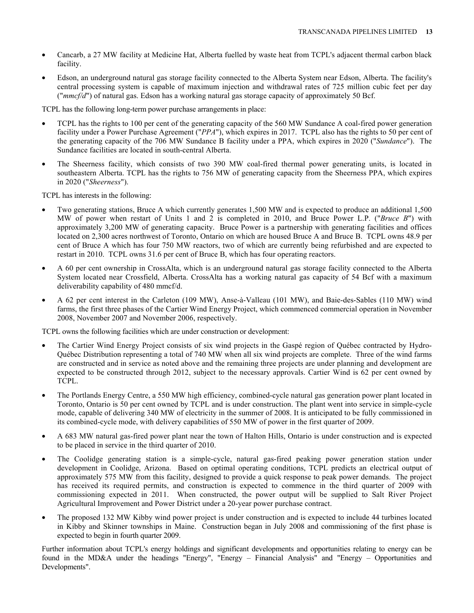- Cancarb, a 27 MW facility at Medicine Hat, Alberta fuelled by waste heat from TCPL's adjacent thermal carbon black facility.
- Edson, an underground natural gas storage facility connected to the Alberta System near Edson, Alberta. The facility's central processing system is capable of maximum injection and withdrawal rates of 725 million cubic feet per day ("*mmcf/d*") of natural gas. Edson has a working natural gas storage capacity of approximately 50 Bcf.

TCPL has the following long-term power purchase arrangements in place:

- TCPL has the rights to 100 per cent of the generating capacity of the 560 MW Sundance A coal-fired power generation facility under a Power Purchase Agreement ("*PPA*"), which expires in 2017. TCPL also has the rights to 50 per cent of the generating capacity of the 706 MW Sundance B facility under a PPA, which expires in 2020 ("*Sundance*"). The Sundance facilities are located in south-central Alberta.
- The Sheerness facility, which consists of two 390 MW coal-fired thermal power generating units, is located in southeastern Alberta. TCPL has the rights to 756 MW of generating capacity from the Sheerness PPA, which expires in 2020 ("*Sheerness*").

TCPL has interests in the following:

- Two generating stations, Bruce A which currently generates 1,500 MW and is expected to produce an additional 1,500 MW of power when restart of Units 1 and 2 is completed in 2010, and Bruce Power L.P. ("*Bruce B*") with approximately 3,200 MW of generating capacity. Bruce Power is a partnership with generating facilities and offices located on 2,300 acres northwest of Toronto, Ontario on which are housed Bruce A and Bruce B. TCPL owns 48.9 per cent of Bruce A which has four 750 MW reactors, two of which are currently being refurbished and are expected to restart in 2010. TCPL owns 31.6 per cent of Bruce B, which has four operating reactors.
- A 60 per cent ownership in CrossAlta, which is an underground natural gas storage facility connected to the Alberta System located near Crossfield, Alberta. CrossAlta has a working natural gas capacity of 54 Bcf with a maximum deliverability capability of 480 mmcf/d.
- A 62 per cent interest in the Carleton (109 MW), Anse-à-Valleau (101 MW), and Baie-des-Sables (110 MW) wind farms, the first three phases of the Cartier Wind Energy Project, which commenced commercial operation in November 2008, November 2007 and November 2006, respectively.

TCPL owns the following facilities which are under construction or development:

- The Cartier Wind Energy Project consists of six wind projects in the Gaspé region of Québec contracted by Hydro-Québec Distribution representing a total of 740 MW when all six wind projects are complete. Three of the wind farms are constructed and in service as noted above and the remaining three projects are under planning and development are expected to be constructed through 2012, subject to the necessary approvals. Cartier Wind is 62 per cent owned by TCPL.
- The Portlands Energy Centre, a 550 MW high efficiency, combined-cycle natural gas generation power plant located in Toronto, Ontario is 50 per cent owned by TCPL and is under construction. The plant went into service in simple-cycle mode, capable of delivering 340 MW of electricity in the summer of 2008. It is anticipated to be fully commissioned in its combined-cycle mode, with delivery capabilities of 550 MW of power in the first quarter of 2009.
- A 683 MW natural gas-fired power plant near the town of Halton Hills, Ontario is under construction and is expected to be placed in service in the third quarter of 2010.
- The Coolidge generating station is a simple-cycle, natural gas-fired peaking power generation station under development in Coolidge, Arizona. Based on optimal operating conditions, TCPL predicts an electrical output of approximately 575 MW from this facility, designed to provide a quick response to peak power demands. The project has received its required permits, and construction is expected to commence in the third quarter of 2009 with commissioning expected in 2011. When constructed, the power output will be supplied to Salt River Project Agricultural Improvement and Power District under a 20-year power purchase contract.
- The proposed 132 MW Kibby wind power project is under construction and is expected to include 44 turbines located in Kibby and Skinner townships in Maine. Construction began in July 2008 and commissioning of the first phase is expected to begin in fourth quarter 2009.

Further information about TCPL's energy holdings and significant developments and opportunities relating to energy can be found in the MD&A under the headings "Energy", "Energy – Financial Analysis" and "Energy – Opportunities and Developments".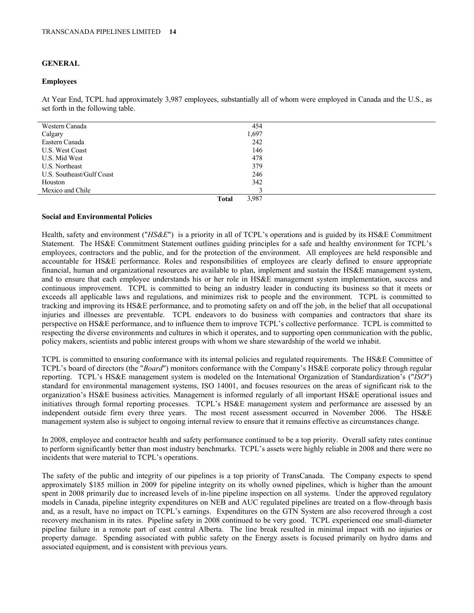# **GENERAL**

#### **Employees**

At Year End, TCPL had approximately 3,987 employees, substantially all of whom were employed in Canada and the U.S., as set forth in the following table.

| Western Canada            | 454                   |  |
|---------------------------|-----------------------|--|
| Calgary                   | 1,697                 |  |
| Eastern Canada            | 242                   |  |
| <b>U.S. West Coast</b>    | 146                   |  |
| U.S. Mid West             | 478                   |  |
| U.S. Northeast            | 379                   |  |
| U.S. Southeast/Gulf Coast | 246                   |  |
| Houston                   | 342                   |  |
| Mexico and Chile          |                       |  |
|                           | 3,987<br><b>Total</b> |  |

### **Social and Environmental Policies**

Health, safety and environment ("*HS&E*") is a priority in all of TCPL's operations and is guided by its HS&E Commitment Statement. The HS&E Commitment Statement outlines guiding principles for a safe and healthy environment for TCPL's employees, contractors and the public, and for the protection of the environment. All employees are held responsible and accountable for HS&E performance. Roles and responsibilities of employees are clearly defined to ensure appropriate financial, human and organizational resources are available to plan, implement and sustain the HS&E management system, and to ensure that each employee understands his or her role in HS&E management system implementation, success and continuous improvement. TCPL is committed to being an industry leader in conducting its business so that it meets or exceeds all applicable laws and regulations, and minimizes risk to people and the environment. TCPL is committed to tracking and improving its HS&E performance, and to promoting safety on and off the job, in the belief that all occupational injuries and illnesses are preventable. TCPL endeavors to do business with companies and contractors that share its perspective on HS&E performance, and to influence them to improve TCPL's collective performance. TCPL is committed to respecting the diverse environments and cultures in which it operates, and to supporting open communication with the public, policy makers, scientists and public interest groups with whom we share stewardship of the world we inhabit.

TCPL is committed to ensuring conformance with its internal policies and regulated requirements. The HS&E Committee of TCPL's board of directors (the "*Board*") monitors conformance with the Company's HS&E corporate policy through regular reporting. TCPL's HS&E management system is modeled on the International Organization of Standardization's ("*ISO*") standard for environmental management systems, ISO 14001, and focuses resources on the areas of significant risk to the organization's HS&E business activities. Management is informed regularly of all important HS&E operational issues and initiatives through formal reporting processes. TCPL's HS&E management system and performance are assessed by an independent outside firm every three years. The most recent assessment occurred in November 2006. The HS&E management system also is subject to ongoing internal review to ensure that it remains effective as circumstances change.

In 2008, employee and contractor health and safety performance continued to be a top priority. Overall safety rates continue to perform significantly better than most industry benchmarks. TCPL's assets were highly reliable in 2008 and there were no incidents that were material to TCPL's operations.

The safety of the public and integrity of our pipelines is a top priority of TransCanada. The Company expects to spend approximately \$185 million in 2009 for pipeline integrity on its wholly owned pipelines, which is higher than the amount spent in 2008 primarily due to increased levels of in-line pipeline inspection on all systems. Under the approved regulatory models in Canada, pipeline integrity expenditures on NEB and AUC regulated pipelines are treated on a flow-through basis and, as a result, have no impact on TCPL's earnings. Expenditures on the GTN System are also recovered through a cost recovery mechanism in its rates. Pipeline safety in 2008 continued to be very good. TCPL experienced one small-diameter pipeline failure in a remote part of east central Alberta. The line break resulted in minimal impact with no injuries or property damage. Spending associated with public safety on the Energy assets is focused primarily on hydro dams and associated equipment, and is consistent with previous years.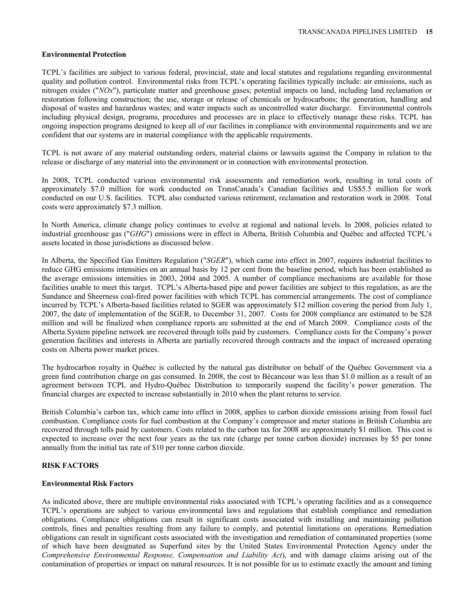#### **Environmental Protection**

TCPL's facilities are subject to various federal, provincial, state and local statutes and regulations regarding environmental quality and pollution control. Environmental risks from TCPL's operating facilities typically include: air emissions, such as nitrogen oxides ("*NOx*"), particulate matter and greenhouse gases; potential impacts on land, including land reclamation or restoration following construction; the use, storage or release of chemicals or hydrocarbons; the generation, handling and disposal of wastes and hazardous wastes; and water impacts such as uncontrolled water discharge. Environmental controls including physical design, programs, procedures and processes are in place to effectively manage these risks. TCPL has ongoing inspection programs designed to keep all of our facilities in compliance with environmental requirements and we are confident that our systems are in material compliance with the applicable requirements.

TCPL is not aware of any material outstanding orders, material claims or lawsuits against the Company in relation to the release or discharge of any material into the environment or in connection with environmental protection.

In 2008, TCPL conducted various environmental risk assessments and remediation work, resulting in total costs of approximately \$7.0 million for work conducted on TransCanada's Canadian facilities and US\$5.5 million for work conducted on our U.S. facilities. TCPL also conducted various retirement, reclamation and restoration work in 2008. Total costs were approximately \$7.3 million.

In North America, climate change policy continues to evolve at regional and national levels. In 2008, policies related to industrial greenhouse gas ("*GHG*") emissions were in effect in Alberta, British Columbia and Québec and affected TCPL's assets located in those jurisdictions as discussed below.

In Alberta, the Specified Gas Emitters Regulation ("*SGER*"), which came into effect in 2007, requires industrial facilities to reduce GHG emissions intensities on an annual basis by 12 per cent from the baseline period, which has been established as the average emissions intensities in 2003, 2004 and 2005. A number of compliance mechanisms are available for those facilities unable to meet this target. TCPL's Alberta-based pipe and power facilities are subject to this regulation, as are the Sundance and Sheerness coal-fired power facilities with which TCPL has commercial arrangements. The cost of compliance incurred by TCPL's Alberta-based facilities related to SGER was approximately \$12 million covering the period from July 1, 2007, the date of implementation of the SGER, to December 31, 2007. Costs for 2008 compliance are estimated to be \$28 million and will be finalized when compliance reports are submitted at the end of March 2009. Compliance costs of the Alberta System pipeline network are recovered through tolls paid by customers. Compliance costs for the Company's power generation facilities and interests in Alberta are partially recovered through contracts and the impact of increased operating costs on Alberta power market prices.

The hydrocarbon royalty in Québec is collected by the natural gas distributor on behalf of the Québec Government via a green fund contribution charge on gas consumed. In 2008, the cost to Bécancour was less than \$1.0 million as a result of an agreement between TCPL and Hydro-Québec Distribution to temporarily suspend the facility's power generation. The financial charges are expected to increase substantially in 2010 when the plant returns to service.

British Columbia's carbon tax, which came into effect in 2008, applies to carbon dioxide emissions arising from fossil fuel combustion. Compliance costs for fuel combustion at the Company's compressor and meter stations in British Columbia are recovered through tolls paid by customers. Costs related to the carbon tax for 2008 are approximately \$1 million. This cost is expected to increase over the next four years as the tax rate (charge per tonne carbon dioxide) increases by \$5 per tonne annually from the initial tax rate of \$10 per tonne carbon dioxide.

# **RISK FACTORS**

### **Environmental Risk Factors**

As indicated above, there are multiple environmental risks associated with TCPL's operating facilities and as a consequence TCPL's operations are subject to various environmental laws and regulations that establish compliance and remediation obligations. Compliance obligations can result in significant costs associated with installing and maintaining pollution controls, fines and penalties resulting from any failure to comply, and potential limitations on operations. Remediation obligations can result in significant costs associated with the investigation and remediation of contaminated properties (some of which have been designated as Superfund sites by the United States Environmental Protection Agency under the *Comprehensive Environmental Response, Compensation and Liability Act*), and with damage claims arising out of the contamination of properties or impact on natural resources. It is not possible for us to estimate exactly the amount and timing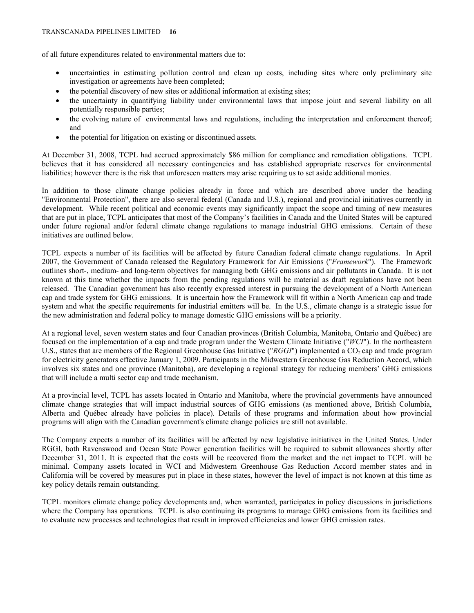of all future expenditures related to environmental matters due to:

- uncertainties in estimating pollution control and clean up costs, including sites where only preliminary site investigation or agreements have been completed;
- the potential discovery of new sites or additional information at existing sites;
- the uncertainty in quantifying liability under environmental laws that impose joint and several liability on all potentially responsible parties;
- the evolving nature of environmental laws and regulations, including the interpretation and enforcement thereof; and
- the potential for litigation on existing or discontinued assets.

At December 31, 2008, TCPL had accrued approximately \$86 million for compliance and remediation obligations. TCPL believes that it has considered all necessary contingencies and has established appropriate reserves for environmental liabilities; however there is the risk that unforeseen matters may arise requiring us to set aside additional monies.

In addition to those climate change policies already in force and which are described above under the heading "Environmental Protection", there are also several federal (Canada and U.S.), regional and provincial initiatives currently in development. While recent political and economic events may significantly impact the scope and timing of new measures that are put in place, TCPL anticipates that most of the Company's facilities in Canada and the United States will be captured under future regional and/or federal climate change regulations to manage industrial GHG emissions. Certain of these initiatives are outlined below.

TCPL expects a number of its facilities will be affected by future Canadian federal climate change regulations. In April 2007, the Government of Canada released the Regulatory Framework for Air Emissions ("*Framework*"). The Framework outlines short-, medium- and long-term objectives for managing both GHG emissions and air pollutants in Canada. It is not known at this time whether the impacts from the pending regulations will be material as draft regulations have not been released. The Canadian government has also recently expressed interest in pursuing the development of a North American cap and trade system for GHG emissions. It is uncertain how the Framework will fit within a North American cap and trade system and what the specific requirements for industrial emitters will be. In the U.S., climate change is a strategic issue for the new administration and federal policy to manage domestic GHG emissions will be a priority.

At a regional level, seven western states and four Canadian provinces (British Columbia, Manitoba, Ontario and Québec) are focused on the implementation of a cap and trade program under the Western Climate Initiative ("*WCI*"). In the northeastern U.S., states that are members of the Regional Greenhouse Gas Initiative ("*RGGI*") implemented a CO<sub>2</sub> cap and trade program for electricity generators effective January 1, 2009. Participants in the Midwestern Greenhouse Gas Reduction Accord, which involves six states and one province (Manitoba), are developing a regional strategy for reducing members' GHG emissions that will include a multi sector cap and trade mechanism.

At a provincial level, TCPL has assets located in Ontario and Manitoba, where the provincial governments have announced climate change strategies that will impact industrial sources of GHG emissions (as mentioned above, British Columbia, Alberta and Québec already have policies in place). Details of these programs and information about how provincial programs will align with the Canadian government's climate change policies are still not available.

The Company expects a number of its facilities will be affected by new legislative initiatives in the United States. Under RGGI, both Ravenswood and Ocean State Power generation facilities will be required to submit allowances shortly after December 31, 2011. It is expected that the costs will be recovered from the market and the net impact to TCPL will be minimal. Company assets located in WCI and Midwestern Greenhouse Gas Reduction Accord member states and in California will be covered by measures put in place in these states, however the level of impact is not known at this time as key policy details remain outstanding.

TCPL monitors climate change policy developments and, when warranted, participates in policy discussions in jurisdictions where the Company has operations. TCPL is also continuing its programs to manage GHG emissions from its facilities and to evaluate new processes and technologies that result in improved efficiencies and lower GHG emission rates.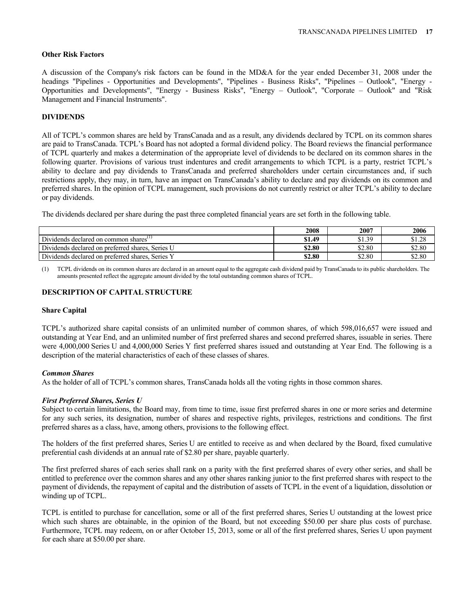#### **Other Risk Factors**

A discussion of the Company's risk factors can be found in the MD&A for the year ended December 31, 2008 under the headings "Pipelines - Opportunities and Developments", "Pipelines - Business Risks", "Pipelines – Outlook", "Energy - Opportunities and Developments", "Energy - Business Risks", "Energy – Outlook", "Corporate – Outlook" and "Risk Management and Financial Instruments".

# **DIVIDENDS**

All of TCPL's common shares are held by TransCanada and as a result, any dividends declared by TCPL on its common shares are paid to TransCanada. TCPL's Board has not adopted a formal dividend policy. The Board reviews the financial performance of TCPL quarterly and makes a determination of the appropriate level of dividends to be declared on its common shares in the following quarter. Provisions of various trust indentures and credit arrangements to which TCPL is a party, restrict TCPL's ability to declare and pay dividends to TransCanada and preferred shareholders under certain circumstances and, if such restrictions apply, they may, in turn, have an impact on TransCanada's ability to declare and pay dividends on its common and preferred shares. In the opinion of TCPL management, such provisions do not currently restrict or alter TCPL's ability to declare or pay dividends.

The dividends declared per share during the past three completed financial years are set forth in the following table.

|                                                  | 2008   | 2007   | 2006   |
|--------------------------------------------------|--------|--------|--------|
| Dividends declared on common shares"             | \$1.49 | \$1.39 | \$1.28 |
| Dividends declared on preferred shares, Series U | \$2.80 | \$2.80 | \$2.80 |
| Dividends declared on preferred shares, Series Y | \$2.80 | \$2.80 | \$2.80 |

(1) TCPL dividends on its common shares are declared in an amount equal to the aggregate cash dividend paid by TransCanada to its public shareholders. The amounts presented reflect the aggregate amount divided by the total outstanding common shares of TCPL.

# **DESCRIPTION OF CAPITAL STRUCTURE**

#### **Share Capital**

TCPL's authorized share capital consists of an unlimited number of common shares, of which 598,016,657 were issued and outstanding at Year End, and an unlimited number of first preferred shares and second preferred shares, issuable in series. There were 4,000,000 Series U and 4,000,000 Series Y first preferred shares issued and outstanding at Year End. The following is a description of the material characteristics of each of these classes of shares.

#### *Common Shares*

As the holder of all of TCPL's common shares, TransCanada holds all the voting rights in those common shares.

### *First Preferred Shares, Series U*

Subject to certain limitations, the Board may, from time to time, issue first preferred shares in one or more series and determine for any such series, its designation, number of shares and respective rights, privileges, restrictions and conditions. The first preferred shares as a class, have, among others, provisions to the following effect.

The holders of the first preferred shares, Series U are entitled to receive as and when declared by the Board, fixed cumulative preferential cash dividends at an annual rate of \$2.80 per share, payable quarterly.

The first preferred shares of each series shall rank on a parity with the first preferred shares of every other series, and shall be entitled to preference over the common shares and any other shares ranking junior to the first preferred shares with respect to the payment of dividends, the repayment of capital and the distribution of assets of TCPL in the event of a liquidation, dissolution or winding up of TCPL.

TCPL is entitled to purchase for cancellation, some or all of the first preferred shares, Series U outstanding at the lowest price which such shares are obtainable, in the opinion of the Board, but not exceeding \$50.00 per share plus costs of purchase. Furthermore, TCPL may redeem, on or after October 15, 2013, some or all of the first preferred shares, Series U upon payment for each share at \$50.00 per share.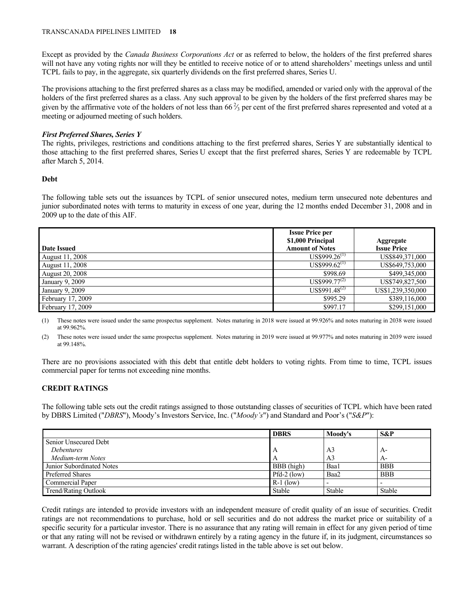Except as provided by the *Canada Business Corporations Act* or as referred to below, the holders of the first preferred shares will not have any voting rights nor will they be entitled to receive notice of or to attend shareholders' meetings unless and until TCPL fails to pay, in the aggregate, six quarterly dividends on the first preferred shares, Series U.

The provisions attaching to the first preferred shares as a class may be modified, amended or varied only with the approval of the holders of the first preferred shares as a class. Any such approval to be given by the holders of the first preferred shares may be given by the affirmative vote of the holders of not less than  $66\frac{2}{3}$  per cent of the first preferred shares represented and voted at a meeting or adjourned meeting of such holders.

# *First Preferred Shares, Series Y*

The rights, privileges, restrictions and conditions attaching to the first preferred shares, Series Y are substantially identical to those attaching to the first preferred shares, Series U except that the first preferred shares, Series Y are redeemable by TCPL after March 5, 2014.

# **Debt**

The following table sets out the issuances by TCPL of senior unsecured notes, medium term unsecured note debentures and junior subordinated notes with terms to maturity in excess of one year, during the 12 months ended December 31, 2008 and in 2009 up to the date of this AIF.

| <b>Date Issued</b>     | <b>Issue Price per</b><br>\$1,000 Principal<br><b>Amount of Notes</b> | <b>Aggregate</b><br><b>Issue Price</b> |
|------------------------|-----------------------------------------------------------------------|----------------------------------------|
| <b>August 11, 2008</b> | $US$999.26^{(1)}$                                                     | US\$849,371,000                        |
| August 11, 2008        | $US$999.62^{(1)}$                                                     | US\$649,753,000                        |
| <b>August 20, 2008</b> | \$998.69                                                              | \$499,345,000                          |
| January 9, 2009        | US\$999.77 <sup>(2)</sup>                                             | US\$749,827,500                        |
| January 9, 2009        | $US$991.48^{(2)}$                                                     | US\$1,239,350,000                      |
| February 17, 2009      | \$995.29                                                              | \$389,116,000                          |
| February 17, 2009      | \$997.17                                                              | \$299,151,000                          |

(1) These notes were issued under the same prospectus supplement. Notes maturing in 2018 were issued at 99.926% and notes maturing in 2038 were issued at 99.962%.

(2) These notes were issued under the same prospectus supplement. Notes maturing in 2019 were issued at 99.977% and notes maturing in 2039 were issued at 99.148%.

There are no provisions associated with this debt that entitle debt holders to voting rights. From time to time, TCPL issues commercial paper for terms not exceeding nine months.

# **CREDIT RATINGS**

The following table sets out the credit ratings assigned to those outstanding classes of securities of TCPL which have been rated by DBRS Limited ("*DBRS*"), Moody's Investors Service, Inc. ("*Moody's*") and Standard and Poor's ("*S&P*"):

|                             | <b>DBRS</b>   | Moody's | $S\&P$     |
|-----------------------------|---------------|---------|------------|
| Senior Unsecured Debt       |               |         |            |
| <i>Debentures</i>           |               | A3      | $A-$       |
| Medium-term Notes           |               | A3      | $A-$       |
| Junior Subordinated Notes   | BBB (high)    | Baa1    | <b>BBB</b> |
| <b>Preferred Shares</b>     | $Pfd-2$ (low) | Baa2    | BBB        |
| <b>Commercial Paper</b>     | $R-1$ (low)   |         |            |
| <b>Trend/Rating Outlook</b> | Stable        | Stable  | Stable     |

Credit ratings are intended to provide investors with an independent measure of credit quality of an issue of securities. Credit ratings are not recommendations to purchase, hold or sell securities and do not address the market price or suitability of a specific security for a particular investor. There is no assurance that any rating will remain in effect for any given period of time or that any rating will not be revised or withdrawn entirely by a rating agency in the future if, in its judgment, circumstances so warrant. A description of the rating agencies' credit ratings listed in the table above is set out below.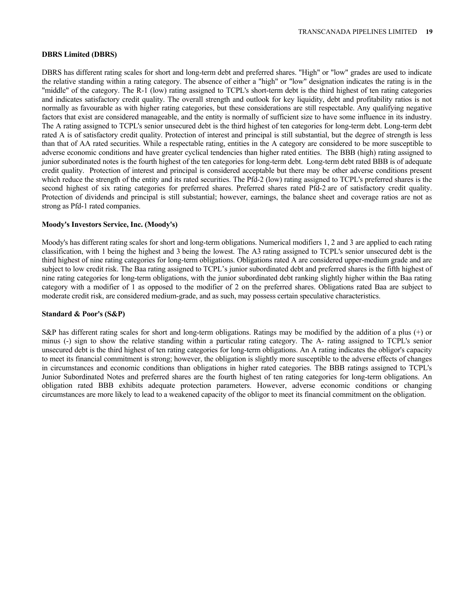#### **DBRS Limited (DBRS)**

DBRS has different rating scales for short and long-term debt and preferred shares. "High" or "low" grades are used to indicate the relative standing within a rating category. The absence of either a "high" or "low" designation indicates the rating is in the "middle" of the category. The R-1 (low) rating assigned to TCPL's short-term debt is the third highest of ten rating categories and indicates satisfactory credit quality. The overall strength and outlook for key liquidity, debt and profitability ratios is not normally as favourable as with higher rating categories, but these considerations are still respectable. Any qualifying negative factors that exist are considered manageable, and the entity is normally of sufficient size to have some influence in its industry. The A rating assigned to TCPL's senior unsecured debt is the third highest of ten categories for long-term debt. Long-term debt rated A is of satisfactory credit quality. Protection of interest and principal is still substantial, but the degree of strength is less than that of AA rated securities. While a respectable rating, entities in the A category are considered to be more susceptible to adverse economic conditions and have greater cyclical tendencies than higher rated entities. The BBB (high) rating assigned to junior subordinated notes is the fourth highest of the ten categories for long-term debt. Long-term debt rated BBB is of adequate credit quality. Protection of interest and principal is considered acceptable but there may be other adverse conditions present which reduce the strength of the entity and its rated securities. The Pfd-2 (low) rating assigned to TCPL's preferred shares is the second highest of six rating categories for preferred shares. Preferred shares rated Pfd-2 are of satisfactory credit quality. Protection of dividends and principal is still substantial; however, earnings, the balance sheet and coverage ratios are not as strong as Pfd-1 rated companies.

### **Moody's Investors Service, Inc. (Moody's)**

Moody's has different rating scales for short and long-term obligations. Numerical modifiers 1, 2 and 3 are applied to each rating classification, with 1 being the highest and 3 being the lowest. The A3 rating assigned to TCPL's senior unsecured debt is the third highest of nine rating categories for long-term obligations. Obligations rated A are considered upper-medium grade and are subject to low credit risk. The Baa rating assigned to TCPL's junior subordinated debt and preferred shares is the fifth highest of nine rating categories for long-term obligations, with the junior subordinated debt ranking slightly higher within the Baa rating category with a modifier of 1 as opposed to the modifier of 2 on the preferred shares. Obligations rated Baa are subject to moderate credit risk, are considered medium-grade, and as such, may possess certain speculative characteristics.

#### **Standard & Poor's (S&P)**

S&P has different rating scales for short and long-term obligations. Ratings may be modified by the addition of a plus (+) or minus (-) sign to show the relative standing within a particular rating category. The A- rating assigned to TCPL's senior unsecured debt is the third highest of ten rating categories for long-term obligations. An A rating indicates the obligor's capacity to meet its financial commitment is strong; however, the obligation is slightly more susceptible to the adverse effects of changes in circumstances and economic conditions than obligations in higher rated categories. The BBB ratings assigned to TCPL's Junior Subordinated Notes and preferred shares are the fourth highest of ten rating categories for long-term obligations. An obligation rated BBB exhibits adequate protection parameters. However, adverse economic conditions or changing circumstances are more likely to lead to a weakened capacity of the obligor to meet its financial commitment on the obligation.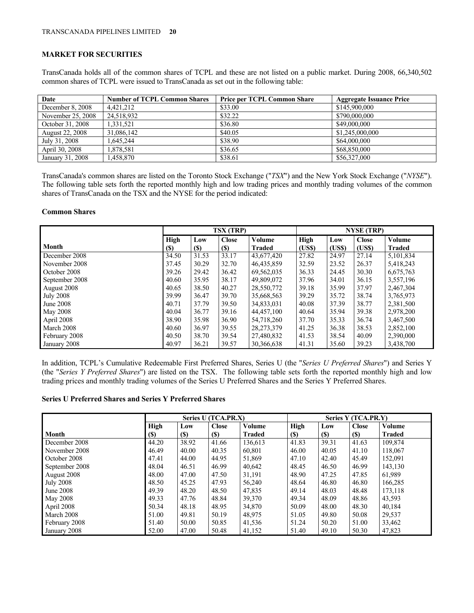# **MARKET FOR SECURITIES**

TransCanada holds all of the common shares of TCPL and these are not listed on a public market. During 2008, 66,340,502 common shares of TCPL were issued to TransCanada as set out in the following table:

| Date                   | <b>Number of TCPL Common Shares</b> | <b>Price per TCPL Common Share</b> | <b>Aggregate Issuance Price</b> |
|------------------------|-------------------------------------|------------------------------------|---------------------------------|
| December 8, 2008       | 4.421.212                           | \$33.00                            | \$145,900,000                   |
| November 25, 2008      | 24.518.932                          | \$32.22                            | \$790,000,000                   |
| October 31, 2008       | 1.331.521                           | \$36.80                            | \$49,000,000                    |
| <b>August 22, 2008</b> | 31.086.142                          | \$40.05                            | \$1,245,000,000                 |
| July 31, 2008          | 1.645.244                           | \$38.90                            | \$64,000,000                    |
| April 30, 2008         | 1.878.581                           | \$36.65                            | \$68,850,000                    |
| January 31, 2008       | 1.458.870                           | \$38.61                            | \$56,327,000                    |

TransCanada's common shares are listed on the Toronto Stock Exchange ("*TSX*") and the New York Stock Exchange ("*NYSE*"). The following table sets forth the reported monthly high and low trading prices and monthly trading volumes of the common shares of TransCanada on the TSX and the NYSE for the period indicated:

# **Common Shares**

|                  | <b>TSX (TRP)</b> |             |              |               | <b>NYSE (TRP)</b> |        |              |               |
|------------------|------------------|-------------|--------------|---------------|-------------------|--------|--------------|---------------|
|                  | High             | Low         | <b>Close</b> | Volume        | High              | Low    | <b>Close</b> | Volume        |
| <b>Month</b>     | <b>(\$)</b>      | <b>(\$)</b> | <b>(\$)</b>  | <b>Traded</b> | (US\$)            | (US\$) | (US\$)       | <b>Traded</b> |
| December 2008    | 34.50            | 31.53       | 33.17        | 43,677,420    | 27.82             | 24.97  | 27.14        | 5,101,834     |
| November 2008    | 37.45            | 30.29       | 32.70        | 46,435,859    | 32.59             | 23.52  | 26.37        | 5,418,243     |
| October 2008     | 39.26            | 29.42       | 36.42        | 69,562,035    | 36.33             | 24.45  | 30.30        | 6,675,763     |
| September 2008   | 40.60            | 35.95       | 38.17        | 49,809,072    | 37.96             | 34.01  | 36.15        | 3,557,196     |
| August 2008      | 40.65            | 38.50       | 40.27        | 28,550,772    | 39.18             | 35.99  | 37.97        | 2,467,304     |
| <b>July 2008</b> | 39.99            | 36.47       | 39.70        | 35,668,563    | 39.29             | 35.72  | 38.74        | 3,765,973     |
| <b>June 2008</b> | 40.71            | 37.79       | 39.50        | 34,833,031    | 40.08             | 37.39  | 38.77        | 2,381,500     |
| <b>May 2008</b>  | 40.04            | 36.77       | 39.16        | 44,457,100    | 40.64             | 35.94  | 39.38        | 2,978,200     |
| April 2008       | 38.90            | 35.98       | 36.90        | 54,718,260    | 37.70             | 35.33  | 36.74        | 3,467,500     |
| March 2008       | 40.60            | 36.97       | 39.55        | 28,273,379    | 41.25             | 36.38  | 38.53        | 2,852,100     |
| February 2008    | 40.50            | 38.70       | 39.54        | 27,480,832    | 41.53             | 38.54  | 40.09        | 2,390,000     |
| January 2008     | 40.97            | 36.21       | 39.57        | 30,366,638    | 41.31             | 35.60  | 39.23        | 3,438,700     |

In addition, TCPL's Cumulative Redeemable First Preferred Shares, Series U (the "*Series U Preferred Shares*") and Series Y (the "*Series Y Preferred Shares*") are listed on the TSX. The following table sets forth the reported monthly high and low trading prices and monthly trading volumes of the Series U Preferred Shares and the Series Y Preferred Shares.

### **Series U Preferred Shares and Series Y Preferred Shares**

|                  | Series U (TCA.PR.X) |             |              | Series Y (TCA.PR.Y) |       |             |              |               |
|------------------|---------------------|-------------|--------------|---------------------|-------|-------------|--------------|---------------|
|                  | High                | Low         | <b>Close</b> | Volume              | High  | Low         | <b>Close</b> | <b>Volume</b> |
| <b>Month</b>     | (S)                 | <b>(\$)</b> | (S)          | Traded              | (S)   | <b>(\$)</b> | $(S)$        | <b>Traded</b> |
| December 2008    | 44.20               | 38.92       | 41.66        | 136,613             | 41.83 | 39.31       | 41.63        | 109,874       |
| November 2008    | 46.49               | 40.00       | 40.35        | 60.801              | 46.00 | 40.05       | 41.10        | 118,067       |
| October 2008     | 47.41               | 44.00       | 44.95        | 51,869              | 47.10 | 42.40       | 45.49        | 152,091       |
| September 2008   | 48.04               | 46.51       | 46.99        | 40,642              | 48.45 | 46.50       | 46.99        | 143,130       |
| August 2008      | 48.00               | 47.00       | 47.50        | 31,191              | 48.90 | 47.25       | 47.85        | 61,989        |
| <b>July 2008</b> | 48.50               | 45.25       | 47.93        | 56,240              | 48.64 | 46.80       | 46.80        | 166,285       |
| <b>June 2008</b> | 49.39               | 48.20       | 48.50        | 47,835              | 49.14 | 48.03       | 48.48        | 173,118       |
| <b>May 2008</b>  | 49.33               | 47.76       | 48.84        | 39,370              | 49.34 | 48.09       | 48.86        | 43,593        |
| April 2008       | 50.34               | 48.18       | 48.95        | 34.870              | 50.09 | 48.00       | 48.30        | 40,184        |
| March 2008       | 51.00               | 49.81       | 50.19        | 48,975              | 51.05 | 49.80       | 50.08        | 29,537        |
| February 2008    | 51.40               | 50.00       | 50.85        | 41,536              | 51.24 | 50.20       | 51.00        | 33,462        |
| January 2008     | 52.00               | 47.00       | 50.48        | 41,152              | 51.40 | 49.10       | 50.30        | 47,823        |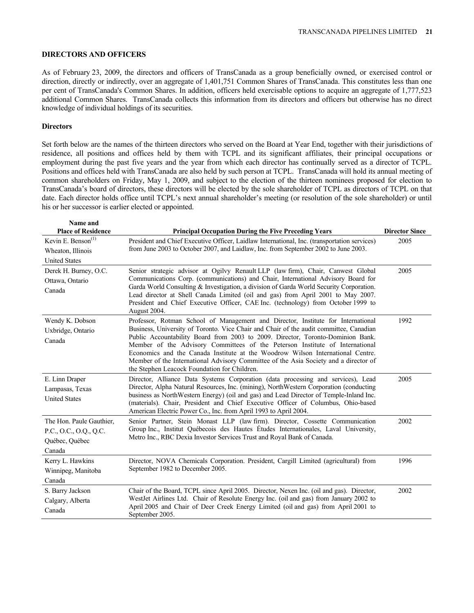#### **DIRECTORS AND OFFICERS**

As of February 23, 2009, the directors and officers of TransCanada as a group beneficially owned, or exercised control or direction, directly or indirectly, over an aggregate of 1,401,751 Common Shares of TransCanada. This constitutes less than one per cent of TransCanada's Common Shares. In addition, officers held exercisable options to acquire an aggregate of 1,777,523 additional Common Shares. TransCanada collects this information from its directors and officers but otherwise has no direct knowledge of individual holdings of its securities.

#### **Directors**

Set forth below are the names of the thirteen directors who served on the Board at Year End, together with their jurisdictions of residence, all positions and offices held by them with TCPL and its significant affiliates, their principal occupations or employment during the past five years and the year from which each director has continually served as a director of TCPL. Positions and offices held with TransCanada are also held by such person at TCPL. TransCanada will hold its annual meeting of common shareholders on Friday, May 1, 2009, and subject to the election of the thirteen nominees proposed for election to TransCanada's board of directors, these directors will be elected by the sole shareholder of TCPL as directors of TCPL on that date. Each director holds office until TCPL's next annual shareholder's meeting (or resolution of the sole shareholder) or until his or her successor is earlier elected or appointed.

| Name and                                                                       |                                                                                                                                                                                                                                                                                                                                                                                                                                                                                                                                                                         |                       |
|--------------------------------------------------------------------------------|-------------------------------------------------------------------------------------------------------------------------------------------------------------------------------------------------------------------------------------------------------------------------------------------------------------------------------------------------------------------------------------------------------------------------------------------------------------------------------------------------------------------------------------------------------------------------|-----------------------|
| <b>Place of Residence</b>                                                      | <b>Principal Occupation During the Five Preceding Years</b>                                                                                                                                                                                                                                                                                                                                                                                                                                                                                                             | <b>Director Since</b> |
| Kevin E. Benson <sup>(1)</sup>                                                 | President and Chief Executive Officer, Laidlaw International, Inc. (transportation services)                                                                                                                                                                                                                                                                                                                                                                                                                                                                            | 2005                  |
| Wheaton, Illinois                                                              | from June 2003 to October 2007, and Laidlaw, Inc. from September 2002 to June 2003.                                                                                                                                                                                                                                                                                                                                                                                                                                                                                     |                       |
| <b>United States</b>                                                           |                                                                                                                                                                                                                                                                                                                                                                                                                                                                                                                                                                         |                       |
| Derek H. Burney, O.C.<br>Ottawa, Ontario<br>Canada                             | Senior strategic advisor at Ogilvy Renault LLP (law firm), Chair, Canwest Global<br>Communications Corp. (communications) and Chair, International Advisory Board for<br>Garda World Consulting & Investigation, a division of Garda World Security Corporation.<br>Lead director at Shell Canada Limited (oil and gas) from April 2001 to May 2007.<br>President and Chief Executive Officer, CAE Inc. (technology) from October 1999 to<br>August 2004.                                                                                                               | 2005                  |
| Wendy K. Dobson<br>Uxbridge, Ontario<br>Canada                                 | Professor, Rotman School of Management and Director, Institute for International<br>Business, University of Toronto. Vice Chair and Chair of the audit committee, Canadian<br>Public Accountability Board from 2003 to 2009. Director, Toronto-Dominion Bank.<br>Member of the Advisory Committees of the Peterson Institute of International<br>Economics and the Canada Institute at the Woodrow Wilson International Centre.<br>Member of the International Advisory Committee of the Asia Society and a director of<br>the Stephen Leacock Foundation for Children. | 1992                  |
| E. Linn Draper<br>Lampasas, Texas<br><b>United States</b>                      | Director, Alliance Data Systems Corporation (data processing and services), Lead<br>Director, Alpha Natural Resources, Inc. (mining), NorthWestern Corporation (conducting<br>business as NorthWestern Energy) (oil and gas) and Lead Director of Temple-Inland Inc.<br>(materials). Chair, President and Chief Executive Officer of Columbus, Ohio-based<br>American Electric Power Co., Inc. from April 1993 to April 2004.                                                                                                                                           | 2005                  |
| The Hon. Paule Gauthier.<br>P.C., O.C., O.Q., Q.C.<br>Québec, Québec<br>Canada | Senior Partner, Stein Monast LLP (law firm). Director, Cossette Communication<br>Group Inc., Institut Québecois des Hautes Études Internationales, Laval University,<br>Metro Inc., RBC Dexia Investor Services Trust and Royal Bank of Canada.                                                                                                                                                                                                                                                                                                                         | 2002                  |
| Kerry L. Hawkins<br>Winnipeg, Manitoba<br>Canada                               | Director, NOVA Chemicals Corporation. President, Cargill Limited (agricultural) from<br>September 1982 to December 2005.                                                                                                                                                                                                                                                                                                                                                                                                                                                | 1996                  |
| S. Barry Jackson<br>Calgary, Alberta<br>Canada                                 | Chair of the Board, TCPL since April 2005. Director, Nexen Inc. (oil and gas). Director,<br>WestJet Airlines Ltd. Chair of Resolute Energy Inc. (oil and gas) from January 2002 to<br>April 2005 and Chair of Deer Creek Energy Limited (oil and gas) from April 2001 to<br>September 2005.                                                                                                                                                                                                                                                                             | 2002                  |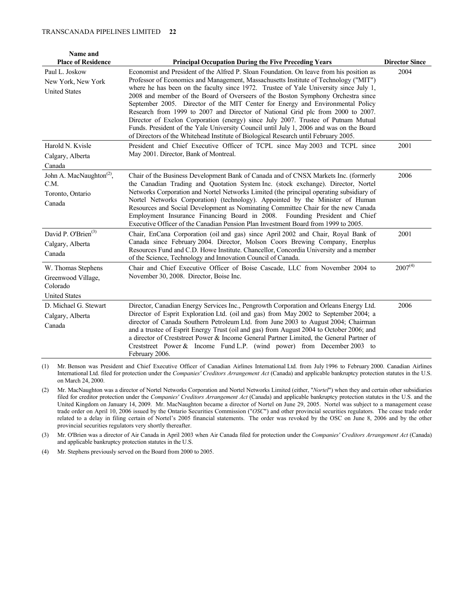#### TRANSCANADA PIPELINES LIMITED **22**

| Name and<br><b>Place of Residence</b>                                        | <b>Principal Occupation During the Five Preceding Years</b>                                                                                                                                                                                                                                                                                                                                                                                                                                                                                                                                                                                                                                                                                                                                               | <b>Director Since</b> |
|------------------------------------------------------------------------------|-----------------------------------------------------------------------------------------------------------------------------------------------------------------------------------------------------------------------------------------------------------------------------------------------------------------------------------------------------------------------------------------------------------------------------------------------------------------------------------------------------------------------------------------------------------------------------------------------------------------------------------------------------------------------------------------------------------------------------------------------------------------------------------------------------------|-----------------------|
| Paul L. Joskow<br>New York, New York<br><b>United States</b>                 | Economist and President of the Alfred P. Sloan Foundation. On leave from his position as<br>Professor of Economics and Management, Massachusetts Institute of Technology ("MIT")<br>where he has been on the faculty since 1972. Trustee of Yale University since July 1,<br>2008 and member of the Board of Overseers of the Boston Symphony Orchestra since<br>September 2005. Director of the MIT Center for Energy and Environmental Policy<br>Research from 1999 to 2007 and Director of National Grid plc from 2000 to 2007.<br>Director of Exelon Corporation (energy) since July 2007. Trustee of Putnam Mutual<br>Funds. President of the Yale University Council until July 1, 2006 and was on the Board<br>of Directors of the Whitehead Institute of Biological Research until February 2005. | 2004                  |
| Harold N. Kvisle<br>Calgary, Alberta<br>Canada                               | President and Chief Executive Officer of TCPL since May 2003 and TCPL since<br>May 2001. Director, Bank of Montreal.                                                                                                                                                                                                                                                                                                                                                                                                                                                                                                                                                                                                                                                                                      | 2001                  |
| John A. MacNaughton <sup>(2)</sup> ,<br>C.M.<br>Toronto, Ontario<br>Canada   | Chair of the Business Development Bank of Canada and of CNSX Markets Inc. (formerly<br>the Canadian Trading and Quotation System Inc. (stock exchange). Director, Nortel<br>Networks Corporation and Nortel Networks Limited (the principal operating subsidiary of<br>Nortel Networks Corporation) (technology). Appointed by the Minister of Human<br>Resources and Social Development as Nominating Committee Chair for the new Canada<br>Employment Insurance Financing Board in 2008.<br>Founding President and Chief<br>Executive Officer of the Canadian Pension Plan Investment Board from 1999 to 2005.                                                                                                                                                                                          | 2006                  |
| David P. O'Brien <sup>(3)</sup><br>Calgary, Alberta<br>Canada                | Chair, EnCana Corporation (oil and gas) since April 2002 and Chair, Royal Bank of<br>Canada since February 2004. Director, Molson Coors Brewing Company, Enerplus<br>Resources Fund and C.D. Howe Institute. Chancellor, Concordia University and a member<br>of the Science, Technology and Innovation Council of Canada.                                                                                                                                                                                                                                                                                                                                                                                                                                                                                | 2001                  |
| W. Thomas Stephens<br>Greenwood Village,<br>Colorado<br><b>United States</b> | Chair and Chief Executive Officer of Boise Cascade, LLC from November 2004 to<br>November 30, 2008. Director, Boise Inc.                                                                                                                                                                                                                                                                                                                                                                                                                                                                                                                                                                                                                                                                                  | $2007^{(4)}$          |
| D. Michael G. Stewart<br>Calgary, Alberta<br>Canada                          | Director, Canadian Energy Services Inc., Pengrowth Corporation and Orleans Energy Ltd.<br>Director of Esprit Exploration Ltd. (oil and gas) from May 2002 to September 2004; a<br>director of Canada Southern Petroleum Ltd. from June 2003 to August 2004; Chairman<br>and a trustee of Esprit Energy Trust (oil and gas) from August 2004 to October 2006; and<br>a director of Creststreet Power & Income General Partner Limited, the General Partner of<br>Creststreet Power & Income Fund L.P. (wind power) from December 2003 to<br>February 2006.                                                                                                                                                                                                                                                 | 2006                  |

(1) Mr. Benson was President and Chief Executive Officer of Canadian Airlines International Ltd. from July 1996 to February 2000. Canadian Airlines International Ltd. filed for protection under the *Companies' Creditors Arrangement Act* (Canada) and applicable bankruptcy protection statutes in the U.S. on March 24, 2000.

(2) Mr. MacNaughton was a director of Nortel Networks Corporation and Nortel Networks Limited (either, "*Nortel*") when they and certain other subsidiaries filed for creditor protection under the *Companies' Creditors Arrangement Act* (Canada) and applicable bankruptcy protection statutes in the U.S. and the United Kingdom on January 14, 2009. Mr. MacNaughton became a director of Nortel on June 29, 2005. Nortel was subject to a management cease trade order on April 10, 2006 issued by the Ontario Securities Commission ("*OSC*") and other provincial securities regulators. The cease trade order related to a delay in filing certain of Nortel's 2005 financial statements. The order was revoked by the OSC on June 8, 2006 and by the other provincial securities regulators very shortly thereafter.

(3) Mr. O'Brien was a director of Air Canada in April 2003 when Air Canada filed for protection under the *Companies' Creditors Arrangement Act* (Canada) and applicable bankruptcy protection statutes in the U.S.

(4) Mr. Stephens previously served on the Board from 2000 to 2005.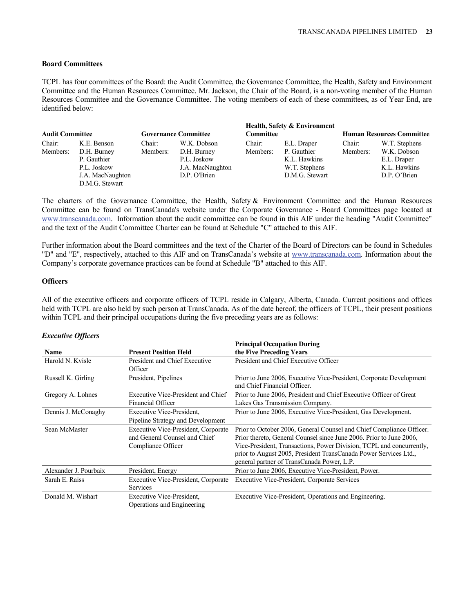# **Board Committees**

TCPL has four committees of the Board: the Audit Committee, the Governance Committee, the Health, Safety and Environment Committee and the Human Resources Committee. Mr. Jackson, the Chair of the Board, is a non-voting member of the Human Resources Committee and the Governance Committee. The voting members of each of these committees, as of Year End, are identified below:

| <b>Audit Committee</b> |                  | <b>Governance Committee</b> |                  | <b>Committee</b> | Health, Safety & Environment | <b>Human Resources Committee</b> |               |  |
|------------------------|------------------|-----------------------------|------------------|------------------|------------------------------|----------------------------------|---------------|--|
| Chair:                 | K.E. Benson      | Chair:                      | W.K. Dobson      | Chair:           | E.L. Draper                  | Chair:                           | W.T. Stephens |  |
| Members:               | D.H. Burney      | Members:                    | D.H. Burney      | Members:         | P. Gauthier                  | Members:                         | W.K. Dobson   |  |
|                        | P. Gauthier      |                             | P.L. Joskow      |                  | K.L. Hawkins                 |                                  | E.L. Draper   |  |
|                        | P.L. Joskow      |                             | J.A. MacNaughton |                  | W.T. Stephens                |                                  | K.L. Hawkins  |  |
|                        | J.A. MacNaughton |                             | D.P. O'Brien     |                  | D.M.G. Stewart               |                                  | D.P. O'Brien  |  |
|                        | D.M.G. Stewart   |                             |                  |                  |                              |                                  |               |  |

The charters of the Governance Committee, the Health, Safety & Environment Committee and the Human Resources Committee can be found on TransCanada's website under the Corporate Governance - Board Committees page located at www.transcanada.com. Information about the audit committee can be found in this AIF under the heading "Audit Committee" and the text of the Audit Committee Charter can be found at Schedule "C" attached to this AIF.

Further information about the Board committees and the text of the Charter of the Board of Directors can be found in Schedules "D" and "E", respectively, attached to this AIF and on TransCanada's website at www.transcanada.com. Information about the Company's corporate governance practices can be found at Schedule "B" attached to this AIF.

### **Officers**

All of the executive officers and corporate officers of TCPL reside in Calgary, Alberta, Canada. Current positions and offices held with TCPL are also held by such person at TransCanada. As of the date hereof, the officers of TCPL, their present positions within TCPL and their principal occupations during the five preceding years are as follows:

### *Executive Officers*

| <b>Name</b>           | <b>Present Position Held</b>                                                                      | <b>Principal Occupation During</b><br>the Five Preceding Years                                                                                                                                                                                                                                                                        |
|-----------------------|---------------------------------------------------------------------------------------------------|---------------------------------------------------------------------------------------------------------------------------------------------------------------------------------------------------------------------------------------------------------------------------------------------------------------------------------------|
| Harold N. Kvisle      | President and Chief Executive<br>Officer                                                          | President and Chief Executive Officer                                                                                                                                                                                                                                                                                                 |
| Russell K. Girling    | President, Pipelines                                                                              | Prior to June 2006, Executive Vice-President, Corporate Development<br>and Chief Financial Officer.                                                                                                                                                                                                                                   |
| Gregory A. Lohnes     | Executive Vice-President and Chief<br><b>Financial Officer</b>                                    | Prior to June 2006, President and Chief Executive Officer of Great<br>Lakes Gas Transmission Company.                                                                                                                                                                                                                                 |
| Dennis J. McConaghy   | Executive Vice-President,<br>Pipeline Strategy and Development                                    | Prior to June 2006, Executive Vice-President, Gas Development.                                                                                                                                                                                                                                                                        |
| Sean McMaster         | <b>Executive Vice-President, Corporate</b><br>and General Counsel and Chief<br>Compliance Officer | Prior to October 2006, General Counsel and Chief Compliance Officer.<br>Prior thereto, General Counsel since June 2006. Prior to June 2006,<br>Vice-President, Transactions, Power Division, TCPL and concurrently,<br>prior to August 2005, President TransCanada Power Services Ltd.,<br>general partner of TransCanada Power, L.P. |
| Alexander J. Pourbaix | President, Energy                                                                                 | Prior to June 2006, Executive Vice-President, Power.                                                                                                                                                                                                                                                                                  |
| Sarah E. Raiss        | <b>Executive Vice-President, Corporate</b><br><b>Services</b>                                     | Executive Vice-President, Corporate Services                                                                                                                                                                                                                                                                                          |
| Donald M. Wishart     | <b>Executive Vice-President,</b><br>Operations and Engineering                                    | Executive Vice-President, Operations and Engineering.                                                                                                                                                                                                                                                                                 |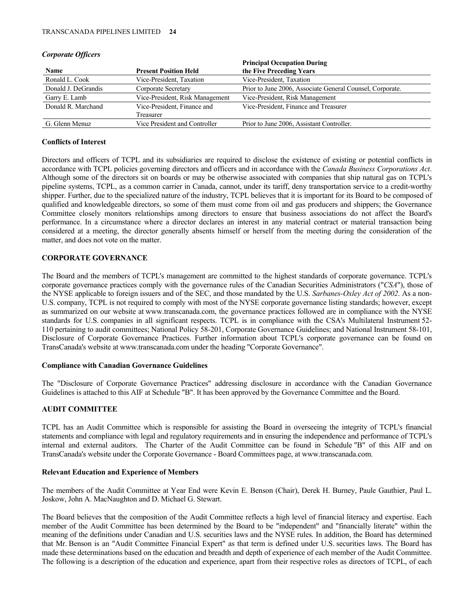|                     |                                 | <b>Principal Occupation During</b>                        |
|---------------------|---------------------------------|-----------------------------------------------------------|
| Name                | <b>Present Position Held</b>    | the Five Preceding Years                                  |
| Ronald L. Cook      | Vice-President, Taxation        | Vice-President, Taxation                                  |
| Donald J. DeGrandis | Corporate Secretary             | Prior to June 2006, Associate General Counsel, Corporate. |
| Garry E. Lamb       | Vice-President, Risk Management | Vice-President, Risk Management                           |
| Donald R. Marchand  | Vice-President, Finance and     | Vice-President, Finance and Treasurer                     |
|                     | Treasurer                       |                                                           |
| G. Glenn Menuz      | Vice President and Controller   | Prior to June 2006, Assistant Controller.                 |

#### *Corporate Officers*

### **Conflicts of Interest**

Directors and officers of TCPL and its subsidiaries are required to disclose the existence of existing or potential conflicts in accordance with TCPL policies governing directors and officers and in accordance with the *Canada Business Corporations Act*. Although some of the directors sit on boards or may be otherwise associated with companies that ship natural gas on TCPL's pipeline systems, TCPL, as a common carrier in Canada, cannot, under its tariff, deny transportation service to a credit-worthy shipper. Further, due to the specialized nature of the industry, TCPL believes that it is important for its Board to be composed of qualified and knowledgeable directors, so some of them must come from oil and gas producers and shippers; the Governance Committee closely monitors relationships among directors to ensure that business associations do not affect the Board's performance. In a circumstance where a director declares an interest in any material contract or material transaction being considered at a meeting, the director generally absents himself or herself from the meeting during the consideration of the matter, and does not vote on the matter.

# **CORPORATE GOVERNANCE**

The Board and the members of TCPL's management are committed to the highest standards of corporate governance. TCPL's corporate governance practices comply with the governance rules of the Canadian Securities Administrators ("*CSA*"), those of the NYSE applicable to foreign issuers and of the SEC, and those mandated by the U.S. *Sarbanes-Oxley Act of 2002*. As a non-U.S. company, TCPL is not required to comply with most of the NYSE corporate governance listing standards; however, except as summarized on our website at www.transcanada.com, the governance practices followed are in compliance with the NYSE standards for U.S. companies in all significant respects. TCPL is in compliance with the CSA's Multilateral Instrument 52- 110 pertaining to audit committees; National Policy 58-201, Corporate Governance Guidelines; and National Instrument 58-101, Disclosure of Corporate Governance Practices. Further information about TCPL's corporate governance can be found on TransCanada's website at www.transcanada.com under the heading "Corporate Governance".

### **Compliance with Canadian Governance Guidelines**

The "Disclosure of Corporate Governance Practices" addressing disclosure in accordance with the Canadian Governance Guidelines is attached to this AIF at Schedule "B". It has been approved by the Governance Committee and the Board.

# **AUDIT COMMITTEE**

TCPL has an Audit Committee which is responsible for assisting the Board in overseeing the integrity of TCPL's financial statements and compliance with legal and regulatory requirements and in ensuring the independence and performance of TCPL's internal and external auditors. The Charter of the Audit Committee can be found in Schedule "B" of this AIF and on TransCanada's website under the Corporate Governance - Board Committees page, at www.transcanada.com.

# **Relevant Education and Experience of Members**

The members of the Audit Committee at Year End were Kevin E. Benson (Chair), Derek H. Burney, Paule Gauthier, Paul L. Joskow, John A. MacNaughton and D. Michael G. Stewart.

The Board believes that the composition of the Audit Committee reflects a high level of financial literacy and expertise. Each member of the Audit Committee has been determined by the Board to be "independent" and "financially literate" within the meaning of the definitions under Canadian and U.S. securities laws and the NYSE rules. In addition, the Board has determined that Mr. Benson is an "Audit Committee Financial Expert" as that term is defined under U.S. securities laws. The Board has made these determinations based on the education and breadth and depth of experience of each member of the Audit Committee. The following is a description of the education and experience, apart from their respective roles as directors of TCPL, of each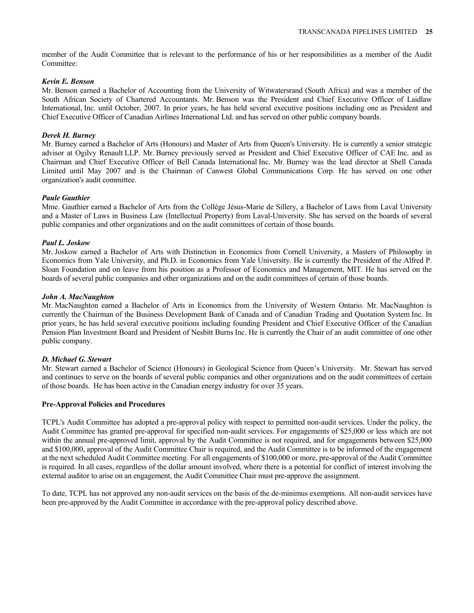member of the Audit Committee that is relevant to the performance of his or her responsibilities as a member of the Audit Committee:

#### *Kevin E. Benson*

Mr. Benson earned a Bachelor of Accounting from the University of Witwatersrand (South Africa) and was a member of the South African Society of Chartered Accountants. Mr. Benson was the President and Chief Executive Officer of Laidlaw International, Inc. until October, 2007. In prior years, he has held several executive positions including one as President and Chief Executive Officer of Canadian Airlines International Ltd. and has served on other public company boards.

### *Derek H. Burney*

Mr. Burney earned a Bachelor of Arts (Honours) and Master of Arts from Queen's University. He is currently a senior strategic advisor at Ogilvy Renault LLP. Mr. Burney previously served as President and Chief Executive Officer of CAE Inc. and as Chairman and Chief Executive Officer of Bell Canada International Inc. Mr. Burney was the lead director at Shell Canada Limited until May 2007 and is the Chairman of Canwest Global Communications Corp. He has served on one other organization's audit committee.

#### *Paule Gauthier*

Mme. Gauthier earned a Bachelor of Arts from the Collège Jésus-Marie de Sillery, a Bachelor of Laws from Laval University and a Master of Laws in Business Law (Intellectual Property) from Laval-University. She has served on the boards of several public companies and other organizations and on the audit committees of certain of those boards.

#### *Paul L. Joskow*

Mr. Joskow earned a Bachelor of Arts with Distinction in Economics from Cornell University, a Masters of Philosophy in Economics from Yale University, and Ph.D. in Economics from Yale University. He is currently the President of the Alfred P. Sloan Foundation and on leave from his position as a Professor of Economics and Management, MIT. He has served on the boards of several public companies and other organizations and on the audit committees of certain of those boards.

#### *John A. MacNaughton*

Mr. MacNaughton earned a Bachelor of Arts in Economics from the University of Western Ontario. Mr. MacNaughton is currently the Chairman of the Business Development Bank of Canada and of Canadian Trading and Quotation System Inc. In prior years, he has held several executive positions including founding President and Chief Executive Officer of the Canadian Pension Plan Investment Board and President of Nesbitt Burns Inc. He is currently the Chair of an audit committee of one other public company.

#### *D. Michael G. Stewart*

Mr. Stewart earned a Bachelor of Science (Honours) in Geological Science from Queen's University. Mr. Stewart has served and continues to serve on the boards of several public companies and other organizations and on the audit committees of certain of those boards. He has been active in the Canadian energy industry for over 35 years.

#### **Pre-Approval Policies and Procedures**

TCPL's Audit Committee has adopted a pre-approval policy with respect to permitted non-audit services. Under the policy, the Audit Committee has granted pre-approval for specified non-audit services. For engagements of \$25,000 or less which are not within the annual pre-approved limit, approval by the Audit Committee is not required, and for engagements between \$25,000 and \$100,000, approval of the Audit Committee Chair is required, and the Audit Committee is to be informed of the engagement at the next scheduled Audit Committee meeting. For all engagements of \$100,000 or more, pre-approval of the Audit Committee is required. In all cases, regardless of the dollar amount involved, where there is a potential for conflict of interest involving the external auditor to arise on an engagement, the Audit Committee Chair must pre-approve the assignment.

To date, TCPL has not approved any non-audit services on the basis of the de-minimus exemptions. All non-audit services have been pre-approved by the Audit Committee in accordance with the pre-approval policy described above.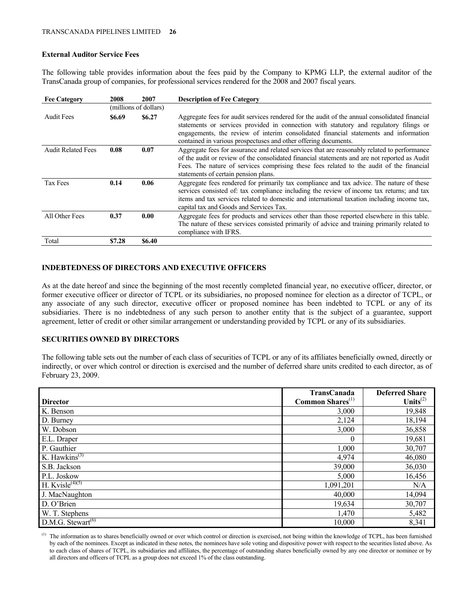# **External Auditor Service Fees**

The following table provides information about the fees paid by the Company to KPMG LLP, the external auditor of the TransCanada group of companies, for professional services rendered for the 2008 and 2007 fiscal years.

| <b>Fee Category</b>       | 2008   | 2007                  | <b>Description of Fee Category</b>                                                                                                                                                                                                                                                                                                                 |
|---------------------------|--------|-----------------------|----------------------------------------------------------------------------------------------------------------------------------------------------------------------------------------------------------------------------------------------------------------------------------------------------------------------------------------------------|
|                           |        | (millions of dollars) |                                                                                                                                                                                                                                                                                                                                                    |
| <b>Audit Fees</b>         | \$6.69 | \$6.27                | Aggregate fees for audit services rendered for the audit of the annual consolidated financial<br>statements or services provided in connection with statutory and regulatory filings or<br>engagements, the review of interim consolidated financial statements and information<br>contained in various prospectuses and other offering documents. |
| <b>Audit Related Fees</b> | 0.08   | 0.07                  | Aggregate fees for assurance and related services that are reasonably related to performance<br>of the audit or review of the consolidated financial statements and are not reported as Audit<br>Fees. The nature of services comprising these fees related to the audit of the financial<br>statements of certain pension plans.                  |
| Tax Fees                  | 0.14   | 0.06                  | Aggregate fees rendered for primarily tax compliance and tax advice. The nature of these<br>services consisted of: tax compliance including the review of income tax returns; and tax<br>items and tax services related to domestic and international taxation including income tax,<br>capital tax and Goods and Services Tax.                    |
| All Other Fees            | 0.37   | 0.00                  | Aggregate fees for products and services other than those reported elsewhere in this table.<br>The nature of these services consisted primarily of advice and training primarily related to<br>compliance with IFRS.                                                                                                                               |
| Total                     | \$7.28 | \$6.40                |                                                                                                                                                                                                                                                                                                                                                    |

# **INDEBTEDNESS OF DIRECTORS AND EXECUTIVE OFFICERS**

As at the date hereof and since the beginning of the most recently completed financial year, no executive officer, director, or former executive officer or director of TCPL or its subsidiaries, no proposed nominee for election as a director of TCPL, or any associate of any such director, executive officer or proposed nominee has been indebted to TCPL or any of its subsidiaries. There is no indebtedness of any such person to another entity that is the subject of a guarantee, support agreement, letter of credit or other similar arrangement or understanding provided by TCPL or any of its subsidiaries.

### **SECURITIES OWNED BY DIRECTORS**

The following table sets out the number of each class of securities of TCPL or any of its affiliates beneficially owned, directly or indirectly, or over which control or direction is exercised and the number of deferred share units credited to each director, as of February 23, 2009.

|                                            | <b>TransCanada</b>           | <b>Deferred Share</b> |
|--------------------------------------------|------------------------------|-----------------------|
| <b>Director</b>                            | Common Shares <sup>(1)</sup> | Units $^{(2)}$        |
| K. Benson                                  | 3,000                        | 19,848                |
| D. Burney                                  | 2,124                        | 18,194                |
| W. Dobson                                  | 3,000                        | 36,858                |
| E.L. Draper                                | $\theta$                     | 19,681                |
| P. Gauthier                                | 1,000                        | 30,707                |
| K. Hawkins <sup>(3)</sup>                  | 4,974                        | 46,080                |
| S.B. Jackson                               | 39,000                       | 36,030                |
| P.L. Joskow                                | 5,000                        | 16,456                |
| H. Kvisle <sup><math>(4)(5)</math></sup>   | 1,091,201                    | N/A                   |
| J. MacNaughton                             | 40,000                       | 14,094                |
| D. O'Brien                                 | 19,634                       | 30,707                |
| W. T. Stephens                             | 1,470                        | 5,482                 |
| D.M.G. Stewart <sup><math>(6)</math></sup> | 10,000                       | 8,341                 |

(1) The information as to shares beneficially owned or over which control or direction is exercised, not being within the knowledge of TCPL, has been furnished by each of the nominees. Except as indicated in these notes, the nominees have sole voting and dispositive power with respect to the securities listed above. As to each class of shares of TCPL, its subsidiaries and affiliates, the percentage of outstanding shares beneficially owned by any one director or nominee or by all directors and officers of TCPL as a group does not exceed 1% of the class outstanding.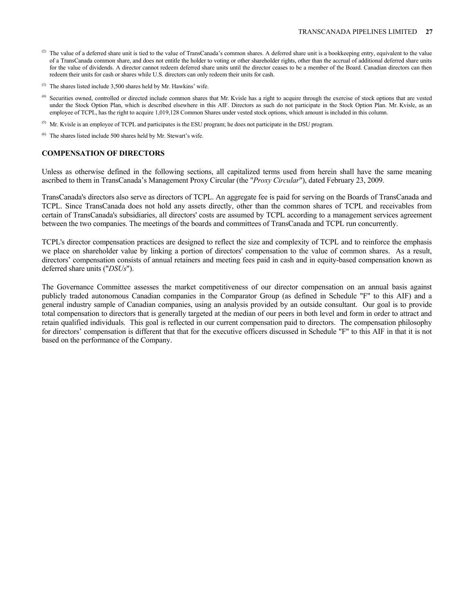- $^{(2)}$  The value of a deferred share unit is tied to the value of TransCanada's common shares. A deferred share unit is a bookkeeping entry, equivalent to the value of a TransCanada common share, and does not entitle the holder to voting or other shareholder rights, other than the accrual of additional deferred share units for the value of dividends. A director cannot redeem deferred share units until the director ceases to be a member of the Board. Canadian directors can then redeem their units for cash or shares while U.S. directors can only redeem their units for cash.
- (3) The shares listed include 3,500 shares held by Mr. Hawkins' wife.
- (4) Securities owned, controlled or directed include common shares that Mr. Kvisle has a right to acquire through the exercise of stock options that are vested under the Stock Option Plan, which is described elsewhere in this AIF. Directors as such do not participate in the Stock Option Plan. Mr. Kvisle, as an employee of TCPL, has the right to acquire 1,019,128 Common Shares under vested stock options, which amount is included in this column.
- <sup>(5)</sup> Mr. Kvisle is an employee of TCPL and participates is the ESU program; he does not participate in the DSU program.
- $(6)$  The shares listed include 500 shares held by Mr. Stewart's wife.

# **COMPENSATION OF DIRECTORS**

Unless as otherwise defined in the following sections, all capitalized terms used from herein shall have the same meaning ascribed to them in TransCanada's Management Proxy Circular (the "*Proxy Circular*"), dated February 23, 2009.

TransCanada's directors also serve as directors of TCPL. An aggregate fee is paid for serving on the Boards of TransCanada and TCPL. Since TransCanada does not hold any assets directly, other than the common shares of TCPL and receivables from certain of TransCanada's subsidiaries, all directors' costs are assumed by TCPL according to a management services agreement between the two companies. The meetings of the boards and committees of TransCanada and TCPL run concurrently.

TCPL's director compensation practices are designed to reflect the size and complexity of TCPL and to reinforce the emphasis we place on shareholder value by linking a portion of directors' compensation to the value of common shares. As a result, directors' compensation consists of annual retainers and meeting fees paid in cash and in equity-based compensation known as deferred share units ("*DSUs*").

The Governance Committee assesses the market competitiveness of our director compensation on an annual basis against publicly traded autonomous Canadian companies in the Comparator Group (as defined in Schedule "F" to this AIF) and a general industry sample of Canadian companies, using an analysis provided by an outside consultant. Our goal is to provide total compensation to directors that is generally targeted at the median of our peers in both level and form in order to attract and retain qualified individuals. This goal is reflected in our current compensation paid to directors. The compensation philosophy for directors' compensation is different that that for the executive officers discussed in Schedule "F" to this AIF in that it is not based on the performance of the Company.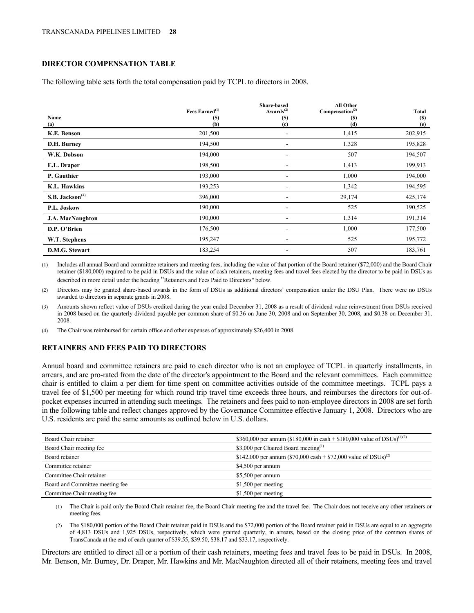# **DIRECTOR COMPENSATION TABLE**

The following table sets forth the total compensation paid by TCPL to directors in 2008.

|                             | Fees Earned $(1)$ | <b>Share-based</b><br>Awards $^{(2)}$ | <b>All Other</b><br>Compensation <sup>(3)</sup> | Total      |
|-----------------------------|-------------------|---------------------------------------|-------------------------------------------------|------------|
| Name                        | (S)               | <b>(S)</b>                            | (S)                                             | <b>(S)</b> |
| (a)                         | (b)               | (c)                                   | (d)                                             | (e)        |
| K.E. Benson                 | 201,500           |                                       | 1,415                                           | 202,915    |
| D.H. Burney                 | 194,500           | ۰                                     | 1,328                                           | 195,828    |
| W.K. Dobson                 | 194,000           |                                       | 507                                             | 194,507    |
| E.L. Draper                 | 198,500           | $\qquad \qquad \blacksquare$          | 1,413                                           | 199,913    |
| P. Gauthier                 | 193,000           | ۰                                     | 1,000                                           | 194,000    |
| <b>K.L. Hawkins</b>         | 193,253           |                                       | 1,342                                           | 194,595    |
| S.B. Jackson <sup>(4)</sup> | 396,000           | ۰                                     | 29,174                                          | 425,174    |
| P.L. Joskow                 | 190,000           |                                       | 525                                             | 190,525    |
| <b>J.A. MacNaughton</b>     | 190,000           |                                       | 1,314                                           | 191,314    |
| D.P. O'Brien                | 176,500           |                                       | 1,000                                           | 177,500    |
| W.T. Stephens               | 195,247           | -                                     | 525                                             | 195,772    |
| D.M.G. Stewart              | 183,254           | ۰                                     | 507                                             | 183,761    |

(1) Includes all annual Board and committee retainers and meeting fees, including the value of that portion of the Board retainer (\$72,000) and the Board Chair retainer (\$180,000) required to be paid in DSUs and the value of cash retainers, meeting fees and travel fees elected by the director to be paid in DSUs as described in more detail under the heading "Retainers and Fees Paid to Directors" below.

(2) Directors may be granted share-based awards in the form of DSUs as additional directors' compensation under the DSU Plan. There were no DSUs awarded to directors in separate grants in 2008.

(3) Amounts shown reflect value of DSUs credited during the year ended December 31, 2008 as a result of dividend value reinvestment from DSUs received in 2008 based on the quarterly dividend payable per common share of \$0.36 on June 30, 2008 and on September 30, 2008, and \$0.38 on December 31, 2008.

(4) The Chair was reimbursed for certain office and other expenses of approximately \$26,400 in 2008.

### **RETAINERS AND FEES PAID TO DIRECTORS**

Annual board and committee retainers are paid to each director who is not an employee of TCPL in quarterly installments, in arrears, and are pro-rated from the date of the director's appointment to the Board and the relevant committees. Each committee chair is entitled to claim a per diem for time spent on committee activities outside of the committee meetings. TCPL pays a travel fee of \$1,500 per meeting for which round trip travel time exceeds three hours, and reimburses the directors for out-ofpocket expenses incurred in attending such meetings.The retainers and fees paid to non-employee directors in 2008 are set forth in the following table and reflect changes approved by the Governance Committee effective January 1, 2008. Directors who are U.S. residents are paid the same amounts as outlined below in U.S. dollars.

| Board Chair retainer            | \$360,000 per annum (\$180,000 in cash + \$180,000 value of DSUs) <sup>(1)(2)</sup> |
|---------------------------------|-------------------------------------------------------------------------------------|
| Board Chair meeting fee         | \$3,000 per Chaired Board meeting <sup>(1)</sup>                                    |
| Board retainer                  | \$142,000 per annum (\$70,000 cash + \$72,000 value of DSUs) <sup>(2)</sup>         |
| Committee retainer              | \$4,500 per annum                                                                   |
| Committee Chair retainer        | \$5,500 per annum                                                                   |
| Board and Committee meeting fee | \$1,500 per meeting                                                                 |
| Committee Chair meeting fee     | \$1,500 per meeting                                                                 |

(1) The Chair is paid only the Board Chair retainer fee, the Board Chair meeting fee and the travel fee. The Chair does not receive any other retainers or meeting fees.

(2) The \$180,000 portion of the Board Chair retainer paid in DSUs and the \$72,000 portion of the Board retainer paid in DSUs are equal to an aggregate of 4,813 DSUs and 1,925 DSUs, respectively, which were granted quarterly, in arrears, based on the closing price of the common shares of TransCanada at the end of each quarter of \$39.55, \$39.50, \$38.17 and \$33.17, respectively.

Directors are entitled to direct all or a portion of their cash retainers, meeting fees and travel fees to be paid in DSUs. In 2008, Mr. Benson, Mr. Burney, Dr. Draper, Mr. Hawkins and Mr. MacNaughton directed all of their retainers, meeting fees and travel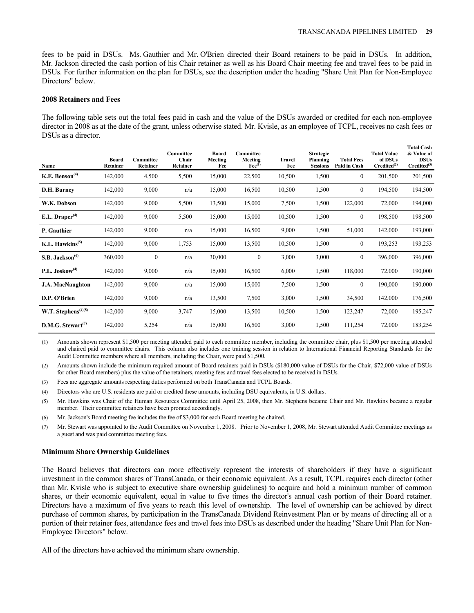**Total Cash** 

fees to be paid in DSUs. Ms. Gauthier and Mr. O'Brien directed their Board retainers to be paid in DSUs. In addition, Mr. Jackson directed the cash portion of his Chair retainer as well as his Board Chair meeting fee and travel fees to be paid in DSUs. For further information on the plan for DSUs, see the description under the heading "Share Unit Plan for Non-Employee Directors" below.

#### **2008 Retainers and Fees**

The following table sets out the total fees paid in cash and the value of the DSUs awarded or credited for each non-employee director in 2008 as at the date of the grant, unless otherwise stated. Mr. Kvisle, as an employee of TCPL, receives no cash fees or DSUs as a director.

| Name                                     | <b>Board</b><br><b>Retainer</b> | Committee<br>Retainer | Committee<br>Chair<br><b>Retainer</b> | Board<br>Meeting<br>Fee | Committee<br>Meeting<br>$\text{Fe}^{(1)}$ | <b>Travel</b><br>Fee | <b>Strategic</b><br>Planning<br><b>Sessions</b> | <b>Total Fees</b><br>Paid in Cash | <b>Total Value</b><br>of DSUs<br>Credicted <sup>(2)</sup> | TUTAI UASII<br>& Value of<br><b>DSUs</b><br>$Credited^{(3)}$ |
|------------------------------------------|---------------------------------|-----------------------|---------------------------------------|-------------------------|-------------------------------------------|----------------------|-------------------------------------------------|-----------------------------------|-----------------------------------------------------------|--------------------------------------------------------------|
| K.E. Benson <sup><math>(4)</math></sup>  | 142,000                         | 4,500                 | 5,500                                 | 15,000                  | 22,500                                    | 10,500               | 1,500                                           | $\mathbf{0}$                      | 201,500                                                   | 201,500                                                      |
| D.H. Burney                              | 142,000                         | 9,000                 | n/a                                   | 15,000                  | 16,500                                    | 10,500               | 1,500                                           | $\mathbf{0}$                      | 194,500                                                   | 194,500                                                      |
| W.K. Dobson                              | 142,000                         | 9,000                 | 5,500                                 | 13,500                  | 15,000                                    | 7,500                | 1,500                                           | 122,000                           | 72,000                                                    | 194,000                                                      |
| E.L. Draper <sup>(4)</sup>               | 142,000                         | 9,000                 | 5,500                                 | 15,000                  | 15,000                                    | 10,500               | 1,500                                           | $\mathbf{0}$                      | 198,500                                                   | 198,500                                                      |
| P. Gauthier                              | 142,000                         | 9,000                 | n/a                                   | 15,000                  | 16,500                                    | 9,000                | 1,500                                           | 51,000                            | 142,000                                                   | 193,000                                                      |
| K.L. Hawkins <sup><math>(5)</math></sup> | 142,000                         | 9,000                 | 1,753                                 | 15,000                  | 13,500                                    | 10,500               | 1,500                                           | $\mathbf{0}$                      | 193,253                                                   | 193,253                                                      |
| S.B. Jackson <sup>(6)</sup>              | 360,000                         | $\boldsymbol{0}$      | n/a                                   | 30,000                  | $\theta$                                  | 3,000                | 3,000                                           | $\mathbf{0}$                      | 396,000                                                   | 396,000                                                      |
| $P.L.$ Joskow <sup>(4)</sup>             | 142,000                         | 9,000                 | n/a                                   | 15,000                  | 16,500                                    | 6,000                | 1,500                                           | 118,000                           | 72,000                                                    | 190,000                                                      |
| <b>J.A. MacNaughton</b>                  | 142,000                         | 9,000                 | n/a                                   | 15,000                  | 15,000                                    | 7,500                | 1,500                                           | $\mathbf{0}$                      | 190,000                                                   | 190,000                                                      |
| D.P. O'Brien                             | 142,000                         | 9,000                 | n/a                                   | 13,500                  | 7,500                                     | 3,000                | 1,500                                           | 34,500                            | 142,000                                                   | 176,500                                                      |
| W.T. Stephens <sup>(4)(5)</sup>          | 142,000                         | 9,000                 | 3,747                                 | 15,000                  | 13,500                                    | 10,500               | 1,500                                           | 123,247                           | 72,000                                                    | 195,247                                                      |
| D.M.G. Stewart $(7)$                     | 142,000                         | 5,254                 | n/a                                   | 15,000                  | 16,500                                    | 3,000                | 1,500                                           | 111,254                           | 72,000                                                    | 183,254                                                      |

(1) Amounts shown represent \$1,500 per meeting attended paid to each committee member, including the committee chair, plus \$1,500 per meeting attended and chaired paid to committee chairs. This column also includes one training session in relation to International Financial Reporting Standards for the Audit Committee members where all members, including the Chair, were paid \$1,500.

(2) Amounts shown include the minimum required amount of Board retainers paid in DSUs (\$180,000 value of DSUs for the Chair, \$72,000 value of DSUs for other Board members) plus the value of the retainers, meeting fees and travel fees elected to be received in DSUs.

(3) Fees are aggregate amounts respecting duties performed on both TransCanada and TCPL Boards.

(4) Directors who are U.S. residents are paid or credited these amounts, including DSU equivalents, in U.S. dollars.

(5) Mr. Hawkins was Chair of the Human Resources Committee until April 25, 2008, then Mr. Stephens became Chair and Mr. Hawkins became a regular member. Their committee retainers have been prorated accordingly.

(6) Mr. Jackson's Board meeting fee includes the fee of \$3,000 for each Board meeting he chaired.

(7) Mr. Stewart was appointed to the Audit Committee on November 1, 2008. Prior to November 1, 2008, Mr. Stewart attended Audit Committee meetings as a guest and was paid committee meeting fees.

### **Minimum Share Ownership Guidelines**

The Board believes that directors can more effectively represent the interests of shareholders if they have a significant investment in the common shares of TransCanada, or their economic equivalent. As a result, TCPL requires each director (other than Mr. Kvisle who is subject to executive share ownership guidelines) to acquire and hold a minimum number of common shares, or their economic equivalent, equal in value to five times the director's annual cash portion of their Board retainer. Directors have a maximum of five years to reach this level of ownership. The level of ownership can be achieved by direct purchase of common shares, by participation in the TransCanada Dividend Reinvestment Plan or by means of directing all or a portion of their retainer fees, attendance fees and travel fees into DSUs as described under the heading "Share Unit Plan for Non-Employee Directors" below.

All of the directors have achieved the minimum share ownership.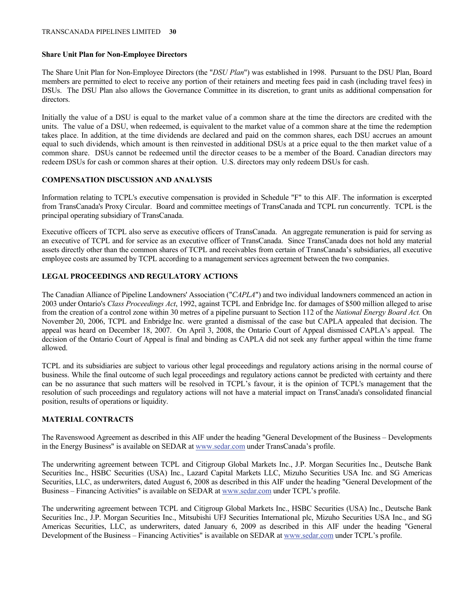#### **Share Unit Plan for Non-Employee Directors**

The Share Unit Plan for Non-Employee Directors (the "*DSU Plan*") was established in 1998. Pursuant to the DSU Plan, Board members are permitted to elect to receive any portion of their retainers and meeting fees paid in cash (including travel fees) in DSUs. The DSU Plan also allows the Governance Committee in its discretion, to grant units as additional compensation for directors.

Initially the value of a DSU is equal to the market value of a common share at the time the directors are credited with the units. The value of a DSU, when redeemed, is equivalent to the market value of a common share at the time the redemption takes place. In addition, at the time dividends are declared and paid on the common shares, each DSU accrues an amount equal to such dividends, which amount is then reinvested in additional DSUs at a price equal to the then market value of a common share. DSUs cannot be redeemed until the director ceases to be a member of the Board. Canadian directors may redeem DSUs for cash or common shares at their option. U.S. directors may only redeem DSUs for cash.

### **COMPENSATION DISCUSSION AND ANALYSIS**

Information relating to TCPL's executive compensation is provided in Schedule "F" to this AIF. The information is excerpted from TransCanada's Proxy Circular. Board and committee meetings of TransCanada and TCPL run concurrently. TCPL is the principal operating subsidiary of TransCanada.

Executive officers of TCPL also serve as executive officers of TransCanada. An aggregate remuneration is paid for serving as an executive of TCPL and for service as an executive officer of TransCanada. Since TransCanada does not hold any material assets directly other than the common shares of TCPL and receivables from certain of TransCanada's subsidiaries, all executive employee costs are assumed by TCPL according to a management services agreement between the two companies.

# **LEGAL PROCEEDINGS AND REGULATORY ACTIONS**

The Canadian Alliance of Pipeline Landowners' Association ("*CAPLA*") and two individual landowners commenced an action in 2003 under Ontario's *Class Proceedings Act*, 1992, against TCPL and Enbridge Inc. for damages of \$500 million alleged to arise from the creation of a control zone within 30 metres of a pipeline pursuant to Section 112 of the *National Energy Board Act.* On November 20, 2006, TCPL and Enbridge Inc. were granted a dismissal of the case but CAPLA appealed that decision. The appeal was heard on December 18, 2007. On April 3, 2008, the Ontario Court of Appeal dismissed CAPLA's appeal. The decision of the Ontario Court of Appeal is final and binding as CAPLA did not seek any further appeal within the time frame allowed.

TCPL and its subsidiaries are subject to various other legal proceedings and regulatory actions arising in the normal course of business. While the final outcome of such legal proceedings and regulatory actions cannot be predicted with certainty and there can be no assurance that such matters will be resolved in TCPL's favour, it is the opinion of TCPL's management that the resolution of such proceedings and regulatory actions will not have a material impact on TransCanada's consolidated financial position, results of operations or liquidity.

# **MATERIAL CONTRACTS**

The Ravenswood Agreement as described in this AIF under the heading "General Development of the Business – Developments in the Energy Business" is available on SEDAR at www.sedar.com under TransCanada's profile.

The underwriting agreement between TCPL and Citigroup Global Markets Inc., J.P. Morgan Securities Inc., Deutsche Bank Securities Inc., HSBC Securities (USA) Inc., Lazard Capital Markets LLC, Mizuho Securities USA Inc. and SG Americas Securities, LLC, as underwriters, dated August 6, 2008 as described in this AIF under the heading "General Development of the Business – Financing Activities" is available on SEDAR at www.sedar.com under TCPL's profile.

The underwriting agreement between TCPL and Citigroup Global Markets Inc., HSBC Securities (USA) Inc., Deutsche Bank Securities Inc., J.P. Morgan Securities Inc., Mitsubishi UFJ Securities International plc, Mizuho Securities USA Inc., and SG Americas Securities, LLC, as underwriters, dated January 6, 2009 as described in this AIF under the heading "General Development of the Business – Financing Activities" is available on SEDAR at www.sedar.com under TCPL's profile.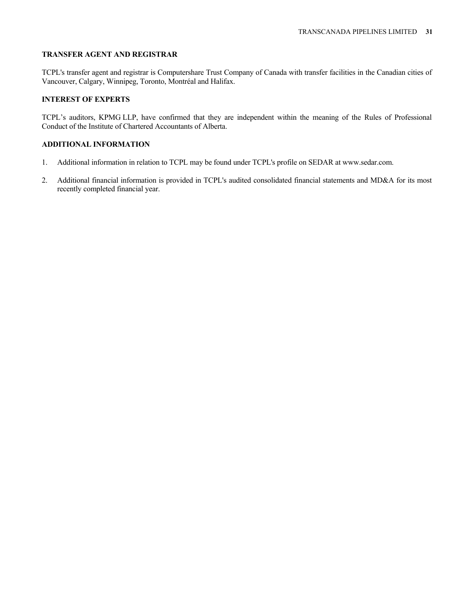### **TRANSFER AGENT AND REGISTRAR**

TCPL's transfer agent and registrar is Computershare Trust Company of Canada with transfer facilities in the Canadian cities of Vancouver, Calgary, Winnipeg, Toronto, Montréal and Halifax.

# **INTEREST OF EXPERTS**

TCPL's auditors, KPMG LLP, have confirmed that they are independent within the meaning of the Rules of Professional Conduct of the Institute of Chartered Accountants of Alberta.

### **ADDITIONAL INFORMATION**

- 1. Additional information in relation to TCPL may be found under TCPL's profile on SEDAR at www.sedar.com.
- 2. Additional financial information is provided in TCPL's audited consolidated financial statements and MD&A for its most recently completed financial year.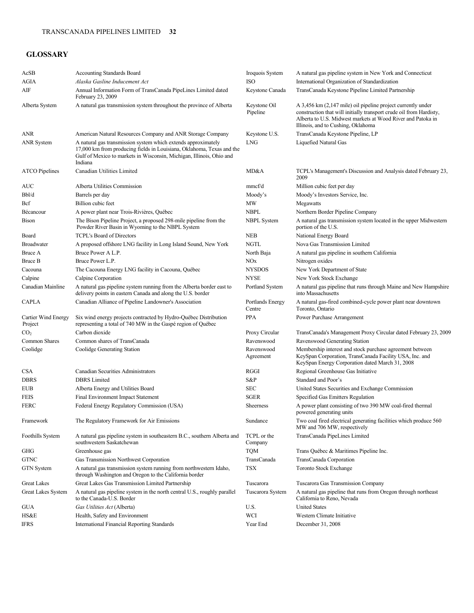# **GLOSSARY**

| AcSB                           | <b>Accounting Standards Board</b>                                                                                                                                                                                         | Iroquois System<br>ISO     | A natural gas pipeline system in New York and Connecticut                                                                                                                                                                                |
|--------------------------------|---------------------------------------------------------------------------------------------------------------------------------------------------------------------------------------------------------------------------|----------------------------|------------------------------------------------------------------------------------------------------------------------------------------------------------------------------------------------------------------------------------------|
| AGIA<br>AIF                    | Alaska Gasline Inducement Act                                                                                                                                                                                             |                            | International Organization of Standardization<br>TransCanada Keystone Pipeline Limited Partnership                                                                                                                                       |
|                                | Annual Information Form of TransCanada PipeLines Limited dated<br>February 23, 2009                                                                                                                                       | Keystone Canada            |                                                                                                                                                                                                                                          |
| Alberta System                 | A natural gas transmission system throughout the province of Alberta                                                                                                                                                      | Keystone Oil<br>Pipeline   | A 3,456 km (2,147 mile) oil pipeline project currently under<br>construction that will initially transport crude oil from Hardisty,<br>Alberta to U.S. Midwest markets at Wood River and Patoka in<br>Illinois, and to Cushing, Oklahoma |
| <b>ANR</b>                     | American Natural Resources Company and ANR Storage Company                                                                                                                                                                | Keystone U.S.              | TransCanada Keystone Pipeline, LP                                                                                                                                                                                                        |
| <b>ANR</b> System              | A natural gas transmission system which extends approximately<br>17,000 km from producing fields in Louisiana, Oklahoma, Texas and the<br>Gulf of Mexico to markets in Wisconsin, Michigan, Illinois, Ohio and<br>Indiana | <b>LNG</b>                 | Liquefied Natural Gas                                                                                                                                                                                                                    |
| <b>ATCO</b> Pipelines          | Canadian Utilities Limited                                                                                                                                                                                                | MD&A                       | TCPL's Management's Discussion and Analysis dated February 23,<br>2009                                                                                                                                                                   |
| AUC                            | Alberta Utilities Commission                                                                                                                                                                                              | mmcf/d                     | Million cubic feet per day                                                                                                                                                                                                               |
| Bbl/d                          | Barrels per day                                                                                                                                                                                                           | Moody's                    | Moody's Investors Service, Inc.                                                                                                                                                                                                          |
| Bcf                            | Billion cubic feet                                                                                                                                                                                                        | MW                         | Megawatts                                                                                                                                                                                                                                |
| Bécancour                      | A power plant near Trois-Rivières, Québec                                                                                                                                                                                 | <b>NBPL</b>                | Northern Border Pipeline Company                                                                                                                                                                                                         |
| Bison                          | The Bison Pipeline Project, a proposed 298-mile pipeline from the<br>Powder River Basin in Wyoming to the NBPL System                                                                                                     | <b>NBPL</b> System         | A natural gas transmission system located in the upper Midwestern<br>portion of the U.S.                                                                                                                                                 |
| Board                          | <b>TCPL's Board of Directors</b>                                                                                                                                                                                          | <b>NEB</b>                 | National Energy Board                                                                                                                                                                                                                    |
| <b>Broadwater</b>              | A proposed offshore LNG facility in Long Island Sound, New York                                                                                                                                                           | <b>NGTL</b>                | Nova Gas Transmission Limited                                                                                                                                                                                                            |
| Bruce A                        | Bruce Power A L.P.                                                                                                                                                                                                        | North Baja                 | A natural gas pipeline in southern California                                                                                                                                                                                            |
| Bruce B                        | Bruce Power L.P.                                                                                                                                                                                                          | NO <sub>x</sub>            | Nitrogen oxides                                                                                                                                                                                                                          |
| Cacouna                        | The Cacouna Energy LNG facility in Cacouna, Québec                                                                                                                                                                        | <b>NYSDOS</b>              | New York Department of State                                                                                                                                                                                                             |
| Calpine                        | Calpine Corporation                                                                                                                                                                                                       | <b>NYSE</b>                | New York Stock Exchange                                                                                                                                                                                                                  |
| Canadian Mainline              | A natural gas pipeline system running from the Alberta border east to<br>delivery points in eastern Canada and along the U.S. border                                                                                      | Portland System            | A natural gas pipeline that runs through Maine and New Hampshire<br>into Massachusetts                                                                                                                                                   |
| <b>CAPLA</b>                   | Canadian Alliance of Pipeline Landowner's Association                                                                                                                                                                     | Portlands Energy<br>Centre | A natural gas-fired combined-cycle power plant near downtown<br>Toronto, Ontario                                                                                                                                                         |
| Cartier Wind Energy<br>Project | Six wind energy projects contracted by Hydro-Québec Distribution<br>representing a total of 740 MW in the Gaspé region of Québec                                                                                          | <b>PPA</b>                 | Power Purchase Arrangement                                                                                                                                                                                                               |
| CO <sub>2</sub>                | Carbon dioxide                                                                                                                                                                                                            | Proxy Circular             | TransCanada's Management Proxy Circular dated February 23, 2009                                                                                                                                                                          |
| Common Shares                  | Common shares of TransCanada                                                                                                                                                                                              | Ravenswood                 | Ravenswood Generating Station                                                                                                                                                                                                            |
| Coolidge                       | Coolidge Generating Station                                                                                                                                                                                               | Ravenswood<br>Agreement    | Membership interest and stock purchase agreement between<br>KeySpan Corporation, TransCanada Facility USA, Inc. and<br>KeySpan Energy Corporation dated March 31, 2008                                                                   |
| <b>CSA</b>                     | Canadian Securities Administrators                                                                                                                                                                                        | RGGI                       | Regional Greenhouse Gas Initiative                                                                                                                                                                                                       |
| <b>DBRS</b>                    | <b>DBRS</b> Limited                                                                                                                                                                                                       | S&P                        | Standard and Poor's                                                                                                                                                                                                                      |
| <b>EUB</b>                     | Alberta Energy and Utilities Board                                                                                                                                                                                        | SEC                        | United States Securities and Exchange Commission                                                                                                                                                                                         |
| <b>FEIS</b>                    | <b>Final Environment Impact Statement</b>                                                                                                                                                                                 | <b>SGER</b>                | Specified Gas Emitters Regulation                                                                                                                                                                                                        |
| <b>FERC</b>                    | Federal Energy Regulatory Commission (USA)                                                                                                                                                                                | Sheerness                  | A power plant consisting of two 390 MW coal-fired thermal<br>powered generating units                                                                                                                                                    |
| Framework                      | The Regulatory Framework for Air Emissions                                                                                                                                                                                | Sundance                   | Two coal fired electrical generating facilities which produce 560<br>MW and 706 MW, respectively                                                                                                                                         |
| Foothills System               | A natural gas pipeline system in southeastern B.C., southern Alberta and<br>southwestern Saskatchewan                                                                                                                     | TCPL or the<br>Company     | TransCanada PipeLines Limited                                                                                                                                                                                                            |
| GHG                            | Greenhouse gas                                                                                                                                                                                                            | <b>TQM</b>                 | Trans Québec & Maritimes Pipeline Inc.                                                                                                                                                                                                   |
| <b>GTNC</b>                    | Gas Transmission Northwest Corporation                                                                                                                                                                                    | TransCanada                | TransCanada Corporation                                                                                                                                                                                                                  |
| <b>GTN</b> System              | A natural gas transmission system running from northwestern Idaho,<br>through Washington and Oregon to the California border                                                                                              | <b>TSX</b>                 | Toronto Stock Exchange                                                                                                                                                                                                                   |
| <b>Great Lakes</b>             | Great Lakes Gas Transmission Limited Partnership                                                                                                                                                                          | Tuscarora                  | Tuscarora Gas Transmission Company                                                                                                                                                                                                       |
| Great Lakes System             | A natural gas pipeline system in the north central U.S., roughly parallel<br>to the Canada-U.S. Border                                                                                                                    | Tuscarora System           | A natural gas pipeline that runs from Oregon through northeast<br>California to Reno, Nevada                                                                                                                                             |
| GUA                            | Gas Utilities Act (Alberta)                                                                                                                                                                                               | U.S.                       | <b>United States</b>                                                                                                                                                                                                                     |
| HS&E                           | Health, Safety and Environment                                                                                                                                                                                            | WCI                        | Western Climate Initiative                                                                                                                                                                                                               |
| <b>IFRS</b>                    | <b>International Financial Reporting Standards</b>                                                                                                                                                                        | Year End                   | December 31, 2008                                                                                                                                                                                                                        |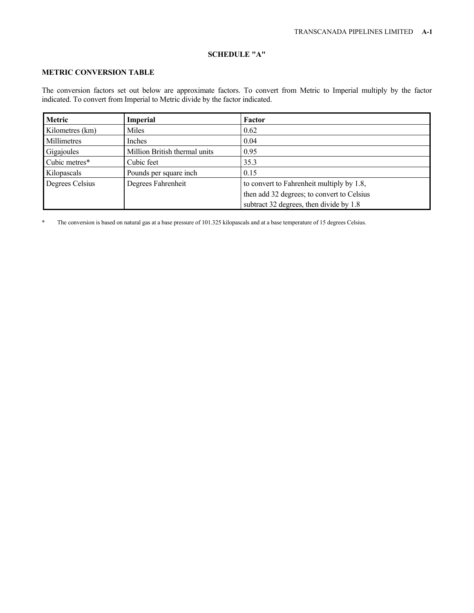# **SCHEDULE "A"**

# **METRIC CONVERSION TABLE**

The conversion factors set out below are approximate factors. To convert from Metric to Imperial multiply by the factor indicated. To convert from Imperial to Metric divide by the factor indicated.

| Metric          | <b>Imperial</b>               | Factor                                     |
|-----------------|-------------------------------|--------------------------------------------|
| Kilometres (km) | Miles                         | 0.62                                       |
| Millimetres     | Inches                        | 0.04                                       |
| Gigajoules      | Million British thermal units | 0.95                                       |
| Cubic metres*   | Cubic feet                    | 35.3                                       |
| Kilopascals     | Pounds per square inch        | 0.15                                       |
| Degrees Celsius | Degrees Fahrenheit            | to convert to Fahrenheit multiply by 1.8,  |
|                 |                               | then add 32 degrees; to convert to Celsius |
|                 |                               | subtract 32 degrees, then divide by 1.8    |

\* The conversion is based on natural gas at a base pressure of 101.325 kilopascals and at a base temperature of 15 degrees Celsius.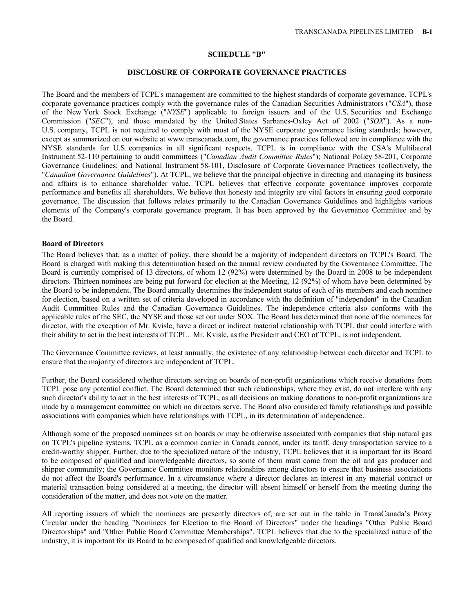#### **SCHEDULE "B"**

#### **DISCLOSURE OF CORPORATE GOVERNANCE PRACTICES**

The Board and the members of TCPL's management are committed to the highest standards of corporate governance. TCPL's corporate governance practices comply with the governance rules of the Canadian Securities Administrators ("*CSA*"), those of the New York Stock Exchange ("*NYSE*") applicable to foreign issuers and of the U.S. Securities and Exchange Commission ("*SEC*"), and those mandated by the United States Sarbanes-Oxley Act of 2002 ("*SOX*"). As a non-U.S. company, TCPL is not required to comply with most of the NYSE corporate governance listing standards; however, except as summarized on our website at www.transcanada.com, the governance practices followed are in compliance with the NYSE standards for U.S. companies in all significant respects. TCPL is in compliance with the CSA's Multilateral Instrument 52-110 pertaining to audit committees ("*Canadian Audit Committee Rules*"); National Policy 58-201, Corporate Governance Guidelines; and National Instrument 58-101, Disclosure of Corporate Governance Practices (collectively, the "*Canadian Governance Guidelines*"). At TCPL, we believe that the principal objective in directing and managing its business and affairs is to enhance shareholder value. TCPL believes that effective corporate governance improves corporate performance and benefits all shareholders. We believe that honesty and integrity are vital factors in ensuring good corporate governance. The discussion that follows relates primarily to the Canadian Governance Guidelines and highlights various elements of the Company's corporate governance program. It has been approved by the Governance Committee and by the Board.

### **Board of Directors**

The Board believes that, as a matter of policy, there should be a majority of independent directors on TCPL's Board. The Board is charged with making this determination based on the annual review conducted by the Governance Committee. The Board is currently comprised of 13 directors, of whom 12 (92%) were determined by the Board in 2008 to be independent directors. Thirteen nominees are being put forward for election at the Meeting, 12 (92%) of whom have been determined by the Board to be independent. The Board annually determines the independent status of each of its members and each nominee for election, based on a written set of criteria developed in accordance with the definition of "independent" in the Canadian Audit Committee Rules and the Canadian Governance Guidelines. The independence criteria also conforms with the applicable rules of the SEC, the NYSE and those set out under SOX. The Board has determined that none of the nominees for director, with the exception of Mr. Kvisle, have a direct or indirect material relationship with TCPL that could interfere with their ability to act in the best interests of TCPL. Mr. Kvisle, as the President and CEO of TCPL, is not independent.

The Governance Committee reviews, at least annually, the existence of any relationship between each director and TCPL to ensure that the majority of directors are independent of TCPL.

Further, the Board considered whether directors serving on boards of non-profit organizations which receive donations from TCPL pose any potential conflict. The Board determined that such relationships, where they exist, do not interfere with any such director's ability to act in the best interests of TCPL, as all decisions on making donations to non-profit organizations are made by a management committee on which no directors serve. The Board also considered family relationships and possible associations with companies which have relationships with TCPL, in its determination of independence.

Although some of the proposed nominees sit on boards or may be otherwise associated with companies that ship natural gas on TCPL's pipeline systems, TCPL as a common carrier in Canada cannot, under its tariff, deny transportation service to a credit-worthy shipper. Further, due to the specialized nature of the industry, TCPL believes that it is important for its Board to be composed of qualified and knowledgeable directors, so some of them must come from the oil and gas producer and shipper community; the Governance Committee monitors relationships among directors to ensure that business associations do not affect the Board's performance. In a circumstance where a director declares an interest in any material contract or material transaction being considered at a meeting, the director will absent himself or herself from the meeting during the consideration of the matter, and does not vote on the matter.

All reporting issuers of which the nominees are presently directors of, are set out in the table in TransCanada's Proxy Circular under the heading "Nominees for Election to the Board of Directors" under the headings "Other Public Board Directorships" and "Other Public Board Committee Memberships". TCPL believes that due to the specialized nature of the industry, it is important for its Board to be composed of qualified and knowledgeable directors.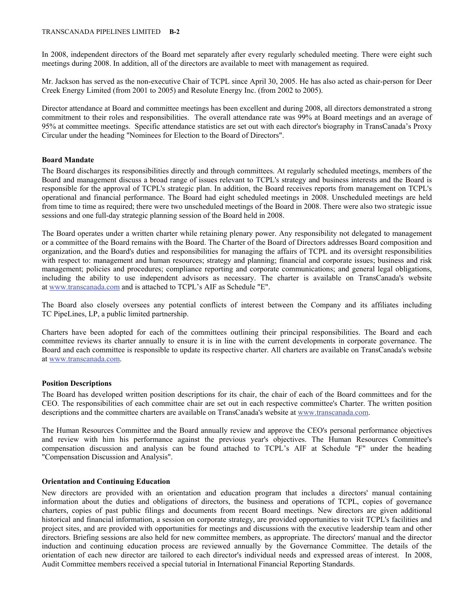In 2008, independent directors of the Board met separately after every regularly scheduled meeting. There were eight such meetings during 2008. In addition, all of the directors are available to meet with management as required.

Mr. Jackson has served as the non-executive Chair of TCPL since April 30, 2005. He has also acted as chair-person for Deer Creek Energy Limited (from 2001 to 2005) and Resolute Energy Inc. (from 2002 to 2005).

Director attendance at Board and committee meetings has been excellent and during 2008, all directors demonstrated a strong commitment to their roles and responsibilities. The overall attendance rate was 99% at Board meetings and an average of 95% at committee meetings. Specific attendance statistics are set out with each director's biography in TransCanada's Proxy Circular under the heading "Nominees for Election to the Board of Directors".

## **Board Mandate**

The Board discharges its responsibilities directly and through committees. At regularly scheduled meetings, members of the Board and management discuss a broad range of issues relevant to TCPL's strategy and business interests and the Board is responsible for the approval of TCPL's strategic plan. In addition, the Board receives reports from management on TCPL's operational and financial performance. The Board had eight scheduled meetings in 2008. Unscheduled meetings are held from time to time as required; there were two unscheduled meetings of the Board in 2008. There were also two strategic issue sessions and one full-day strategic planning session of the Board held in 2008.

The Board operates under a written charter while retaining plenary power. Any responsibility not delegated to management or a committee of the Board remains with the Board. The Charter of the Board of Directors addresses Board composition and organization, and the Board's duties and responsibilities for managing the affairs of TCPL and its oversight responsibilities with respect to: management and human resources; strategy and planning; financial and corporate issues; business and risk management; policies and procedures; compliance reporting and corporate communications; and general legal obligations, including the ability to use independent advisors as necessary. The charter is available on TransCanada's website at www.transcanada.com and is attached to TCPL's AIF as Schedule "E".

The Board also closely oversees any potential conflicts of interest between the Company and its affiliates including TC PipeLines, LP, a public limited partnership.

Charters have been adopted for each of the committees outlining their principal responsibilities. The Board and each committee reviews its charter annually to ensure it is in line with the current developments in corporate governance. The Board and each committee is responsible to update its respective charter. All charters are available on TransCanada's website at www.transcanada.com.

### **Position Descriptions**

The Board has developed written position descriptions for its chair, the chair of each of the Board committees and for the CEO. The responsibilities of each committee chair are set out in each respective committee's Charter. The written position descriptions and the committee charters are available on TransCanada's website at www.transcanada.com.

The Human Resources Committee and the Board annually review and approve the CEO's personal performance objectives and review with him his performance against the previous year's objectives. The Human Resources Committee's compensation discussion and analysis can be found attached to TCPL's AIF at Schedule "F" under the heading "Compensation Discussion and Analysis".

### **Orientation and Continuing Education**

New directors are provided with an orientation and education program that includes a directors' manual containing information about the duties and obligations of directors, the business and operations of TCPL, copies of governance charters, copies of past public filings and documents from recent Board meetings. New directors are given additional historical and financial information, a session on corporate strategy, are provided opportunities to visit TCPL's facilities and project sites, and are provided with opportunities for meetings and discussions with the executive leadership team and other directors. Briefing sessions are also held for new committee members, as appropriate. The directors' manual and the director induction and continuing education process are reviewed annually by the Governance Committee. The details of the orientation of each new director are tailored to each director's individual needs and expressed areas of interest. In 2008, Audit Committee members received a special tutorial in International Financial Reporting Standards.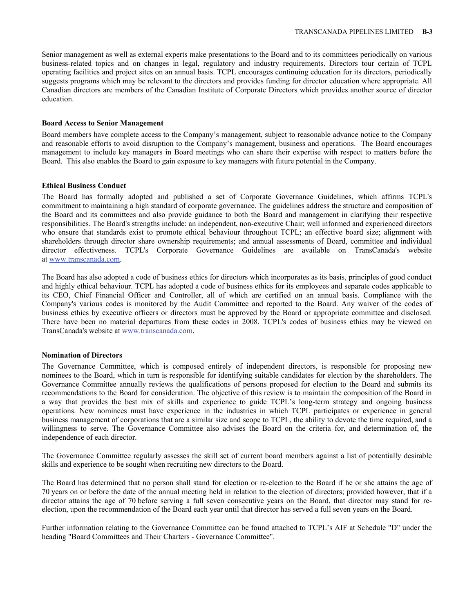Senior management as well as external experts make presentations to the Board and to its committees periodically on various business-related topics and on changes in legal, regulatory and industry requirements. Directors tour certain of TCPL operating facilities and project sites on an annual basis. TCPL encourages continuing education for its directors, periodically suggests programs which may be relevant to the directors and provides funding for director education where appropriate. All Canadian directors are members of the Canadian Institute of Corporate Directors which provides another source of director education.

### **Board Access to Senior Management**

Board members have complete access to the Company's management, subject to reasonable advance notice to the Company and reasonable efforts to avoid disruption to the Company's management, business and operations. The Board encourages management to include key managers in Board meetings who can share their expertise with respect to matters before the Board. This also enables the Board to gain exposure to key managers with future potential in the Company.

## **Ethical Business Conduct**

The Board has formally adopted and published a set of Corporate Governance Guidelines, which affirms TCPL's commitment to maintaining a high standard of corporate governance. The guidelines address the structure and composition of the Board and its committees and also provide guidance to both the Board and management in clarifying their respective responsibilities. The Board's strengths include: an independent, non-executive Chair; well informed and experienced directors who ensure that standards exist to promote ethical behaviour throughout TCPL; an effective board size; alignment with shareholders through director share ownership requirements; and annual assessments of Board, committee and individual director effectiveness. TCPL's Corporate Governance Guidelines are available on TransCanada's website at www.transcanada.com.

The Board has also adopted a code of business ethics for directors which incorporates as its basis, principles of good conduct and highly ethical behaviour. TCPL has adopted a code of business ethics for its employees and separate codes applicable to its CEO, Chief Financial Officer and Controller, all of which are certified on an annual basis. Compliance with the Company's various codes is monitored by the Audit Committee and reported to the Board. Any waiver of the codes of business ethics by executive officers or directors must be approved by the Board or appropriate committee and disclosed. There have been no material departures from these codes in 2008. TCPL's codes of business ethics may be viewed on TransCanada's website at www.transcanada.com.

### **Nomination of Directors**

The Governance Committee, which is composed entirely of independent directors, is responsible for proposing new nominees to the Board, which in turn is responsible for identifying suitable candidates for election by the shareholders. The Governance Committee annually reviews the qualifications of persons proposed for election to the Board and submits its recommendations to the Board for consideration. The objective of this review is to maintain the composition of the Board in a way that provides the best mix of skills and experience to guide TCPL's long-term strategy and ongoing business operations. New nominees must have experience in the industries in which TCPL participates or experience in general business management of corporations that are a similar size and scope to TCPL, the ability to devote the time required, and a willingness to serve. The Governance Committee also advises the Board on the criteria for, and determination of, the independence of each director.

The Governance Committee regularly assesses the skill set of current board members against a list of potentially desirable skills and experience to be sought when recruiting new directors to the Board.

The Board has determined that no person shall stand for election or re-election to the Board if he or she attains the age of 70 years on or before the date of the annual meeting held in relation to the election of directors; provided however, that if a director attains the age of 70 before serving a full seven consecutive years on the Board, that director may stand for reelection, upon the recommendation of the Board each year until that director has served a full seven years on the Board.

Further information relating to the Governance Committee can be found attached to TCPL's AIF at Schedule "D" under the heading "Board Committees and Their Charters - Governance Committee".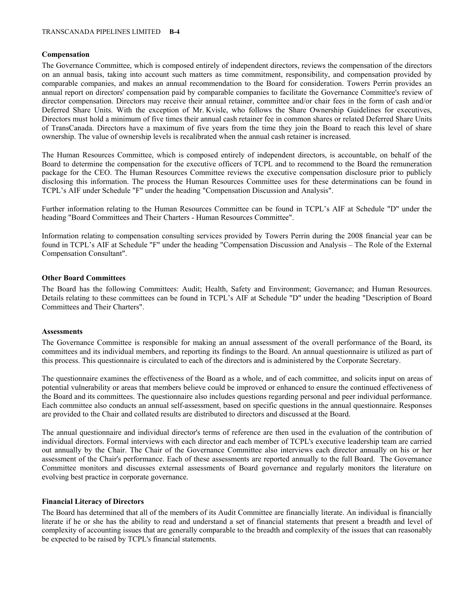## **Compensation**

The Governance Committee, which is composed entirely of independent directors, reviews the compensation of the directors on an annual basis, taking into account such matters as time commitment, responsibility, and compensation provided by comparable companies, and makes an annual recommendation to the Board for consideration. Towers Perrin provides an annual report on directors' compensation paid by comparable companies to facilitate the Governance Committee's review of director compensation. Directors may receive their annual retainer, committee and/or chair fees in the form of cash and/or Deferred Share Units. With the exception of Mr. Kvisle, who follows the Share Ownership Guidelines for executives, Directors must hold a minimum of five times their annual cash retainer fee in common shares or related Deferred Share Units of TransCanada. Directors have a maximum of five years from the time they join the Board to reach this level of share ownership. The value of ownership levels is recalibrated when the annual cash retainer is increased.

The Human Resources Committee, which is composed entirely of independent directors, is accountable, on behalf of the Board to determine the compensation for the executive officers of TCPL and to recommend to the Board the remuneration package for the CEO. The Human Resources Committee reviews the executive compensation disclosure prior to publicly disclosing this information. The process the Human Resources Committee uses for these determinations can be found in TCPL's AIF under Schedule "F" under the heading "Compensation Discussion and Analysis".

Further information relating to the Human Resources Committee can be found in TCPL's AIF at Schedule "D" under the heading "Board Committees and Their Charters - Human Resources Committee".

Information relating to compensation consulting services provided by Towers Perrin during the 2008 financial year can be found in TCPL's AIF at Schedule "F" under the heading "Compensation Discussion and Analysis – The Role of the External Compensation Consultant".

### **Other Board Committees**

The Board has the following Committees: Audit; Health, Safety and Environment; Governance; and Human Resources. Details relating to these committees can be found in TCPL's AIF at Schedule "D" under the heading "Description of Board Committees and Their Charters".

### **Assessments**

The Governance Committee is responsible for making an annual assessment of the overall performance of the Board, its committees and its individual members, and reporting its findings to the Board. An annual questionnaire is utilized as part of this process. This questionnaire is circulated to each of the directors and is administered by the Corporate Secretary.

The questionnaire examines the effectiveness of the Board as a whole, and of each committee, and solicits input on areas of potential vulnerability or areas that members believe could be improved or enhanced to ensure the continued effectiveness of the Board and its committees. The questionnaire also includes questions regarding personal and peer individual performance. Each committee also conducts an annual self-assessment, based on specific questions in the annual questionnaire. Responses are provided to the Chair and collated results are distributed to directors and discussed at the Board.

The annual questionnaire and individual director's terms of reference are then used in the evaluation of the contribution of individual directors. Formal interviews with each director and each member of TCPL's executive leadership team are carried out annually by the Chair. The Chair of the Governance Committee also interviews each director annually on his or her assessment of the Chair's performance. Each of these assessments are reported annually to the full Board. The Governance Committee monitors and discusses external assessments of Board governance and regularly monitors the literature on evolving best practice in corporate governance.

### **Financial Literacy of Directors**

The Board has determined that all of the members of its Audit Committee are financially literate. An individual is financially literate if he or she has the ability to read and understand a set of financial statements that present a breadth and level of complexity of accounting issues that are generally comparable to the breadth and complexity of the issues that can reasonably be expected to be raised by TCPL's financial statements.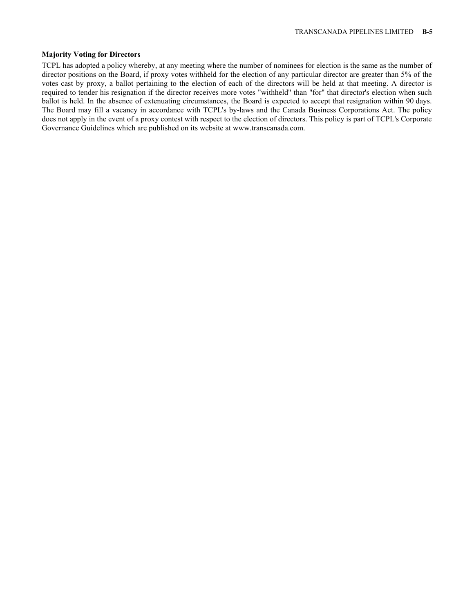## **Majority Voting for Directors**

TCPL has adopted a policy whereby, at any meeting where the number of nominees for election is the same as the number of director positions on the Board, if proxy votes withheld for the election of any particular director are greater than 5% of the votes cast by proxy, a ballot pertaining to the election of each of the directors will be held at that meeting. A director is required to tender his resignation if the director receives more votes "withheld" than "for" that director's election when such ballot is held. In the absence of extenuating circumstances, the Board is expected to accept that resignation within 90 days. The Board may fill a vacancy in accordance with TCPL's by-laws and the Canada Business Corporations Act. The policy does not apply in the event of a proxy contest with respect to the election of directors. This policy is part of TCPL's Corporate Governance Guidelines which are published on its website at www.transcanada.com.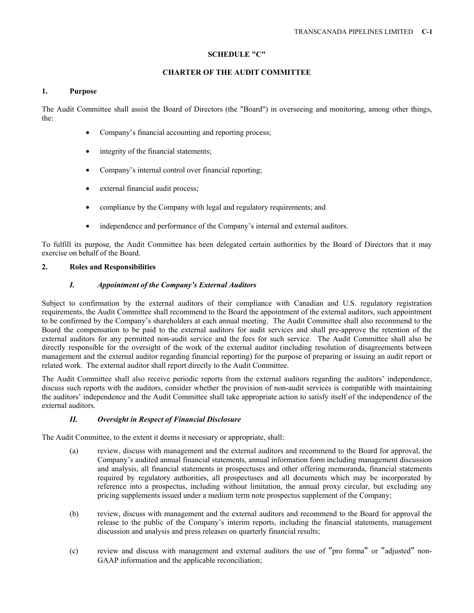# **SCHEDULE "C"**

# **CHARTER OF THE AUDIT COMMITTEE**

# **1. Purpose**

The Audit Committee shall assist the Board of Directors (the "Board") in overseeing and monitoring, among other things, the:

- Company's financial accounting and reporting process;
- integrity of the financial statements;
- Company's internal control over financial reporting;
- external financial audit process:
- compliance by the Company with legal and regulatory requirements; and
- independence and performance of the Company's internal and external auditors.

To fulfill its purpose, the Audit Committee has been delegated certain authorities by the Board of Directors that it may exercise on behalf of the Board.

# **2. Roles and Responsibilities**

# *I. Appointment of the Company's External Auditors*

Subject to confirmation by the external auditors of their compliance with Canadian and U.S. regulatory registration requirements, the Audit Committee shall recommend to the Board the appointment of the external auditors, such appointment to be confirmed by the Company's shareholders at each annual meeting. The Audit Committee shall also recommend to the Board the compensation to be paid to the external auditors for audit services and shall pre-approve the retention of the external auditors for any permitted non-audit service and the fees for such service. The Audit Committee shall also be directly responsible for the oversight of the work of the external auditor (including resolution of disagreements between management and the external auditor regarding financial reporting) for the purpose of preparing or issuing an audit report or related work. The external auditor shall report directly to the Audit Committee.

The Audit Committee shall also receive periodic reports from the external auditors regarding the auditors' independence, discuss such reports with the auditors, consider whether the provision of non-audit services is compatible with maintaining the auditors' independence and the Audit Committee shall take appropriate action to satisfy itself of the independence of the external auditors.

# *II. Oversight in Respect of Financial Disclosure*

The Audit Committee, to the extent it deems it necessary or appropriate, shall:

- (a) review, discuss with management and the external auditors and recommend to the Board for approval, the Company's audited annual financial statements, annual information form including management discussion and analysis, all financial statements in prospectuses and other offering memoranda, financial statements required by regulatory authorities, all prospectuses and all documents which may be incorporated by reference into a prospectus, including without limitation, the annual proxy circular, but excluding any pricing supplements issued under a medium term note prospectus supplement of the Company;
- (b) review, discuss with management and the external auditors and recommend to the Board for approval the release to the public of the Company's interim reports, including the financial statements, management discussion and analysis and press releases on quarterly financial results;
- (c) review and discuss with management and external auditors the use of "pro forma" or "adjusted" non-GAAP information and the applicable reconciliation;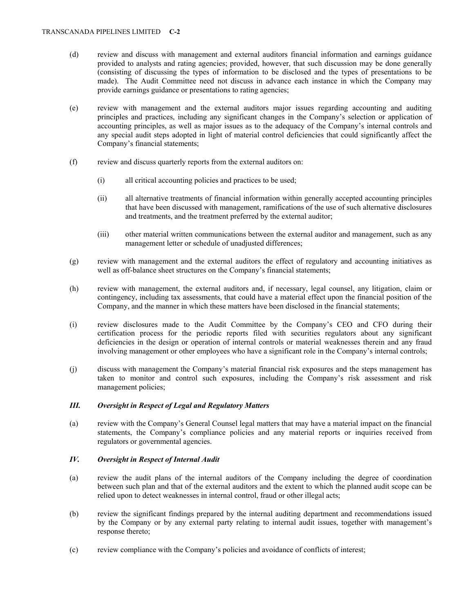- (d) review and discuss with management and external auditors financial information and earnings guidance provided to analysts and rating agencies; provided, however, that such discussion may be done generally (consisting of discussing the types of information to be disclosed and the types of presentations to be made). The Audit Committee need not discuss in advance each instance in which the Company may provide earnings guidance or presentations to rating agencies;
- (e) review with management and the external auditors major issues regarding accounting and auditing principles and practices, including any significant changes in the Company's selection or application of accounting principles, as well as major issues as to the adequacy of the Company's internal controls and any special audit steps adopted in light of material control deficiencies that could significantly affect the Company's financial statements;
- (f) review and discuss quarterly reports from the external auditors on:
	- (i) all critical accounting policies and practices to be used;
	- (ii) all alternative treatments of financial information within generally accepted accounting principles that have been discussed with management, ramifications of the use of such alternative disclosures and treatments, and the treatment preferred by the external auditor;
	- (iii) other material written communications between the external auditor and management, such as any management letter or schedule of unadjusted differences;
- (g) review with management and the external auditors the effect of regulatory and accounting initiatives as well as off-balance sheet structures on the Company's financial statements;
- (h) review with management, the external auditors and, if necessary, legal counsel, any litigation, claim or contingency, including tax assessments, that could have a material effect upon the financial position of the Company, and the manner in which these matters have been disclosed in the financial statements;
- (i) review disclosures made to the Audit Committee by the Company's CEO and CFO during their certification process for the periodic reports filed with securities regulators about any significant deficiencies in the design or operation of internal controls or material weaknesses therein and any fraud involving management or other employees who have a significant role in the Company's internal controls;
- (j) discuss with management the Company's material financial risk exposures and the steps management has taken to monitor and control such exposures, including the Company's risk assessment and risk management policies;

## *III. Oversight in Respect of Legal and Regulatory Matters*

(a) review with the Company's General Counsel legal matters that may have a material impact on the financial statements, the Company's compliance policies and any material reports or inquiries received from regulators or governmental agencies.

# *IV. Oversight in Respect of Internal Audit*

- (a) review the audit plans of the internal auditors of the Company including the degree of coordination between such plan and that of the external auditors and the extent to which the planned audit scope can be relied upon to detect weaknesses in internal control, fraud or other illegal acts;
- (b) review the significant findings prepared by the internal auditing department and recommendations issued by the Company or by any external party relating to internal audit issues, together with management's response thereto;
- (c) review compliance with the Company's policies and avoidance of conflicts of interest;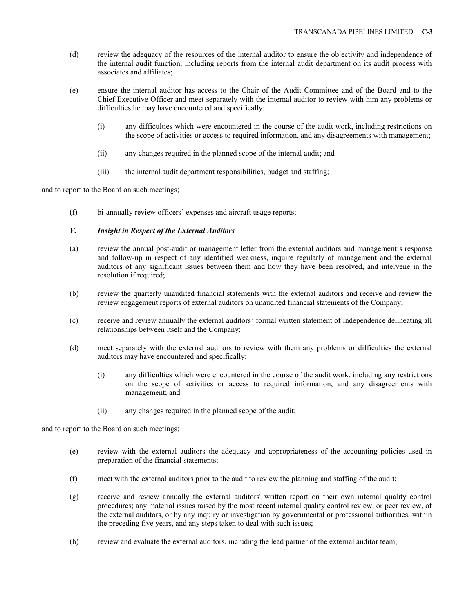- (d) review the adequacy of the resources of the internal auditor to ensure the objectivity and independence of the internal audit function, including reports from the internal audit department on its audit process with associates and affiliates;
- (e) ensure the internal auditor has access to the Chair of the Audit Committee and of the Board and to the Chief Executive Officer and meet separately with the internal auditor to review with him any problems or difficulties he may have encountered and specifically:
	- (i) any difficulties which were encountered in the course of the audit work, including restrictions on the scope of activities or access to required information, and any disagreements with management;
	- (ii) any changes required in the planned scope of the internal audit; and
	- (iii) the internal audit department responsibilities, budget and staffing;

and to report to the Board on such meetings;

(f) bi-annually review officers' expenses and aircraft usage reports;

# *V. Insight in Respect of the External Auditors*

- (a) review the annual post-audit or management letter from the external auditors and management's response and follow-up in respect of any identified weakness, inquire regularly of management and the external auditors of any significant issues between them and how they have been resolved, and intervene in the resolution if required;
- (b) review the quarterly unaudited financial statements with the external auditors and receive and review the review engagement reports of external auditors on unaudited financial statements of the Company;
- (c) receive and review annually the external auditors' formal written statement of independence delineating all relationships between itself and the Company;
- (d) meet separately with the external auditors to review with them any problems or difficulties the external auditors may have encountered and specifically:
	- (i) any difficulties which were encountered in the course of the audit work, including any restrictions on the scope of activities or access to required information, and any disagreements with management; and
	- (ii) any changes required in the planned scope of the audit;

and to report to the Board on such meetings;

- (e) review with the external auditors the adequacy and appropriateness of the accounting policies used in preparation of the financial statements;
- (f) meet with the external auditors prior to the audit to review the planning and staffing of the audit;
- (g) receive and review annually the external auditors' written report on their own internal quality control procedures; any material issues raised by the most recent internal quality control review, or peer review, of the external auditors, or by any inquiry or investigation by governmental or professional authorities, within the preceding five years, and any steps taken to deal with such issues;
- (h) review and evaluate the external auditors, including the lead partner of the external auditor team;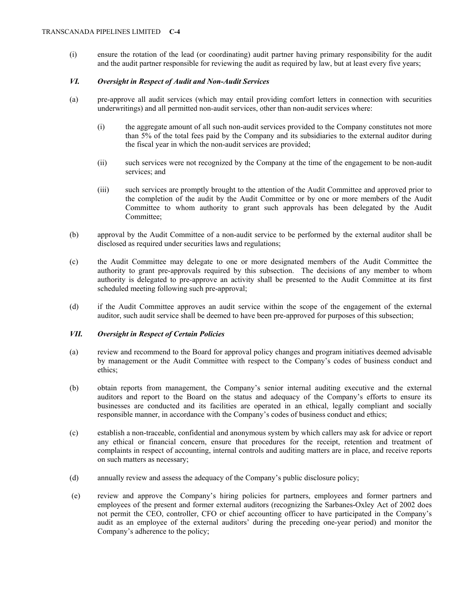(i) ensure the rotation of the lead (or coordinating) audit partner having primary responsibility for the audit and the audit partner responsible for reviewing the audit as required by law, but at least every five years;

# *VI. Oversight in Respect of Audit and Non-Audit Services*

- (a) pre-approve all audit services (which may entail providing comfort letters in connection with securities underwritings) and all permitted non-audit services, other than non-audit services where:
	- (i) the aggregate amount of all such non-audit services provided to the Company constitutes not more than 5% of the total fees paid by the Company and its subsidiaries to the external auditor during the fiscal year in which the non-audit services are provided;
	- (ii) such services were not recognized by the Company at the time of the engagement to be non-audit services; and
	- (iii) such services are promptly brought to the attention of the Audit Committee and approved prior to the completion of the audit by the Audit Committee or by one or more members of the Audit Committee to whom authority to grant such approvals has been delegated by the Audit Committee;
- (b) approval by the Audit Committee of a non-audit service to be performed by the external auditor shall be disclosed as required under securities laws and regulations;
- (c) the Audit Committee may delegate to one or more designated members of the Audit Committee the authority to grant pre-approvals required by this subsection. The decisions of any member to whom authority is delegated to pre-approve an activity shall be presented to the Audit Committee at its first scheduled meeting following such pre-approval;
- (d) if the Audit Committee approves an audit service within the scope of the engagement of the external auditor, such audit service shall be deemed to have been pre-approved for purposes of this subsection;

## *VII. Oversight in Respect of Certain Policies*

- (a) review and recommend to the Board for approval policy changes and program initiatives deemed advisable by management or the Audit Committee with respect to the Company's codes of business conduct and ethics;
- (b) obtain reports from management, the Company's senior internal auditing executive and the external auditors and report to the Board on the status and adequacy of the Company's efforts to ensure its businesses are conducted and its facilities are operated in an ethical, legally compliant and socially responsible manner, in accordance with the Company's codes of business conduct and ethics;
- (c) establish a non-traceable, confidential and anonymous system by which callers may ask for advice or report any ethical or financial concern, ensure that procedures for the receipt, retention and treatment of complaints in respect of accounting, internal controls and auditing matters are in place, and receive reports on such matters as necessary;
- (d) annually review and assess the adequacy of the Company's public disclosure policy;
- (e) review and approve the Company's hiring policies for partners, employees and former partners and employees of the present and former external auditors (recognizing the Sarbanes-Oxley Act of 2002 does not permit the CEO, controller, CFO or chief accounting officer to have participated in the Company's audit as an employee of the external auditors' during the preceding one-year period) and monitor the Company's adherence to the policy;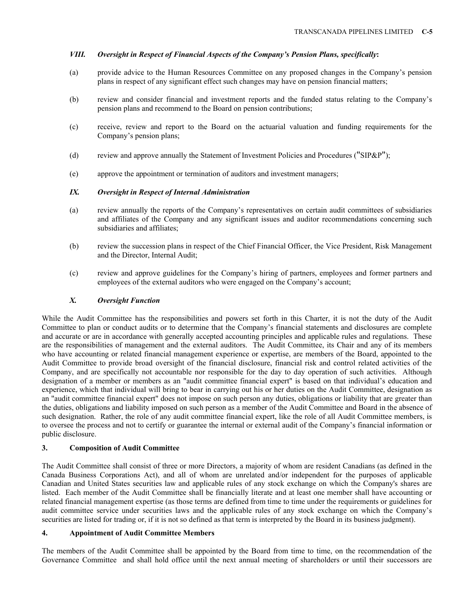# *VIII. Oversight in Respect of Financial Aspects of the Company's Pension Plans, specifically***:**

- (a) provide advice to the Human Resources Committee on any proposed changes in the Company's pension plans in respect of any significant effect such changes may have on pension financial matters;
- (b) review and consider financial and investment reports and the funded status relating to the Company's pension plans and recommend to the Board on pension contributions;
- (c) receive, review and report to the Board on the actuarial valuation and funding requirements for the Company's pension plans;
- (d) review and approve annually the Statement of Investment Policies and Procedures (" $SIP\&P$ ");
- (e) approve the appointment or termination of auditors and investment managers;

## *IX. Oversight in Respect of Internal Administration*

- (a) review annually the reports of the Company's representatives on certain audit committees of subsidiaries and affiliates of the Company and any significant issues and auditor recommendations concerning such subsidiaries and affiliates;
- (b) review the succession plans in respect of the Chief Financial Officer, the Vice President, Risk Management and the Director, Internal Audit;
- (c) review and approve guidelines for the Company's hiring of partners, employees and former partners and employees of the external auditors who were engaged on the Company's account;

## *X. Oversight Function*

While the Audit Committee has the responsibilities and powers set forth in this Charter, it is not the duty of the Audit Committee to plan or conduct audits or to determine that the Company's financial statements and disclosures are complete and accurate or are in accordance with generally accepted accounting principles and applicable rules and regulations. These are the responsibilities of management and the external auditors. The Audit Committee, its Chair and any of its members who have accounting or related financial management experience or expertise, are members of the Board, appointed to the Audit Committee to provide broad oversight of the financial disclosure, financial risk and control related activities of the Company, and are specifically not accountable nor responsible for the day to day operation of such activities. Although designation of a member or members as an "audit committee financial expert" is based on that individual's education and experience, which that individual will bring to bear in carrying out his or her duties on the Audit Committee, designation as an "audit committee financial expert" does not impose on such person any duties, obligations or liability that are greater than the duties, obligations and liability imposed on such person as a member of the Audit Committee and Board in the absence of such designation. Rather, the role of any audit committee financial expert, like the role of all Audit Committee members, is to oversee the process and not to certify or guarantee the internal or external audit of the Company's financial information or public disclosure.

### **3. Composition of Audit Committee**

The Audit Committee shall consist of three or more Directors, a majority of whom are resident Canadians (as defined in the Canada Business Corporations Act), and all of whom are unrelated and/or independent for the purposes of applicable Canadian and United States securities law and applicable rules of any stock exchange on which the Company's shares are listed. Each member of the Audit Committee shall be financially literate and at least one member shall have accounting or related financial management expertise (as those terms are defined from time to time under the requirements or guidelines for audit committee service under securities laws and the applicable rules of any stock exchange on which the Company's securities are listed for trading or, if it is not so defined as that term is interpreted by the Board in its business judgment).

### **4. Appointment of Audit Committee Members**

The members of the Audit Committee shall be appointed by the Board from time to time, on the recommendation of the Governance Committee and shall hold office until the next annual meeting of shareholders or until their successors are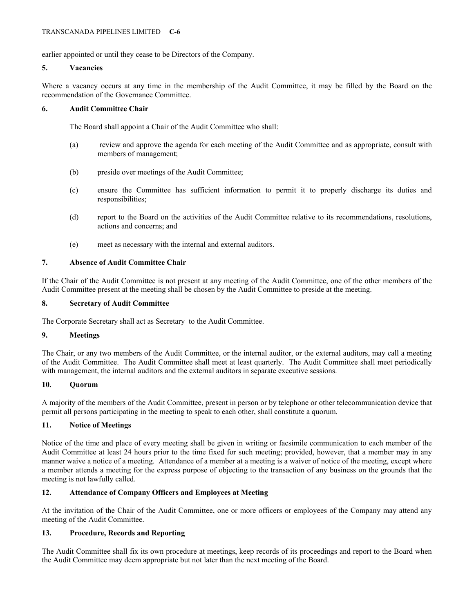earlier appointed or until they cease to be Directors of the Company.

## **5. Vacancies**

Where a vacancy occurs at any time in the membership of the Audit Committee, it may be filled by the Board on the recommendation of the Governance Committee.

## **6. Audit Committee Chair**

The Board shall appoint a Chair of the Audit Committee who shall:

- (a) review and approve the agenda for each meeting of the Audit Committee and as appropriate, consult with members of management;
- (b) preside over meetings of the Audit Committee;
- (c) ensure the Committee has sufficient information to permit it to properly discharge its duties and responsibilities;
- (d) report to the Board on the activities of the Audit Committee relative to its recommendations, resolutions, actions and concerns; and
- (e) meet as necessary with the internal and external auditors.

## **7. Absence of Audit Committee Chair**

If the Chair of the Audit Committee is not present at any meeting of the Audit Committee, one of the other members of the Audit Committee present at the meeting shall be chosen by the Audit Committee to preside at the meeting.

## **8. Secretary of Audit Committee**

The Corporate Secretary shall act as Secretary to the Audit Committee.

### **9. Meetings**

The Chair, or any two members of the Audit Committee, or the internal auditor, or the external auditors, may call a meeting of the Audit Committee. The Audit Committee shall meet at least quarterly. The Audit Committee shall meet periodically with management, the internal auditors and the external auditors in separate executive sessions.

### **10. Quorum**

A majority of the members of the Audit Committee, present in person or by telephone or other telecommunication device that permit all persons participating in the meeting to speak to each other, shall constitute a quorum.

# **11. Notice of Meetings**

Notice of the time and place of every meeting shall be given in writing or facsimile communication to each member of the Audit Committee at least 24 hours prior to the time fixed for such meeting; provided, however, that a member may in any manner waive a notice of a meeting. Attendance of a member at a meeting is a waiver of notice of the meeting, except where a member attends a meeting for the express purpose of objecting to the transaction of any business on the grounds that the meeting is not lawfully called.

# **12. Attendance of Company Officers and Employees at Meeting**

At the invitation of the Chair of the Audit Committee, one or more officers or employees of the Company may attend any meeting of the Audit Committee.

# **13. Procedure, Records and Reporting**

The Audit Committee shall fix its own procedure at meetings, keep records of its proceedings and report to the Board when the Audit Committee may deem appropriate but not later than the next meeting of the Board.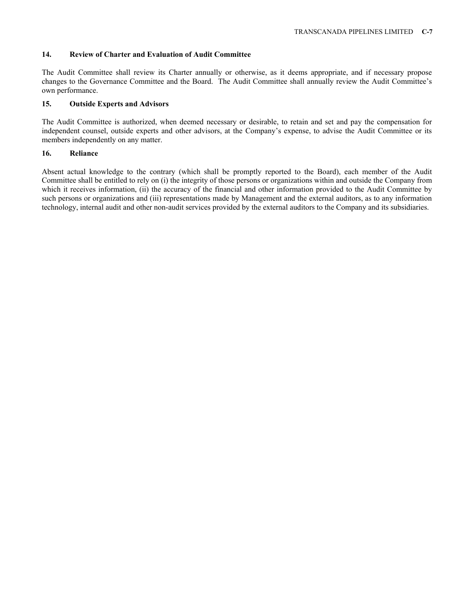### **14. Review of Charter and Evaluation of Audit Committee**

The Audit Committee shall review its Charter annually or otherwise, as it deems appropriate, and if necessary propose changes to the Governance Committee and the Board. The Audit Committee shall annually review the Audit Committee's own performance.

#### **15. Outside Experts and Advisors**

The Audit Committee is authorized, when deemed necessary or desirable, to retain and set and pay the compensation for independent counsel, outside experts and other advisors, at the Company's expense, to advise the Audit Committee or its members independently on any matter.

### **16. Reliance**

Absent actual knowledge to the contrary (which shall be promptly reported to the Board), each member of the Audit Committee shall be entitled to rely on (i) the integrity of those persons or organizations within and outside the Company from which it receives information, (ii) the accuracy of the financial and other information provided to the Audit Committee by such persons or organizations and (iii) representations made by Management and the external auditors, as to any information technology, internal audit and other non-audit services provided by the external auditors to the Company and its subsidiaries.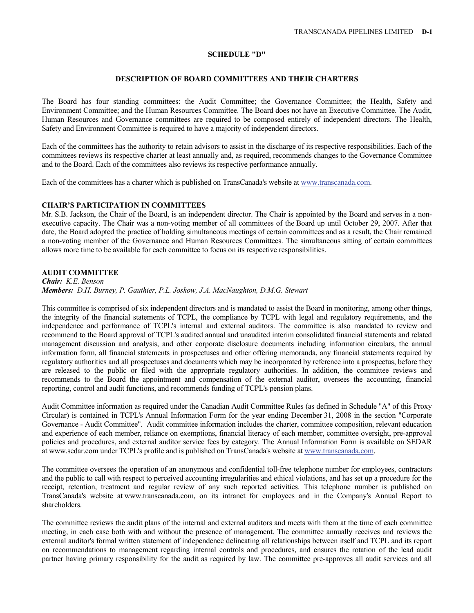### **SCHEDULE "D"**

### **DESCRIPTION OF BOARD COMMITTEES AND THEIR CHARTERS**

The Board has four standing committees: the Audit Committee; the Governance Committee; the Health, Safety and Environment Committee; and the Human Resources Committee. The Board does not have an Executive Committee. The Audit, Human Resources and Governance committees are required to be composed entirely of independent directors. The Health, Safety and Environment Committee is required to have a majority of independent directors.

Each of the committees has the authority to retain advisors to assist in the discharge of its respective responsibilities. Each of the committees reviews its respective charter at least annually and, as required, recommends changes to the Governance Committee and to the Board. Each of the committees also reviews its respective performance annually.

Each of the committees has a charter which is published on TransCanada's website at www.transcanada.com.

# **CHAIR'S PARTICIPATION IN COMMITTEES**

Mr. S.B. Jackson, the Chair of the Board, is an independent director. The Chair is appointed by the Board and serves in a nonexecutive capacity. The Chair was a non-voting member of all committees of the Board up until October 29, 2007. After that date, the Board adopted the practice of holding simultaneous meetings of certain committees and as a result, the Chair remained a non-voting member of the Governance and Human Resources Committees. The simultaneous sitting of certain committees allows more time to be available for each committee to focus on its respective responsibilities.

# **AUDIT COMMITTEE**

*Chair: K.E. Benson Members: D.H. Burney, P. Gauthier, P.L. Joskow, J.A. MacNaughton, D.M.G. Stewart* 

This committee is comprised of six independent directors and is mandated to assist the Board in monitoring, among other things, the integrity of the financial statements of TCPL, the compliance by TCPL with legal and regulatory requirements, and the independence and performance of TCPL's internal and external auditors. The committee is also mandated to review and recommend to the Board approval of TCPL's audited annual and unaudited interim consolidated financial statements and related management discussion and analysis, and other corporate disclosure documents including information circulars, the annual information form, all financial statements in prospectuses and other offering memoranda, any financial statements required by regulatory authorities and all prospectuses and documents which may be incorporated by reference into a prospectus, before they are released to the public or filed with the appropriate regulatory authorities. In addition, the committee reviews and recommends to the Board the appointment and compensation of the external auditor, oversees the accounting, financial reporting, control and audit functions, and recommends funding of TCPL's pension plans.

Audit Committee information as required under the Canadian Audit Committee Rules (as defined in Schedule "A" of this Proxy Circular) is contained in TCPL's Annual Information Form for the year ending December 31, 2008 in the section "Corporate Governance - Audit Committee". Audit committee information includes the charter, committee composition, relevant education and experience of each member, reliance on exemptions, financial literacy of each member, committee oversight, pre-approval policies and procedures, and external auditor service fees by category. The Annual Information Form is available on SEDAR at www.sedar.com under TCPL's profile and is published on TransCanada's website at www.transcanada.com.

The committee oversees the operation of an anonymous and confidential toll-free telephone number for employees, contractors and the public to call with respect to perceived accounting irregularities and ethical violations, and has set up a procedure for the receipt, retention, treatment and regular review of any such reported activities. This telephone number is published on TransCanada's website at www.transcanada.com, on its intranet for employees and in the Company's Annual Report to shareholders.

The committee reviews the audit plans of the internal and external auditors and meets with them at the time of each committee meeting, in each case both with and without the presence of management. The committee annually receives and reviews the external auditor's formal written statement of independence delineating all relationships between itself and TCPL and its report on recommendations to management regarding internal controls and procedures, and ensures the rotation of the lead audit partner having primary responsibility for the audit as required by law. The committee pre-approves all audit services and all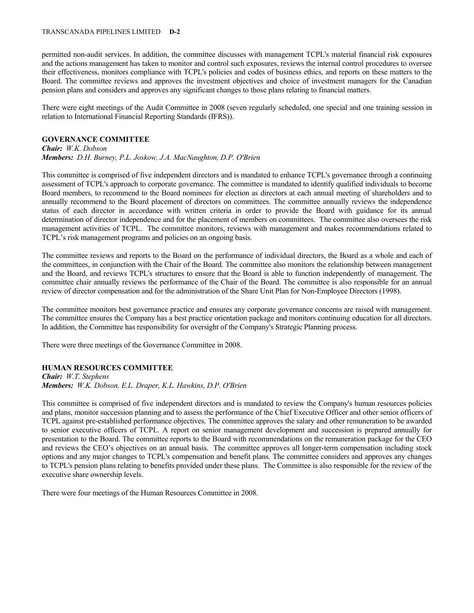#### TRANSCANADA PIPELINES LIMITED **D-2**

permitted non-audit services. In addition, the committee discusses with management TCPL's material financial risk exposures and the actions management has taken to monitor and control such exposures, reviews the internal control procedures to oversee their effectiveness, monitors compliance with TCPL's policies and codes of business ethics, and reports on these matters to the Board. The committee reviews and approves the investment objectives and choice of investment managers for the Canadian pension plans and considers and approves any significant changes to those plans relating to financial matters.

There were eight meetings of the Audit Committee in 2008 (seven regularly scheduled, one special and one training session in relation to International Financial Reporting Standards (IFRS)).

### **GOVERNANCE COMMITTEE**

*Chair: W.K. Dobson Members: D.H. Burney, P.L. Joskow, J.A. MacNaughton, D.P. O'Brien* 

This committee is comprised of five independent directors and is mandated to enhance TCPL's governance through a continuing assessment of TCPL's approach to corporate governance. The committee is mandated to identify qualified individuals to become Board members, to recommend to the Board nominees for election as directors at each annual meeting of shareholders and to annually recommend to the Board placement of directors on committees. The committee annually reviews the independence status of each director in accordance with written criteria in order to provide the Board with guidance for its annual determination of director independence and for the placement of members on committees. The committee also oversees the risk management activities of TCPL. The committee monitors, reviews with management and makes recommendations related to TCPL's risk management programs and policies on an ongoing basis.

The committee reviews and reports to the Board on the performance of individual directors, the Board as a whole and each of the committees, in conjunction with the Chair of the Board. The committee also monitors the relationship between management and the Board, and reviews TCPL's structures to ensure that the Board is able to function independently of management. The committee chair annually reviews the performance of the Chair of the Board. The committee is also responsible for an annual review of director compensation and for the administration of the Share Unit Plan for Non-Employee Directors (1998).

The committee monitors best governance practice and ensures any corporate governance concerns are raised with management. The committee ensures the Company has a best practice orientation package and monitors continuing education for all directors. In addition, the Committee has responsibility for oversight of the Company's Strategic Planning process.

There were three meetings of the Governance Committee in 2008.

# **HUMAN RESOURCES COMMITTEE**

*Chair: W.T. Stephens Members: W.K. Dobson, E.L. Draper, K.L. Hawkins, D.P. O'Brien* 

This committee is comprised of five independent directors and is mandated to review the Company's human resources policies and plans, monitor succession planning and to assess the performance of the Chief Executive Officer and other senior officers of TCPL against pre-established performance objectives. The committee approves the salary and other remuneration to be awarded to senior executive officers of TCPL. A report on senior management development and succession is prepared annually for presentation to the Board. The committee reports to the Board with recommendations on the remuneration package for the CEO and reviews the CEO's objectives on an annual basis. The committee approves all longer-term compensation including stock options and any major changes to TCPL's compensation and benefit plans. The committee considers and approves any changes to TCPL's pension plans relating to benefits provided under these plans. The Committee is also responsible for the review of the executive share ownership levels.

There were four meetings of the Human Resources Committee in 2008.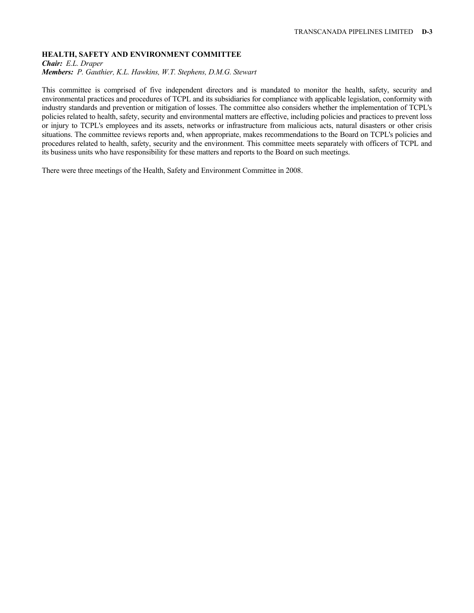# **HEALTH, SAFETY AND ENVIRONMENT COMMITTEE**

*Chair: E.L. Draper* 

*Members: P. Gauthier, K.L. Hawkins, W.T. Stephens, D.M.G. Stewart* 

This committee is comprised of five independent directors and is mandated to monitor the health, safety, security and environmental practices and procedures of TCPL and its subsidiaries for compliance with applicable legislation, conformity with industry standards and prevention or mitigation of losses. The committee also considers whether the implementation of TCPL's policies related to health, safety, security and environmental matters are effective, including policies and practices to prevent loss or injury to TCPL's employees and its assets, networks or infrastructure from malicious acts, natural disasters or other crisis situations. The committee reviews reports and, when appropriate, makes recommendations to the Board on TCPL's policies and procedures related to health, safety, security and the environment. This committee meets separately with officers of TCPL and its business units who have responsibility for these matters and reports to the Board on such meetings.

There were three meetings of the Health, Safety and Environment Committee in 2008.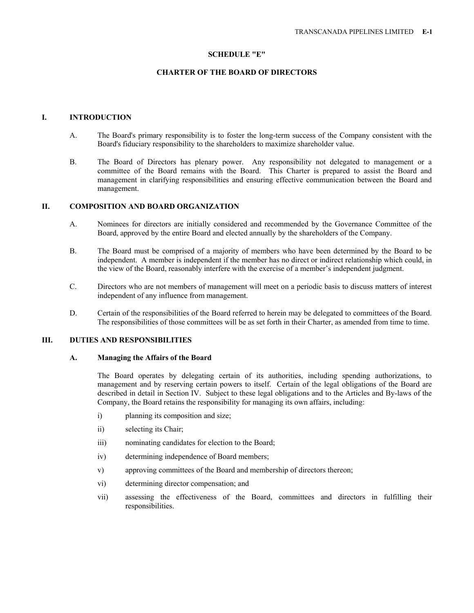#### **SCHEDULE "E"**

# **CHARTER OF THE BOARD OF DIRECTORS**

#### **I. INTRODUCTION**

- A. The Board's primary responsibility is to foster the long-term success of the Company consistent with the Board's fiduciary responsibility to the shareholders to maximize shareholder value.
- B. The Board of Directors has plenary power. Any responsibility not delegated to management or a committee of the Board remains with the Board. This Charter is prepared to assist the Board and management in clarifying responsibilities and ensuring effective communication between the Board and management.

## **II. COMPOSITION AND BOARD ORGANIZATION**

- A. Nominees for directors are initially considered and recommended by the Governance Committee of the Board, approved by the entire Board and elected annually by the shareholders of the Company.
- B. The Board must be comprised of a majority of members who have been determined by the Board to be independent. A member is independent if the member has no direct or indirect relationship which could, in the view of the Board, reasonably interfere with the exercise of a member's independent judgment.
- C. Directors who are not members of management will meet on a periodic basis to discuss matters of interest independent of any influence from management.
- D. Certain of the responsibilities of the Board referred to herein may be delegated to committees of the Board. The responsibilities of those committees will be as set forth in their Charter, as amended from time to time.

### **III. DUTIES AND RESPONSIBILITIES**

### **A. Managing the Affairs of the Board**

 The Board operates by delegating certain of its authorities, including spending authorizations, to management and by reserving certain powers to itself. Certain of the legal obligations of the Board are described in detail in Section IV. Subject to these legal obligations and to the Articles and By-laws of the Company, the Board retains the responsibility for managing its own affairs, including:

- i) planning its composition and size;
- ii) selecting its Chair;
- iii) nominating candidates for election to the Board;
- iv) determining independence of Board members;
- v) approving committees of the Board and membership of directors thereon;
- vi) determining director compensation; and
- vii) assessing the effectiveness of the Board, committees and directors in fulfilling their responsibilities.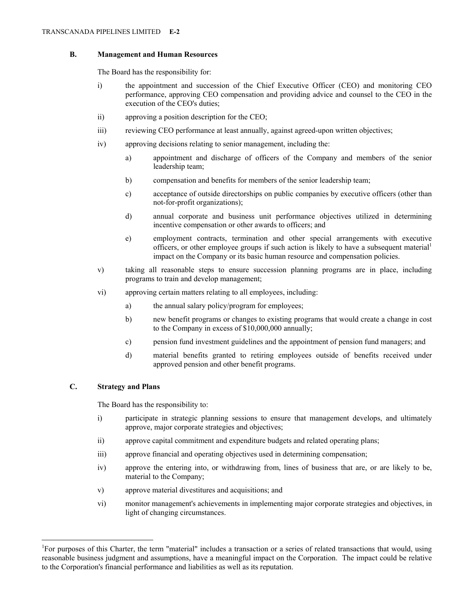### **B. Management and Human Resources**

The Board has the responsibility for:

- i) the appointment and succession of the Chief Executive Officer (CEO) and monitoring CEO performance, approving CEO compensation and providing advice and counsel to the CEO in the execution of the CEO's duties;
- ii) approving a position description for the CEO;
- iii) reviewing CEO performance at least annually, against agreed-upon written objectives;
- iv) approving decisions relating to senior management, including the:
	- a) appointment and discharge of officers of the Company and members of the senior leadership team;
	- b) compensation and benefits for members of the senior leadership team;
	- c) acceptance of outside directorships on public companies by executive officers (other than not-for-profit organizations);
	- d) annual corporate and business unit performance objectives utilized in determining incentive compensation or other awards to officers; and
	- e) employment contracts, termination and other special arrangements with executive officers, or other employee groups if such action is likely to have a subsequent material<sup>1</sup> impact on the Company or its basic human resource and compensation policies.
- v) taking all reasonable steps to ensure succession planning programs are in place, including programs to train and develop management;
- vi) approving certain matters relating to all employees, including:
	- a) the annual salary policy/program for employees;
	- b) new benefit programs or changes to existing programs that would create a change in cost to the Company in excess of \$10,000,000 annually;
	- c) pension fund investment guidelines and the appointment of pension fund managers; and
	- d) material benefits granted to retiring employees outside of benefits received under approved pension and other benefit programs.

# **C. Strategy and Plans**

 $\overline{a}$ 

The Board has the responsibility to:

- i) participate in strategic planning sessions to ensure that management develops, and ultimately approve, major corporate strategies and objectives;
- ii) approve capital commitment and expenditure budgets and related operating plans;
- iii) approve financial and operating objectives used in determining compensation;
- iv) approve the entering into, or withdrawing from, lines of business that are, or are likely to be, material to the Company;
- v) approve material divestitures and acquisitions; and
- vi) monitor management's achievements in implementing major corporate strategies and objectives, in light of changing circumstances.

<sup>&</sup>lt;sup>1</sup>For purposes of this Charter, the term "material" includes a transaction or a series of related transactions that would, using reasonable business judgment and assumptions, have a meaningful impact on the Corporation. The impact could be relative to the Corporation's financial performance and liabilities as well as its reputation.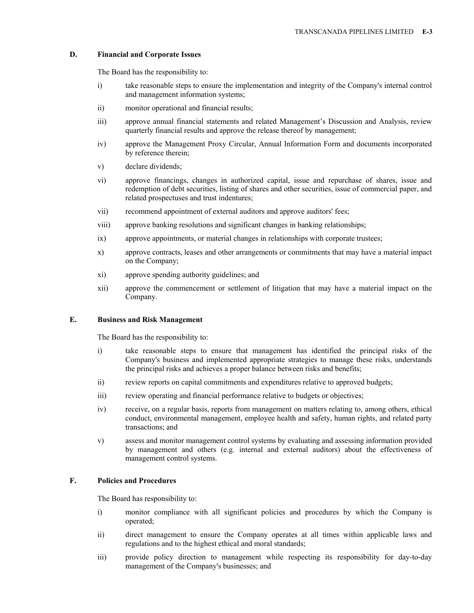## **D. Financial and Corporate Issues**

The Board has the responsibility to:

- i) take reasonable steps to ensure the implementation and integrity of the Company's internal control and management information systems;
- ii) monitor operational and financial results;
- iii) approve annual financial statements and related Management's Discussion and Analysis, review quarterly financial results and approve the release thereof by management;
- iv) approve the Management Proxy Circular, Annual Information Form and documents incorporated by reference therein;
- v) declare dividends;
- vi) approve financings, changes in authorized capital, issue and repurchase of shares, issue and redemption of debt securities, listing of shares and other securities, issue of commercial paper, and related prospectuses and trust indentures;
- vii) recommend appointment of external auditors and approve auditors' fees;
- viii) approve banking resolutions and significant changes in banking relationships;
- ix) approve appointments, or material changes in relationships with corporate trustees;
- x) approve contracts, leases and other arrangements or commitments that may have a material impact on the Company;
- xi) approve spending authority guidelines; and
- xii) approve the commencement or settlement of litigation that may have a material impact on the Company.

### **E. Business and Risk Management**

The Board has the responsibility to:

- i) take reasonable steps to ensure that management has identified the principal risks of the Company's business and implemented appropriate strategies to manage these risks, understands the principal risks and achieves a proper balance between risks and benefits;
- ii) review reports on capital commitments and expenditures relative to approved budgets;
- iii) review operating and financial performance relative to budgets or objectives;
- iv) receive, on a regular basis, reports from management on matters relating to, among others, ethical conduct, environmental management, employee health and safety, human rights, and related party transactions; and
- v) assess and monitor management control systems by evaluating and assessing information provided by management and others (e.g. internal and external auditors) about the effectiveness of management control systems.

# **F. Policies and Procedures**

The Board has responsibility to:

- i) monitor compliance with all significant policies and procedures by which the Company is operated;
- ii) direct management to ensure the Company operates at all times within applicable laws and regulations and to the highest ethical and moral standards;
- iii) provide policy direction to management while respecting its responsibility for day-to-day management of the Company's businesses; and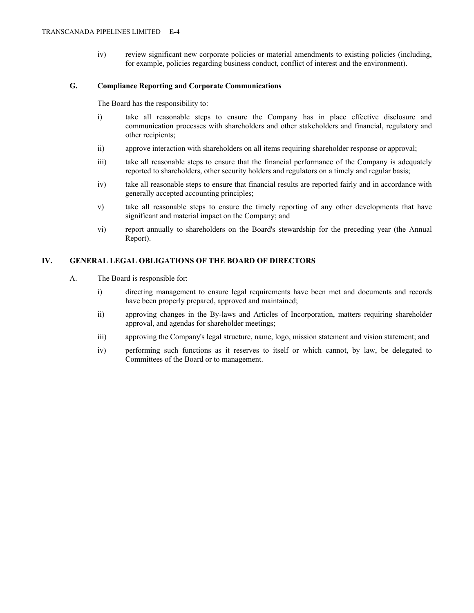iv) review significant new corporate policies or material amendments to existing policies (including, for example, policies regarding business conduct, conflict of interest and the environment).

# **G. Compliance Reporting and Corporate Communications**

The Board has the responsibility to:

- i) take all reasonable steps to ensure the Company has in place effective disclosure and communication processes with shareholders and other stakeholders and financial, regulatory and other recipients;
- ii) approve interaction with shareholders on all items requiring shareholder response or approval;
- iii) take all reasonable steps to ensure that the financial performance of the Company is adequately reported to shareholders, other security holders and regulators on a timely and regular basis;
- iv) take all reasonable steps to ensure that financial results are reported fairly and in accordance with generally accepted accounting principles;
- v) take all reasonable steps to ensure the timely reporting of any other developments that have significant and material impact on the Company; and
- vi) report annually to shareholders on the Board's stewardship for the preceding year (the Annual Report).

# **IV. GENERAL LEGAL OBLIGATIONS OF THE BOARD OF DIRECTORS**

- A. The Board is responsible for:
	- i) directing management to ensure legal requirements have been met and documents and records have been properly prepared, approved and maintained;
	- ii) approving changes in the By-laws and Articles of Incorporation, matters requiring shareholder approval, and agendas for shareholder meetings;
	- iii) approving the Company's legal structure, name, logo, mission statement and vision statement; and
	- iv) performing such functions as it reserves to itself or which cannot, by law, be delegated to Committees of the Board or to management.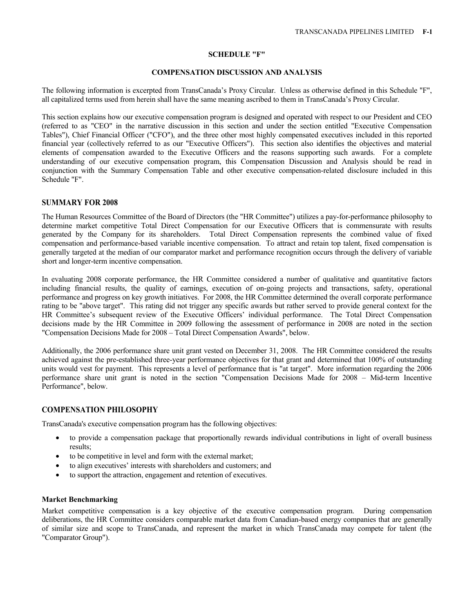## **SCHEDULE "F"**

### **COMPENSATION DISCUSSION AND ANALYSIS**

The following information is excerpted from TransCanada's Proxy Circular. Unless as otherwise defined in this Schedule "F", all capitalized terms used from herein shall have the same meaning ascribed to them in TransCanada's Proxy Circular.

This section explains how our executive compensation program is designed and operated with respect to our President and CEO (referred to as "CEO" in the narrative discussion in this section and under the section entitled "Executive Compensation Tables"), Chief Financial Officer ("CFO"), and the three other most highly compensated executives included in this reported financial year (collectively referred to as our "Executive Officers"). This section also identifies the objectives and material elements of compensation awarded to the Executive Officers and the reasons supporting such awards. For a complete understanding of our executive compensation program, this Compensation Discussion and Analysis should be read in conjunction with the Summary Compensation Table and other executive compensation-related disclosure included in this Schedule "F".

## **SUMMARY FOR 2008**

The Human Resources Committee of the Board of Directors (the "HR Committee") utilizes a pay-for-performance philosophy to determine market competitive Total Direct Compensation for our Executive Officers that is commensurate with results generated by the Company for its shareholders. Total Direct Compensation represents the combined value of fixed compensation and performance-based variable incentive compensation. To attract and retain top talent, fixed compensation is generally targeted at the median of our comparator market and performance recognition occurs through the delivery of variable short and longer-term incentive compensation.

In evaluating 2008 corporate performance, the HR Committee considered a number of qualitative and quantitative factors including financial results, the quality of earnings, execution of on-going projects and transactions, safety, operational performance and progress on key growth initiatives. For 2008, the HR Committee determined the overall corporate performance rating to be "above target". This rating did not trigger any specific awards but rather served to provide general context for the HR Committee's subsequent review of the Executive Officers' individual performance. The Total Direct Compensation decisions made by the HR Committee in 2009 following the assessment of performance in 2008 are noted in the section "Compensation Decisions Made for 2008 – Total Direct Compensation Awards", below.

Additionally, the 2006 performance share unit grant vested on December 31, 2008. The HR Committee considered the results achieved against the pre-established three-year performance objectives for that grant and determined that 100% of outstanding units would vest for payment. This represents a level of performance that is "at target". More information regarding the 2006 performance share unit grant is noted in the section "Compensation Decisions Made for 2008 – Mid-term Incentive Performance", below.

# **COMPENSATION PHILOSOPHY**

TransCanada's executive compensation program has the following objectives:

- to provide a compensation package that proportionally rewards individual contributions in light of overall business results;
- to be competitive in level and form with the external market;
- to align executives' interests with shareholders and customers; and
- to support the attraction, engagement and retention of executives.

### **Market Benchmarking**

Market competitive compensation is a key objective of the executive compensation program. During compensation deliberations, the HR Committee considers comparable market data from Canadian-based energy companies that are generally of similar size and scope to TransCanada, and represent the market in which TransCanada may compete for talent (the "Comparator Group").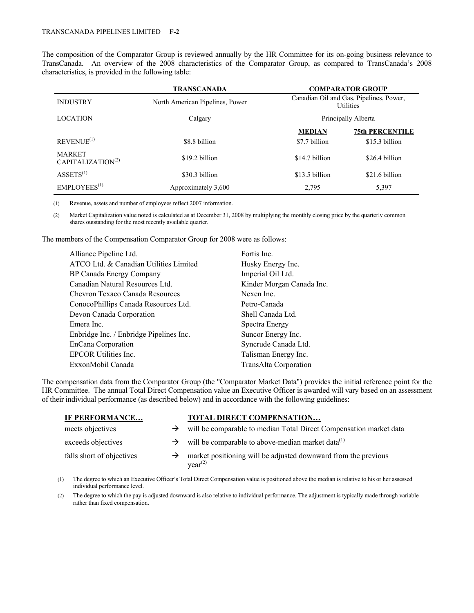The composition of the Comparator Group is reviewed annually by the HR Committee for its on-going business relevance to TransCanada. An overview of the 2008 characteristics of the Comparator Group, as compared to TransCanada's 2008 characteristics, is provided in the following table:

|                                                | <b>TRANSCANADA</b>              |                                                             | <b>COMPARATOR GROUP</b> |
|------------------------------------------------|---------------------------------|-------------------------------------------------------------|-------------------------|
| <b>INDUSTRY</b>                                | North American Pipelines, Power | Canadian Oil and Gas, Pipelines, Power,<br><b>Utilities</b> |                         |
| <b>LOCATION</b>                                | Calgary                         | Principally Alberta                                         |                         |
|                                                |                                 | <b>MEDIAN</b>                                               | <b>75th PERCENTILE</b>  |
| REVENUE <sup>(1)</sup>                         | \$8.8 billion                   | \$7.7 billion                                               | $$15.3$ billion         |
| <b>MARKET</b><br>CAPITALIZATION <sup>(2)</sup> | \$19.2 billion                  | \$14.7 billion                                              | \$26.4 billion          |
| ASSETS <sup>(1)</sup>                          | \$30.3 billion                  | \$13.5 billion                                              | \$21.6 billion          |
| EMPLOYEES <sup>(1)</sup>                       | Approximately 3,600             | 2,795                                                       | 5,397                   |

(1) Revenue, assets and number of employees reflect 2007 information.

(2) Market Capitalization value noted is calculated as at December 31, 2008 by multiplying the monthly closing price by the quarterly common shares outstanding for the most recently available quarter.

The members of the Compensation Comparator Group for 2008 were as follows:

| Alliance Pipeline Ltd.                  | Fortis Inc.               |
|-----------------------------------------|---------------------------|
| ATCO Ltd. & Canadian Utilities Limited  | Husky Energy Inc.         |
| BP Canada Energy Company                | Imperial Oil Ltd.         |
| Canadian Natural Resources Ltd.         | Kinder Morgan Canada Inc. |
| Chevron Texaco Canada Resources         | Nexen Inc.                |
| ConocoPhillips Canada Resources Ltd.    | Petro-Canada              |
| Devon Canada Corporation                | Shell Canada Ltd.         |
| Emera Inc.                              | Spectra Energy            |
| Enbridge Inc. / Enbridge Pipelines Inc. | Suncor Energy Inc.        |
| <b>EnCana Corporation</b>               | Syncrude Canada Ltd.      |
| EPCOR Utilities Inc.                    | Talisman Energy Inc.      |
| ExxonMobil Canada                       | TransAlta Corporation     |
|                                         |                           |

The compensation data from the Comparator Group (the "Comparator Market Data") provides the initial reference point for the HR Committee. The annual Total Direct Compensation value an Executive Officer is awarded will vary based on an assessment of their individual performance (as described below) and in accordance with the following guidelines:

| IF PERFORMANCE            |               | TOTAL DIRECT COMPENSATION                                                             |
|---------------------------|---------------|---------------------------------------------------------------------------------------|
| meets objectives          | →             | will be comparable to median Total Direct Compensation market data                    |
| exceeds objectives        | $\rightarrow$ | will be comparable to above-median market data <sup>(1)</sup>                         |
| falls short of objectives | →             | market positioning will be adjusted downward from the previous<br>year <sup>(2)</sup> |

(1) The degree to which an Executive Officer's Total Direct Compensation value is positioned above the median is relative to his or her assessed individual performance level.

(2) The degree to which the pay is adjusted downward is also relative to individual performance. The adjustment is typically made through variable rather than fixed compensation.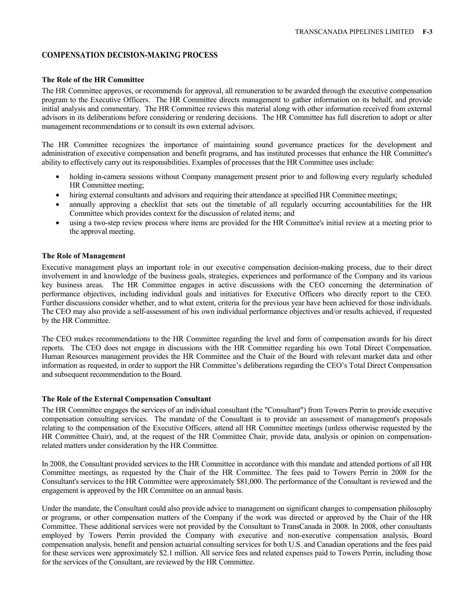# **COMPENSATION DECISION-MAKING PROCESS**

#### **The Role of the HR Committee**

The HR Committee approves, or recommends for approval, all remuneration to be awarded through the executive compensation program to the Executive Officers. The HR Committee directs management to gather information on its behalf, and provide initial analysis and commentary. The HR Committee reviews this material along with other information received from external advisors in its deliberations before considering or rendering decisions. The HR Committee has full discretion to adopt or alter management recommendations or to consult its own external advisors.

The HR Committee recognizes the importance of maintaining sound governance practices for the development and administration of executive compensation and benefit programs, and has instituted processes that enhance the HR Committee's ability to effectively carry out its responsibilities. Examples of processes that the HR Committee uses include:

- holding in-camera sessions without Company management present prior to and following every regularly scheduled HR Committee meeting;
- hiring external consultants and advisors and requiring their attendance at specified HR Committee meetings;
- annually approving a checklist that sets out the timetable of all regularly occurring accountabilities for the HR Committee which provides context for the discussion of related items; and
- using a two-step review process where items are provided for the HR Committee's initial review at a meeting prior to the approval meeting.

## **The Role of Management**

Executive management plays an important role in our executive compensation decision-making process, due to their direct involvement in and knowledge of the business goals, strategies, experiences and performance of the Company and its various key business areas. The HR Committee engages in active discussions with the CEO concerning the determination of performance objectives, including individual goals and initiatives for Executive Officers who directly report to the CEO. Further discussions consider whether, and to what extent, criteria for the previous year have been achieved for those individuals. The CEO may also provide a self-assessment of his own individual performance objectives and/or results achieved, if requested by the HR Committee.

The CEO makes recommendations to the HR Committee regarding the level and form of compensation awards for his direct reports. The CEO does not engage in discussions with the HR Committee regarding his own Total Direct Compensation. Human Resources management provides the HR Committee and the Chair of the Board with relevant market data and other information as requested, in order to support the HR Committee's deliberations regarding the CEO's Total Direct Compensation and subsequent recommendation to the Board.

### **The Role of the External Compensation Consultant**

The HR Committee engages the services of an individual consultant (the "Consultant") from Towers Perrin to provide executive compensation consulting services. The mandate of the Consultant is to provide an assessment of management's proposals relating to the compensation of the Executive Officers, attend all HR Committee meetings (unless otherwise requested by the HR Committee Chair), and, at the request of the HR Committee Chair, provide data, analysis or opinion on compensationrelated matters under consideration by the HR Committee.

In 2008, the Consultant provided services to the HR Committee in accordance with this mandate and attended portions of all HR Committee meetings, as requested by the Chair of the HR Committee. The fees paid to Towers Perrin in 2008 for the Consultant's services to the HR Committee were approximately \$81,000. The performance of the Consultant is reviewed and the engagement is approved by the HR Committee on an annual basis.

Under the mandate, the Consultant could also provide advice to management on significant changes to compensation philosophy or programs, or other compensation matters of the Company if the work was directed or approved by the Chair of the HR Committee. These additional services were not provided by the Consultant to TransCanada in 2008. In 2008, other consultants employed by Towers Perrin provided the Company with executive and non-executive compensation analysis, Board compensation analysis, benefit and pension actuarial consulting services for both U.S. and Canadian operations and the fees paid for these services were approximately \$2.1 million. All service fees and related expenses paid to Towers Perrin, including those for the services of the Consultant, are reviewed by the HR Committee.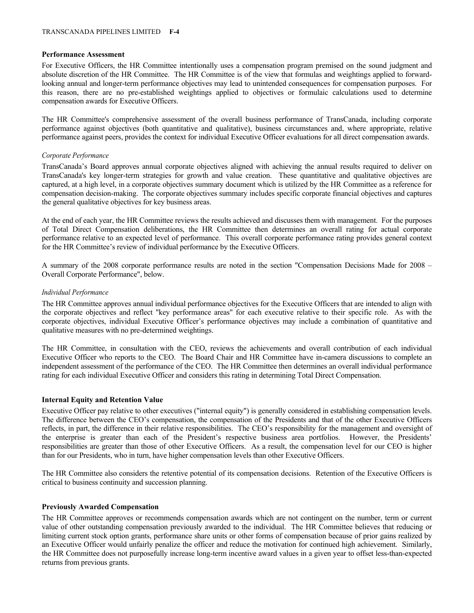### **Performance Assessment**

For Executive Officers, the HR Committee intentionally uses a compensation program premised on the sound judgment and absolute discretion of the HR Committee. The HR Committee is of the view that formulas and weightings applied to forwardlooking annual and longer-term performance objectives may lead to unintended consequences for compensation purposes. For this reason, there are no pre-established weightings applied to objectives or formulaic calculations used to determine compensation awards for Executive Officers.

The HR Committee's comprehensive assessment of the overall business performance of TransCanada, including corporate performance against objectives (both quantitative and qualitative), business circumstances and, where appropriate, relative performance against peers, provides the context for individual Executive Officer evaluations for all direct compensation awards.

### *Corporate Performance*

TransCanada's Board approves annual corporate objectives aligned with achieving the annual results required to deliver on TransCanada's key longer-term strategies for growth and value creation. These quantitative and qualitative objectives are captured, at a high level, in a corporate objectives summary document which is utilized by the HR Committee as a reference for compensation decision-making. The corporate objectives summary includes specific corporate financial objectives and captures the general qualitative objectives for key business areas.

At the end of each year, the HR Committee reviews the results achieved and discusses them with management. For the purposes of Total Direct Compensation deliberations, the HR Committee then determines an overall rating for actual corporate performance relative to an expected level of performance. This overall corporate performance rating provides general context for the HR Committee's review of individual performance by the Executive Officers.

A summary of the 2008 corporate performance results are noted in the section "Compensation Decisions Made for 2008 – Overall Corporate Performance", below.

### *Individual Performance*

The HR Committee approves annual individual performance objectives for the Executive Officers that are intended to align with the corporate objectives and reflect "key performance areas" for each executive relative to their specific role. As with the corporate objectives, individual Executive Officer's performance objectives may include a combination of quantitative and qualitative measures with no pre-determined weightings.

The HR Committee, in consultation with the CEO, reviews the achievements and overall contribution of each individual Executive Officer who reports to the CEO. The Board Chair and HR Committee have in-camera discussions to complete an independent assessment of the performance of the CEO. The HR Committee then determines an overall individual performance rating for each individual Executive Officer and considers this rating in determining Total Direct Compensation.

### **Internal Equity and Retention Value**

Executive Officer pay relative to other executives ("internal equity") is generally considered in establishing compensation levels. The difference between the CEO's compensation, the compensation of the Presidents and that of the other Executive Officers reflects, in part, the difference in their relative responsibilities. The CEO's responsibility for the management and oversight of the enterprise is greater than each of the President's respective business area portfolios. However, the Presidents' responsibilities are greater than those of other Executive Officers. As a result, the compensation level for our CEO is higher than for our Presidents, who in turn, have higher compensation levels than other Executive Officers.

The HR Committee also considers the retentive potential of its compensation decisions. Retention of the Executive Officers is critical to business continuity and succession planning.

### **Previously Awarded Compensation**

The HR Committee approves or recommends compensation awards which are not contingent on the number, term or current value of other outstanding compensation previously awarded to the individual. The HR Committee believes that reducing or limiting current stock option grants, performance share units or other forms of compensation because of prior gains realized by an Executive Officer would unfairly penalize the officer and reduce the motivation for continued high achievement. Similarly, the HR Committee does not purposefully increase long-term incentive award values in a given year to offset less-than-expected returns from previous grants.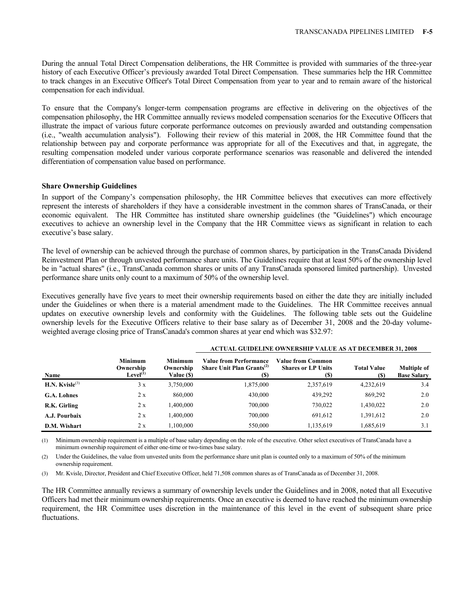During the annual Total Direct Compensation deliberations, the HR Committee is provided with summaries of the three-year history of each Executive Officer's previously awarded Total Direct Compensation. These summaries help the HR Committee to track changes in an Executive Officer's Total Direct Compensation from year to year and to remain aware of the historical compensation for each individual.

To ensure that the Company's longer-term compensation programs are effective in delivering on the objectives of the compensation philosophy, the HR Committee annually reviews modeled compensation scenarios for the Executive Officers that illustrate the impact of various future corporate performance outcomes on previously awarded and outstanding compensation (i.e., "wealth accumulation analysis"). Following their review of this material in 2008, the HR Committee found that the relationship between pay and corporate performance was appropriate for all of the Executives and that, in aggregate, the resulting compensation modeled under various corporate performance scenarios was reasonable and delivered the intended differentiation of compensation value based on performance.

#### **Share Ownership Guidelines**

In support of the Company's compensation philosophy, the HR Committee believes that executives can more effectively represent the interests of shareholders if they have a considerable investment in the common shares of TransCanada, or their economic equivalent. The HR Committee has instituted share ownership guidelines (the "Guidelines") which encourage executives to achieve an ownership level in the Company that the HR Committee views as significant in relation to each executive's base salary.

The level of ownership can be achieved through the purchase of common shares, by participation in the TransCanada Dividend Reinvestment Plan or through unvested performance share units. The Guidelines require that at least 50% of the ownership level be in "actual shares" (i.e., TransCanada common shares or units of any TransCanada sponsored limited partnership). Unvested performance share units only count to a maximum of 50% of the ownership level.

Executives generally have five years to meet their ownership requirements based on either the date they are initially included under the Guidelines or when there is a material amendment made to the Guidelines. The HR Committee receives annual updates on executive ownership levels and conformity with the Guidelines. The following table sets out the Guideline ownership levels for the Executive Officers relative to their base salary as of December 31, 2008 and the 20-day volumeweighted average closing price of TransCanada's common shares at year end which was \$32.97:

| Name                 | <b>Minimum</b><br>Ownership<br>Level <sup>(1)</sup> | <b>Minimum</b><br>Ownership<br>Value (\$) | <b>Value from Performance</b><br>Share Unit Plan $Grants^{(2)}$<br><b>(S)</b> | Value from Common<br><b>Shares or LP Units</b><br>(S) | <b>Total Value</b><br>(S) | <b>Multiple of</b><br><b>Base Salary</b> |
|----------------------|-----------------------------------------------------|-------------------------------------------|-------------------------------------------------------------------------------|-------------------------------------------------------|---------------------------|------------------------------------------|
| H.N. Kvisle $^{(3)}$ | 3x                                                  | 3,750,000                                 | 1,875,000                                                                     | 2,357,619                                             | 4,232,619                 | 3.4                                      |
| G.A. Lohnes          | 2 x                                                 | 860,000                                   | 430,000                                                                       | 439,292                                               | 869,292                   | 2.0                                      |
| R.K. Girling         | 2 x                                                 | 0.400,000                                 | 700,000                                                                       | 730,022                                               | 1,430,022                 | 2.0                                      |
| A.J. Pourbaix        | 2x                                                  | 0.400,000                                 | 700,000                                                                       | 691,612                                               | 1,391,612                 | 2.0                                      |
| D.M. Wishart         | 2 x                                                 | 1.100.000                                 | 550,000                                                                       | 1,135,619                                             | 1,685,619                 | 3.1                                      |

# **ACTUAL GUIDELINE OWNERSHIP VALUE AS AT DECEMBER 31, 2008**

(1) Minimum ownership requirement is a multiple of base salary depending on the role of the executive. Other select executives of TransCanada have a minimum ownership requirement of either one-time or two-times base salary.

(2) Under the Guidelines, the value from unvested units from the performance share unit plan is counted only to a maximum of 50% of the minimum ownership requirement.

(3) Mr. Kvisle, Director, President and Chief Executive Officer, held 71,508 common shares as of TransCanada as of December 31, 2008.

The HR Committee annually reviews a summary of ownership levels under the Guidelines and in 2008, noted that all Executive Officers had met their minimum ownership requirements. Once an executive is deemed to have reached the minimum ownership requirement, the HR Committee uses discretion in the maintenance of this level in the event of subsequent share price fluctuations.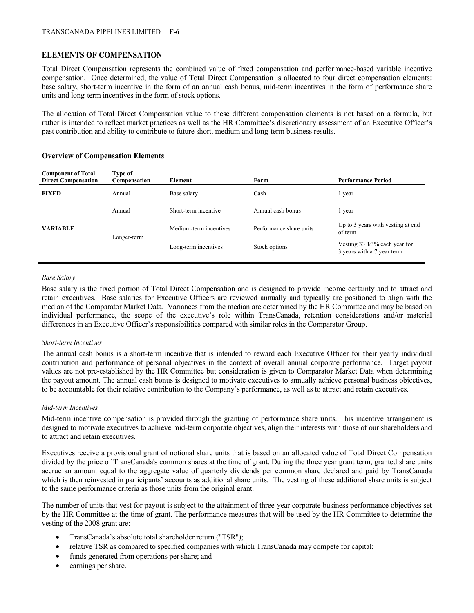# **ELEMENTS OF COMPENSATION**

Total Direct Compensation represents the combined value of fixed compensation and performance-based variable incentive compensation. Once determined, the value of Total Direct Compensation is allocated to four direct compensation elements: base salary, short-term incentive in the form of an annual cash bonus, mid-term incentives in the form of performance share units and long-term incentives in the form of stock options.

The allocation of Total Direct Compensation value to these different compensation elements is not based on a formula, but rather is intended to reflect market practices as well as the HR Committee's discretionary assessment of an Executive Officer's past contribution and ability to contribute to future short, medium and long-term business results.

| <b>Component of Total</b><br><b>Direct Compensation</b> | Type of<br>Compensation | Element                | Form                    | <b>Performance Period</b>                                             |
|---------------------------------------------------------|-------------------------|------------------------|-------------------------|-----------------------------------------------------------------------|
| <b>FIXED</b>                                            | Annual                  | Base salary            | Cash                    | l year                                                                |
|                                                         | Annual                  | Short-term incentive   | Annual cash bonus       | l year                                                                |
| <b>VARIABLE</b>                                         | Longer-term             | Medium-term incentives | Performance share units | Up to 3 years with vesting at end.<br>of term                         |
|                                                         |                         | Long-term incentives   | Stock options           | Vesting $33\frac{1}{3}\%$ each year for<br>3 years with a 7 year term |

## **Overview of Compensation Elements**

**Component of Total** 

## *Base Salary*

Base salary is the fixed portion of Total Direct Compensation and is designed to provide income certainty and to attract and retain executives. Base salaries for Executive Officers are reviewed annually and typically are positioned to align with the median of the Comparator Market Data. Variances from the median are determined by the HR Committee and may be based on individual performance, the scope of the executive's role within TransCanada, retention considerations and/or material differences in an Executive Officer's responsibilities compared with similar roles in the Comparator Group.

### *Short-term Incentives*

The annual cash bonus is a short-term incentive that is intended to reward each Executive Officer for their yearly individual contribution and performance of personal objectives in the context of overall annual corporate performance. Target payout values are not pre-established by the HR Committee but consideration is given to Comparator Market Data when determining the payout amount. The annual cash bonus is designed to motivate executives to annually achieve personal business objectives, to be accountable for their relative contribution to the Company's performance, as well as to attract and retain executives.

### *Mid-term Incentives*

Mid-term incentive compensation is provided through the granting of performance share units. This incentive arrangement is designed to motivate executives to achieve mid-term corporate objectives, align their interests with those of our shareholders and to attract and retain executives.

Executives receive a provisional grant of notional share units that is based on an allocated value of Total Direct Compensation divided by the price of TransCanada's common shares at the time of grant. During the three year grant term, granted share units accrue an amount equal to the aggregate value of quarterly dividends per common share declared and paid by TransCanada which is then reinvested in participants' accounts as additional share units. The vesting of these additional share units is subject to the same performance criteria as those units from the original grant.

The number of units that vest for payout is subject to the attainment of three-year corporate business performance objectives set by the HR Committee at the time of grant. The performance measures that will be used by the HR Committee to determine the vesting of the 2008 grant are:

- TransCanada's absolute total shareholder return ("TSR");
- relative TSR as compared to specified companies with which TransCanada may compete for capital;
- funds generated from operations per share; and
- earnings per share.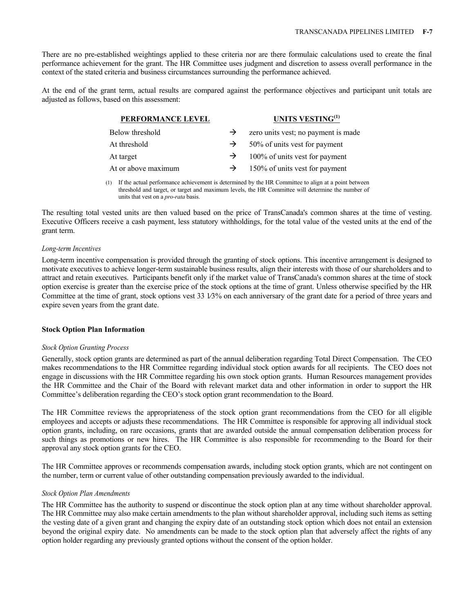There are no pre-established weightings applied to these criteria nor are there formulaic calculations used to create the final performance achievement for the grant. The HR Committee uses judgment and discretion to assess overall performance in the context of the stated criteria and business circumstances surrounding the performance achieved.

At the end of the grant term, actual results are compared against the performance objectives and participant unit totals are adjusted as follows, based on this assessment:

| PERFORMANCE LEVEL   |               | UNITS VESTING <sup>(1)</sup>        |
|---------------------|---------------|-------------------------------------|
| Below threshold     | $\rightarrow$ | zero units vest; no payment is made |
| At threshold        | $\rightarrow$ | 50% of units vest for payment       |
| At target           | $\rightarrow$ | 100% of units vest for payment      |
| At or above maximum | $\rightarrow$ | 150% of units vest for payment      |
|                     |               |                                     |

(1) If the actual performance achievement is determined by the HR Committee to align at a point between threshold and target, or target and maximum levels, the HR Committee will determine the number of units that vest on a *pro-rata* basis.

The resulting total vested units are then valued based on the price of TransCanada's common shares at the time of vesting. Executive Officers receive a cash payment, less statutory withholdings, for the total value of the vested units at the end of the grant term.

#### *Long-term Incentives*

Long-term incentive compensation is provided through the granting of stock options. This incentive arrangement is designed to motivate executives to achieve longer-term sustainable business results, align their interests with those of our shareholders and to attract and retain executives. Participants benefit only if the market value of TransCanada's common shares at the time of stock option exercise is greater than the exercise price of the stock options at the time of grant. Unless otherwise specified by the HR Committee at the time of grant, stock options vest 33 1⁄3% on each anniversary of the grant date for a period of three years and expire seven years from the grant date.

### **Stock Option Plan Information**

#### *Stock Option Granting Process*

Generally, stock option grants are determined as part of the annual deliberation regarding Total Direct Compensation. The CEO makes recommendations to the HR Committee regarding individual stock option awards for all recipients. The CEO does not engage in discussions with the HR Committee regarding his own stock option grants. Human Resources management provides the HR Committee and the Chair of the Board with relevant market data and other information in order to support the HR Committee's deliberation regarding the CEO's stock option grant recommendation to the Board.

The HR Committee reviews the appropriateness of the stock option grant recommendations from the CEO for all eligible employees and accepts or adjusts these recommendations. The HR Committee is responsible for approving all individual stock option grants, including, on rare occasions, grants that are awarded outside the annual compensation deliberation process for such things as promotions or new hires. The HR Committee is also responsible for recommending to the Board for their approval any stock option grants for the CEO.

The HR Committee approves or recommends compensation awards, including stock option grants, which are not contingent on the number, term or current value of other outstanding compensation previously awarded to the individual.

#### *Stock Option Plan Amendments*

The HR Committee has the authority to suspend or discontinue the stock option plan at any time without shareholder approval. The HR Committee may also make certain amendments to the plan without shareholder approval, including such items as setting the vesting date of a given grant and changing the expiry date of an outstanding stock option which does not entail an extension beyond the original expiry date. No amendments can be made to the stock option plan that adversely affect the rights of any option holder regarding any previously granted options without the consent of the option holder.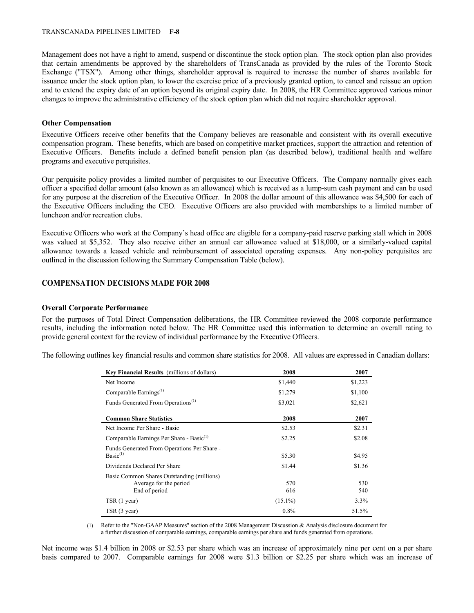#### TRANSCANADA PIPELINES LIMITED **F-8**

Management does not have a right to amend, suspend or discontinue the stock option plan. The stock option plan also provides that certain amendments be approved by the shareholders of TransCanada as provided by the rules of the Toronto Stock Exchange ("TSX"). Among other things, shareholder approval is required to increase the number of shares available for issuance under the stock option plan, to lower the exercise price of a previously granted option, to cancel and reissue an option and to extend the expiry date of an option beyond its original expiry date. In 2008, the HR Committee approved various minor changes to improve the administrative efficiency of the stock option plan which did not require shareholder approval.

## **Other Compensation**

Executive Officers receive other benefits that the Company believes are reasonable and consistent with its overall executive compensation program. These benefits, which are based on competitive market practices, support the attraction and retention of Executive Officers. Benefits include a defined benefit pension plan (as described below), traditional health and welfare programs and executive perquisites.

Our perquisite policy provides a limited number of perquisites to our Executive Officers. The Company normally gives each officer a specified dollar amount (also known as an allowance) which is received as a lump-sum cash payment and can be used for any purpose at the discretion of the Executive Officer. In 2008 the dollar amount of this allowance was \$4,500 for each of the Executive Officers including the CEO. Executive Officers are also provided with memberships to a limited number of luncheon and/or recreation clubs.

Executive Officers who work at the Company's head office are eligible for a company-paid reserve parking stall which in 2008 was valued at \$5,352. They also receive either an annual car allowance valued at \$18,000, or a similarly-valued capital allowance towards a leased vehicle and reimbursement of associated operating expenses. Any non-policy perquisites are outlined in the discussion following the Summary Compensation Table (below).

# **COMPENSATION DECISIONS MADE FOR 2008**

### **Overall Corporate Performance**

For the purposes of Total Direct Compensation deliberations, the HR Committee reviewed the 2008 corporate performance results, including the information noted below. The HR Committee used this information to determine an overall rating to provide general context for the review of individual performance by the Executive Officers.

The following outlines key financial results and common share statistics for 2008. All values are expressed in Canadian dollars:

| Key Financial Results (millions of dollars)                                           | 2008       | 2007       |
|---------------------------------------------------------------------------------------|------------|------------|
| Net Income                                                                            | \$1,440    | \$1,223    |
| Comparable Earnings $^{(1)}$                                                          | \$1,279    | \$1,100    |
| Funds Generated From Operations <sup>(1)</sup>                                        | \$3,021    | \$2,621    |
| <b>Common Share Statistics</b>                                                        | 2008       | 2007       |
| Net Income Per Share - Basic                                                          | \$2.53     | \$2.31     |
| Comparable Earnings Per Share - Basic <sup>(1)</sup>                                  | \$2.25     | \$2.08     |
| Funds Generated From Operations Per Share -<br>Basic <sup>(1)</sup>                   | \$5.30     | \$4.95     |
| Dividends Declared Per Share                                                          | \$1.44     | \$1.36     |
| Basic Common Shares Outstanding (millions)<br>Average for the period<br>End of period | 570<br>616 | 530<br>540 |
| TSR (1 year)                                                                          | $(15.1\%)$ | $3.3\%$    |
| TSR (3 year)                                                                          | $0.8\%$    | 51.5%      |

(1) Refer to the "Non-GAAP Measures" section of the 2008 Management Discussion & Analysis disclosure document for a further discussion of comparable earnings, comparable earnings per share and funds generated from operations.

Net income was \$1.4 billion in 2008 or \$2.53 per share which was an increase of approximately nine per cent on a per share basis compared to 2007. Comparable earnings for 2008 were \$1.3 billion or \$2.25 per share which was an increase of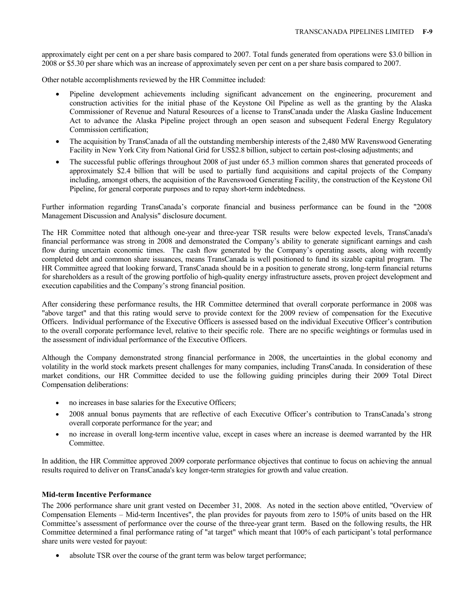approximately eight per cent on a per share basis compared to 2007. Total funds generated from operations were \$3.0 billion in 2008 or \$5.30 per share which was an increase of approximately seven per cent on a per share basis compared to 2007.

Other notable accomplishments reviewed by the HR Committee included:

- Pipeline development achievements including significant advancement on the engineering, procurement and construction activities for the initial phase of the Keystone Oil Pipeline as well as the granting by the Alaska Commissioner of Revenue and Natural Resources of a license to TransCanada under the Alaska Gasline Inducement Act to advance the Alaska Pipeline project through an open season and subsequent Federal Energy Regulatory Commission certification;
- The acquisition by TransCanada of all the outstanding membership interests of the 2,480 MW Ravenswood Generating Facility in New York City from National Grid for US\$2.8 billion, subject to certain post-closing adjustments; and
- The successful public offerings throughout 2008 of just under 65.3 million common shares that generated proceeds of approximately \$2.4 billion that will be used to partially fund acquisitions and capital projects of the Company including, amongst others, the acquisition of the Ravenswood Generating Facility, the construction of the Keystone Oil Pipeline, for general corporate purposes and to repay short-term indebtedness.

Further information regarding TransCanada's corporate financial and business performance can be found in the "2008 Management Discussion and Analysis" disclosure document.

The HR Committee noted that although one-year and three-year TSR results were below expected levels, TransCanada's financial performance was strong in 2008 and demonstrated the Company's ability to generate significant earnings and cash flow during uncertain economic times. The cash flow generated by the Company's operating assets, along with recently completed debt and common share issuances, means TransCanada is well positioned to fund its sizable capital program. The HR Committee agreed that looking forward, TransCanada should be in a position to generate strong, long-term financial returns for shareholders as a result of the growing portfolio of high-quality energy infrastructure assets, proven project development and execution capabilities and the Company's strong financial position.

After considering these performance results, the HR Committee determined that overall corporate performance in 2008 was "above target" and that this rating would serve to provide context for the 2009 review of compensation for the Executive Officers. Individual performance of the Executive Officers is assessed based on the individual Executive Officer's contribution to the overall corporate performance level, relative to their specific role. There are no specific weightings or formulas used in the assessment of individual performance of the Executive Officers.

Although the Company demonstrated strong financial performance in 2008, the uncertainties in the global economy and volatility in the world stock markets present challenges for many companies, including TransCanada. In consideration of these market conditions, our HR Committee decided to use the following guiding principles during their 2009 Total Direct Compensation deliberations:

- no increases in base salaries for the Executive Officers:
- 2008 annual bonus payments that are reflective of each Executive Officer's contribution to TransCanada's strong overall corporate performance for the year; and
- no increase in overall long-term incentive value, except in cases where an increase is deemed warranted by the HR Committee.

In addition, the HR Committee approved 2009 corporate performance objectives that continue to focus on achieving the annual results required to deliver on TransCanada's key longer-term strategies for growth and value creation.

### **Mid-term Incentive Performance**

The 2006 performance share unit grant vested on December 31, 2008. As noted in the section above entitled, "Overview of Compensation Elements – Mid-term Incentives", the plan provides for payouts from zero to 150% of units based on the HR Committee's assessment of performance over the course of the three-year grant term. Based on the following results, the HR Committee determined a final performance rating of "at target" which meant that 100% of each participant's total performance share units were vested for payout:

• absolute TSR over the course of the grant term was below target performance;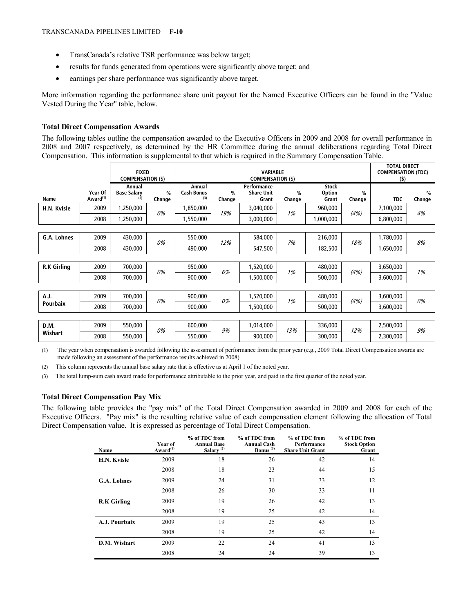- TransCanada's relative TSR performance was below target;
- results for funds generated from operations were significantly above target; and
- earnings per share performance was significantly above target.

More information regarding the performance share unit payout for the Named Executive Officers can be found in the "Value Vested During the Year" table, below.

# **Total Direct Compensation Awards**

The following tables outline the compensation awarded to the Executive Officers in 2009 and 2008 for overall performance in 2008 and 2007 respectively, as determined by the HR Committee during the annual deliberations regarding Total Direct Compensation. This information is supplemental to that which is required in the Summary Compensation Table.

|                    |                                 | <b>FIXED</b><br><b>COMPENSATION (\$)</b> |                         | <b>VARIABLE</b><br><b>COMPENSATION (\$)</b> |                         |                                           | <b>TOTAL DIRECT</b><br><b>COMPENSATION (TDC)</b><br>(5) |                                        |                         |            |                         |
|--------------------|---------------------------------|------------------------------------------|-------------------------|---------------------------------------------|-------------------------|-------------------------------------------|---------------------------------------------------------|----------------------------------------|-------------------------|------------|-------------------------|
| Name               | Year Of<br>Award <sup>(1)</sup> | Annual<br><b>Base Salary</b><br>(2)      | $\frac{0}{0}$<br>Change | Annual<br><b>Cash Bonus</b><br>(3)          | $\frac{0}{0}$<br>Change | Performance<br><b>Share Unit</b><br>Grant | $\frac{0}{0}$<br>Change                                 | <b>Stock</b><br><b>Option</b><br>Grant | $\frac{0}{0}$<br>Change | <b>TDC</b> | $\frac{0}{0}$<br>Change |
| H.N. Kvisle        | 2009                            | 1,250,000                                | 0%                      | 1,850,000                                   | 19%                     | 3,040,000                                 | 1%                                                      | 960,000                                | (4%)                    | 7,100,000  | 4%                      |
|                    | 2008                            | 1,250,000                                |                         | 1,550,000                                   |                         | 3,000,000                                 |                                                         | 1,000,000                              |                         | 6,800,000  |                         |
|                    |                                 |                                          |                         |                                             |                         |                                           |                                                         |                                        |                         |            |                         |
| G.A. Lohnes        | 2009                            | 430,000                                  | 0%                      | 550,000                                     | 12%                     | 584,000                                   | 7%                                                      | 216,000                                | 18%                     | 1,780,000  | 8%                      |
|                    | 2008                            | 430,000                                  |                         | 490,000                                     |                         | 547,500                                   |                                                         | 182,500                                |                         | 1,650,000  |                         |
|                    |                                 |                                          |                         |                                             |                         |                                           |                                                         |                                        |                         |            |                         |
| <b>R.K Girling</b> | 2009                            | 700,000                                  | 0%                      | 950,000                                     | 6%                      | 1,520,000                                 | 1%                                                      | 480,000                                | (4%)                    | 3,650,000  | 1%                      |
|                    | 2008                            | 700,000                                  |                         | 900,000                                     |                         | 1,500,000                                 |                                                         | 500,000                                |                         | 3,600,000  |                         |
|                    |                                 |                                          |                         |                                             |                         |                                           |                                                         |                                        |                         |            |                         |
| A.J.               | 2009                            | 700,000                                  | 0%                      | 900,000                                     | 0%                      | 1,520,000                                 | 1%                                                      | 480,000                                | (4%)                    | 3,600,000  | 0%                      |
| <b>Pourbaix</b>    | 2008                            | 700,000                                  |                         | 900,000                                     |                         | 1,500,000                                 |                                                         | 500,000                                |                         | 3,600,000  |                         |
|                    |                                 |                                          |                         |                                             |                         |                                           |                                                         |                                        |                         |            |                         |
| D.M.               | 2009                            | 550,000                                  | 0%                      | 600,000                                     | 9%                      | 1,014,000                                 |                                                         | 336,000                                |                         | 2,500,000  |                         |
| Wishart            | 2008                            | 550,000                                  |                         | 550,000                                     |                         | 900,000                                   | 13%                                                     | 300,000                                | 12%                     | 2,300,000  | 9%                      |

(1) The year when compensation is awarded following the assessment of performance from the prior year (e.g., 2009 Total Direct Compensation awards are made following an assessment of the performance results achieved in 2008).

(2) This column represents the annual base salary rate that is effective as at April 1 of the noted year.

(3) The total lump-sum cash award made for performance attributable to the prior year, and paid in the first quarter of the noted year.

# **Total Direct Compensation Pay Mix**

The following table provides the "pay mix" of the Total Direct Compensation awarded in 2009 and 2008 for each of the Executive Officers. "Pay mix" is the resulting relative value of each compensation element following the allocation of Total Direct Compensation value. It is expressed as percentage of Total Direct Compensation.

| Name               | Year of<br>Award <sup>(1)</sup> | % of TDC from<br><b>Annual Base</b><br>Salary $(2)$ | % of TDC from<br><b>Annual Cash</b><br>Bonus <sup>(3)</sup> | % of TDC from<br>Performance<br><b>Share Unit Grant</b> | % of TDC from<br><b>Stock Option</b><br>Grant |
|--------------------|---------------------------------|-----------------------------------------------------|-------------------------------------------------------------|---------------------------------------------------------|-----------------------------------------------|
| H.N. Kvisle        | 2009                            | 18                                                  | 26                                                          | 42                                                      | 14                                            |
|                    | 2008                            | 18                                                  | 23                                                          | 44                                                      | 15                                            |
| <b>G.A. Lohnes</b> | 2009                            | 24                                                  | 31                                                          | 33                                                      | 12                                            |
|                    | 2008                            | 26                                                  | 30                                                          | 33                                                      | 11                                            |
| <b>R.K Girling</b> | 2009                            | 19                                                  | 26                                                          | 42                                                      | 13                                            |
|                    | 2008                            | 19                                                  | 25                                                          | 42                                                      | 14                                            |
| A.J. Pourbaix      | 2009                            | 19                                                  | 25                                                          | 43                                                      | 13                                            |
|                    | 2008                            | 19                                                  | 25                                                          | 42                                                      | 14                                            |
| D.M. Wishart       | 2009                            | 22                                                  | 24                                                          | 41                                                      | 13                                            |
|                    | 2008                            | 24                                                  | 24                                                          | 39                                                      | 13                                            |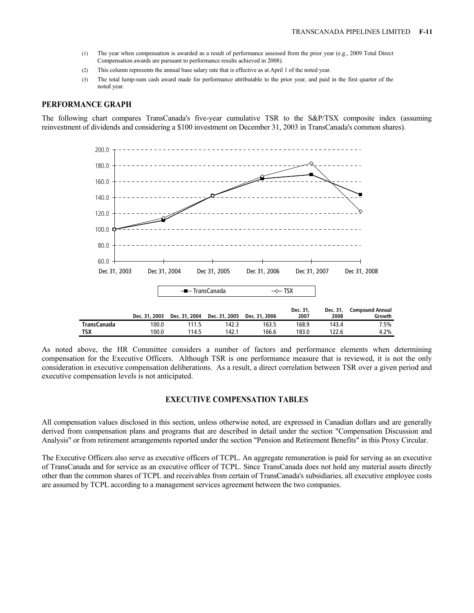- (1) The year when compensation is awarded as a result of performance assessed from the prior year (e.g., 2009 Total Direct Compensation awards are pursuant to performance results achieved in 2008).
- (2) This column represents the annual base salary rate that is effective as at April 1 of the noted year.
- (3) The total lump-sum cash award made for performance attributable to the prior year, and paid in the first quarter of the noted year.

### **PERFORMANCE GRAPH**

The following chart compares TransCanada's five-year cumulative TSR to the S&P/TSX composite index (assuming reinvestment of dividends and considering a \$100 investment on December 31, 2003 in TransCanada's common shares).



As noted above, the HR Committee considers a number of factors and performance elements when determining compensation for the Executive Officers. Although TSR is one performance measure that is reviewed, it is not the only consideration in executive compensation deliberations. As a result, a direct correlation between TSR over a given period and executive compensation levels is not anticipated.

#### **EXECUTIVE COMPENSATION TABLES**

All compensation values disclosed in this section, unless otherwise noted, are expressed in Canadian dollars and are generally derived from compensation plans and programs that are described in detail under the section "Compensation Discussion and Analysis" or from retirement arrangements reported under the section "Pension and Retirement Benefits" in this Proxy Circular.

The Executive Officers also serve as executive officers of TCPL. An aggregate remuneration is paid for serving as an executive of TransCanada and for service as an executive officer of TCPL. Since TransCanada does not hold any material assets directly other than the common shares of TCPL and receivables from certain of TransCanada's subsidiaries, all executive employee costs are assumed by TCPL according to a management services agreement between the two companies.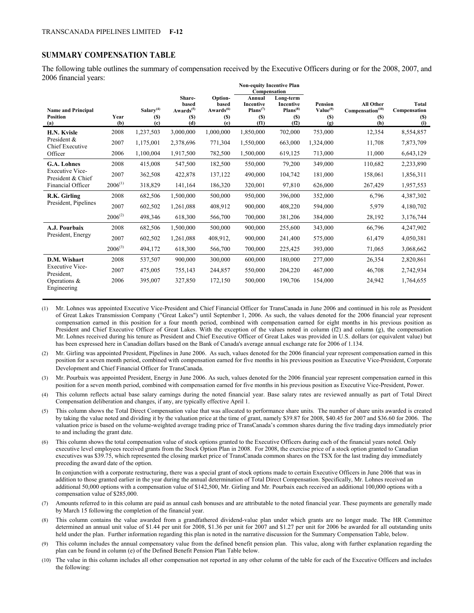## **SUMMARY COMPENSATION TABLE**

The following table outlines the summary of compensation received by the Executive Officers during or for the 2008, 2007, and 2006 financial years:

|                                                     |              |                                                           |                                                               |                                                         | <b>Non-equity Incentive Plan</b><br>Compensation                  |                                                               |                                                      |                                                                |                                                   |
|-----------------------------------------------------|--------------|-----------------------------------------------------------|---------------------------------------------------------------|---------------------------------------------------------|-------------------------------------------------------------------|---------------------------------------------------------------|------------------------------------------------------|----------------------------------------------------------------|---------------------------------------------------|
| <b>Name and Principal</b><br><b>Position</b><br>(a) | Year<br>(b)  | Salary $(4)$<br><b>(S)</b><br>$\left( \mathbf{c} \right)$ | Share-<br>based<br>Awards <sup>(5)</sup><br><b>(S)</b><br>(d) | Option-<br>based<br>Awards <sup>(6)</sup><br>(S)<br>(e) | Annual<br><b>Incentive</b><br>Plans <sup>(7)</sup><br>(S)<br>(f1) | Long-term<br><b>Incentive</b><br>$Plans^{(8)}$<br>(S)<br>(f2) | <b>Pension</b><br>Value <sup>(9)</sup><br>(S)<br>(g) | <b>All Other</b><br>Compensation <sup>(10)</sup><br>(S)<br>(h) | <b>Total</b><br>Compensation<br><b>(S)</b><br>(i) |
| H.N. Kvisle                                         | 2008         | 1,237,503                                                 | 3,000,000                                                     | 1,000,000                                               | 1,850,000                                                         | 702,000                                                       | 753,000                                              | 12,354                                                         | 8,554,857                                         |
| President &<br><b>Chief Executive</b>               | 2007         | 1,175,001                                                 | 2,378,696                                                     | 771,304                                                 | 1,550,000                                                         | 663,000                                                       | 1,324,000                                            | 11,708                                                         | 7,873,709                                         |
| Officer                                             | 2006         | 1,100,004                                                 | 1,917,500                                                     | 782,500                                                 | 1,500,000                                                         | 619,125                                                       | 713,000                                              | 11,000                                                         | 6,643,129                                         |
| <b>G.A. Lohnes</b>                                  | 2008         | 415,008                                                   | 547,500                                                       | 182,500                                                 | 550,000                                                           | 79,200                                                        | 349,000                                              | 110,682                                                        | 2,233,890                                         |
| <b>Executive Vice-</b><br>President & Chief         | 2007         | 362,508                                                   | 422,878                                                       | 137,122                                                 | 490,000                                                           | 104,742                                                       | 181,000                                              | 158,061                                                        | 1,856,311                                         |
| Financial Officer                                   | $2006^{(1)}$ | 318,829                                                   | 141,164                                                       | 186,320                                                 | 320,001                                                           | 97,810                                                        | 626,000                                              | 267,429                                                        | 1,957,553                                         |
| R.K. Girling                                        | 2008         | 682,506                                                   | 1,500,000                                                     | 500,000                                                 | 950,000                                                           | 396,000                                                       | 352,000                                              | 6,796                                                          | 4,387,302                                         |
| President, Pipelines                                | 2007         | 602,502                                                   | 1,261,088                                                     | 408,912                                                 | 900,000                                                           | 408,220                                                       | 594,000                                              | 5,979                                                          | 4,180,702                                         |
|                                                     | $2006^{(2)}$ | 498,346                                                   | 618,300                                                       | 566,700                                                 | 700,000                                                           | 381,206                                                       | 384,000                                              | 28,192                                                         | 3,176,744                                         |
| A.J. Pourbaix                                       | 2008         | 682,506                                                   | 1,500,000                                                     | 500,000                                                 | 900,000                                                           | 255,600                                                       | 343,000                                              | 66,796                                                         | 4,247,902                                         |
| President, Energy                                   | 2007         | 602,502                                                   | 1,261,088                                                     | 408,912,                                                | 900,000                                                           | 241,400                                                       | 575,000                                              | 61,479                                                         | 4,050,381                                         |
|                                                     | $2006^{(3)}$ | 494,172                                                   | 618,300                                                       | 566,700                                                 | 700,000                                                           | 225,425                                                       | 393,000                                              | 71,065                                                         | 3,068,662                                         |
| D.M. Wishart                                        | 2008         | 537,507                                                   | 900,000                                                       | 300,000                                                 | 600,000                                                           | 180,000                                                       | 277,000                                              | 26,354                                                         | 2,820,861                                         |
| <b>Executive Vice-</b><br>President.                | 2007         | 475,005                                                   | 755,143                                                       | 244,857                                                 | 550,000                                                           | 204,220                                                       | 467,000                                              | 46,708                                                         | 2,742,934                                         |
| Operations $\&$<br>Engineering                      | 2006         | 395,007                                                   | 327,850                                                       | 172,150                                                 | 500,000                                                           | 190,706                                                       | 154,000                                              | 24,942                                                         | 1,764,655                                         |

(1) Mr. Lohnes was appointed Executive Vice-President and Chief Financial Officer for TransCanada in June 2006 and continued in his role as President of Great Lakes Transmission Company ("Great Lakes") until September 1, 2006. As such, the values denoted for the 2006 financial year represent compensation earned in this position for a four month period, combined with compensation earned for eight months in his previous position as President and Chief Executive Officer of Great Lakes. With the exception of the values noted in column  $(2)$  and column  $(g)$ , the compensation Mr. Lohnes received during his tenure as President and Chief Executive Officer of Great Lakes was provided in U.S. dollars (or equivalent value) but has been expressed here in Canadian dollars based on the Bank of Canada's average annual exchange rate for 2006 of 1.134.

(2) Mr. Girling was appointed President, Pipelines in June 2006. As such, values denoted for the 2006 financial year represent compensation earned in this position for a seven month period, combined with compensation earned for five months in his previous position as Executive Vice-President, Corporate Development and Chief Financial Officer for TransCanada.

(3) Mr. Pourbaix was appointed President, Energy in June 2006. As such, values denoted for the 2006 financial year represent compensation earned in this position for a seven month period, combined with compensation earned for five months in his previous position as Executive Vice-President, Power.

(4) This column reflects actual base salary earnings during the noted financial year. Base salary rates are reviewed annually as part of Total Direct Compensation deliberation and changes, if any, are typically effective April 1.

- (5) This column shows the Total Direct Compensation value that was allocated to performance share units. The number of share units awarded is created by taking the value noted and dividing it by the valuation price at the time of grant, namely \$39.87 for 2008, \$40.45 for 2007 and \$36.60 for 2006. The valuation price is based on the volume-weighted average trading price of TransCanada's common shares during the five trading days immediately prior to and including the grant date.
- (6) This column shows the total compensation value of stock options granted to the Executive Officers during each of the financial years noted. Only executive level employees received grants from the Stock Option Plan in 2008. For 2008, the exercise price of a stock option granted to Canadian executives was \$39.75, which represented the closing market price of TransCanada common shares on the TSX for the last trading day immediately preceding the award date of the option.

In conjunction with a corporate restructuring, there was a special grant of stock options made to certain Executive Officers in June 2006 that was in addition to those granted earlier in the year during the annual determination of Total Direct Compensation. Specifically, Mr. Lohnes received an additional 50,000 options with a compensation value of \$142,500, Mr. Girling and Mr. Pourbaix each received an additional 100,000 options with a compensation value of \$285,000.

- Amounts referred to in this column are paid as annual cash bonuses and are attributable to the noted financial year. These payments are generally made by March 15 following the completion of the financial year.
- (8) This column contains the value awarded from a grandfathered dividend-value plan under which grants are no longer made. The HR Committee determined an annual unit value of \$1.44 per unit for 2008, \$1.36 per unit for 2007 and \$1.27 per unit for 2006 be awarded for all outstanding units held under the plan. Further information regarding this plan is noted in the narrative discussion for the Summary Compensation Table, below.
- (9) This column includes the annual compensatory value from the defined benefit pension plan. This value, along with further explanation regarding the plan can be found in column (e) of the Defined Benefit Pension Plan Table below.
- (10) The value in this column includes all other compensation not reported in any other column of the table for each of the Executive Officers and includes the following: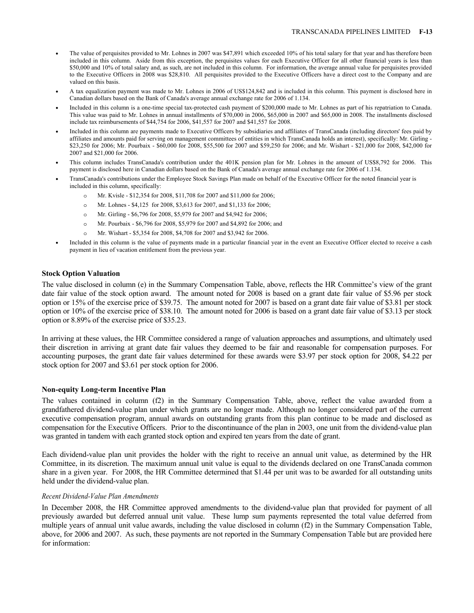- The value of perquisites provided to Mr. Lohnes in 2007 was \$47,891 which exceeded 10% of his total salary for that year and has therefore been included in this column. Aside from this exception, the perquisites values for each Executive Officer for all other financial years is less than \$50,000 and 10% of total salary and, as such, are not included in this column. For information, the average annual value for perquisites provided to the Executive Officers in 2008 was \$28,810. All perquisites provided to the Executive Officers have a direct cost to the Company and are valued on this basis.
- A tax equalization payment was made to Mr. Lohnes in 2006 of US\$124,842 and is included in this column. This payment is disclosed here in Canadian dollars based on the Bank of Canada's average annual exchange rate for 2006 of 1.134.
- Included in this column is a one-time special tax-protected cash payment of \$200,000 made to Mr. Lohnes as part of his repatriation to Canada. This value was paid to Mr. Lohnes in annual installments of \$70,000 in 2006, \$65,000 in 2007 and \$65,000 in 2008. The installments disclosed include tax reimbursements of \$44,754 for 2006, \$41,557 for 2007 and \$41,557 for 2008.
- Included in this column are payments made to Executive Officers by subsidiaries and affiliates of TransCanada (including directors' fees paid by affiliates and amounts paid for serving on management committees of entities in which TransCanada holds an interest), specifically: Mr. Girling - \$23,250 for 2006; Mr. Pourbaix - \$60,000 for 2008, \$55,500 for 2007 and \$59,250 for 2006; and Mr. Wishart - \$21,000 for 2008, \$42,000 for 2007 and \$21,000 for 2006.
- This column includes TransCanada's contribution under the 401K pension plan for Mr. Lohnes in the amount of US\$8,792 for 2006. This payment is disclosed here in Canadian dollars based on the Bank of Canada's average annual exchange rate for 2006 of 1.134.
- TransCanada's contributions under the Employee Stock Savings Plan made on behalf of the Executive Officer for the noted financial year is included in this column, specifically:
	- o Mr. Kvisle \$12,354 for 2008, \$11,708 for 2007 and \$11,000 for 2006;
	- o Mr. Lohnes \$4,125 for 2008, \$3,613 for 2007, and \$1,133 for 2006;
	- o Mr. Girling \$6,796 for 2008, \$5,979 for 2007 and \$4,942 for 2006;
	- o Mr. Pourbaix \$6,796 for 2008, \$5,979 for 2007 and \$4,892 for 2006; and
	- o Mr. Wishart \$5,354 for 2008, \$4,708 for 2007 and \$3,942 for 2006.
- Included in this column is the value of payments made in a particular financial year in the event an Executive Officer elected to receive a cash payment in lieu of vacation entitlement from the previous year.

#### **Stock Option Valuation**

The value disclosed in column (e) in the Summary Compensation Table, above, reflects the HR Committee's view of the grant date fair value of the stock option award. The amount noted for 2008 is based on a grant date fair value of \$5.96 per stock option or 15% of the exercise price of \$39.75. The amount noted for 2007 is based on a grant date fair value of \$3.81 per stock option or 10% of the exercise price of \$38.10. The amount noted for 2006 is based on a grant date fair value of \$3.13 per stock option or 8.89% of the exercise price of \$35.23.

In arriving at these values, the HR Committee considered a range of valuation approaches and assumptions, and ultimately used their discretion in arriving at grant date fair values they deemed to be fair and reasonable for compensation purposes. For accounting purposes, the grant date fair values determined for these awards were \$3.97 per stock option for 2008, \$4.22 per stock option for 2007 and \$3.61 per stock option for 2006.

#### **Non-equity Long-term Incentive Plan**

The values contained in column (f2) in the Summary Compensation Table, above, reflect the value awarded from a grandfathered dividend-value plan under which grants are no longer made. Although no longer considered part of the current executive compensation program, annual awards on outstanding grants from this plan continue to be made and disclosed as compensation for the Executive Officers. Prior to the discontinuance of the plan in 2003, one unit from the dividend-value plan was granted in tandem with each granted stock option and expired ten years from the date of grant.

Each dividend-value plan unit provides the holder with the right to receive an annual unit value, as determined by the HR Committee, in its discretion. The maximum annual unit value is equal to the dividends declared on one TransCanada common share in a given year. For 2008, the HR Committee determined that \$1.44 per unit was to be awarded for all outstanding units held under the dividend-value plan.

#### *Recent Dividend-Value Plan Amendments*

In December 2008, the HR Committee approved amendments to the dividend-value plan that provided for payment of all previously awarded but deferred annual unit value. These lump sum payments represented the total value deferred from multiple years of annual unit value awards, including the value disclosed in column (f2) in the Summary Compensation Table, above, for 2006 and 2007. As such, these payments are not reported in the Summary Compensation Table but are provided here for information: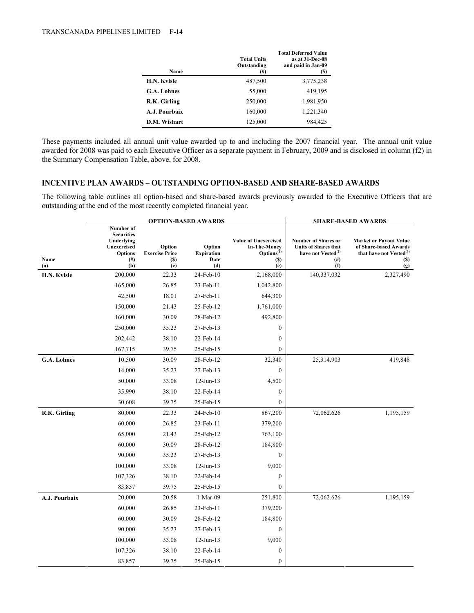| Name               | <b>Total Units</b><br>Outstanding<br>(#) | <b>Total Deferred Value</b><br>as at 31-Dec-08<br>and paid in Jan-09<br>(S) |
|--------------------|------------------------------------------|-----------------------------------------------------------------------------|
| H.N. Kvisle        | 487,500                                  | 3,775,238                                                                   |
| <b>G.A. Lohnes</b> | 55,000                                   | 419,195                                                                     |
| R.K. Girling       | 250,000                                  | 1,981,950                                                                   |
| A.J. Pourbaix      | 160,000                                  | 1,221,340                                                                   |
| D.M. Wishart       | 125,000                                  | 984,425                                                                     |

These payments included all annual unit value awarded up to and including the 2007 financial year. The annual unit value awarded for 2008 was paid to each Executive Officer as a separate payment in February, 2009 and is disclosed in column (f2) in the Summary Compensation Table, above, for 2008.

# **INCENTIVE PLAN AWARDS – OUTSTANDING OPTION-BASED AND SHARE-BASED AWARDS**

The following table outlines all option-based and share-based awards previously awarded to the Executive Officers that are outstanding at the end of the most recently completed financial year.

|                    |                                                                                                  | <b>OPTION-BASED AWARDS</b>                           |                                            |                                                                                                                   | <b>SHARE-BASED AWARDS</b>                                                                                      |                                                                                                                    |  |
|--------------------|--------------------------------------------------------------------------------------------------|------------------------------------------------------|--------------------------------------------|-------------------------------------------------------------------------------------------------------------------|----------------------------------------------------------------------------------------------------------------|--------------------------------------------------------------------------------------------------------------------|--|
| Name<br>(a)        | Number of<br><b>Securities</b><br>Underlying<br>Unexercised<br><b>Options</b><br>$^{(#)}$<br>(b) | Option<br><b>Exercise Price</b><br><b>(S)</b><br>(c) | Option<br><b>Expiration</b><br>Date<br>(d) | <b>Value of Unexercised</b><br><b>In-The-Money</b><br>Options <sup>(1)</sup><br>$\left( \mathbb{S}\right)$<br>(e) | <b>Number of Shares or</b><br><b>Units of Shares that</b><br>have not Vested <sup>(2)</sup><br>$^{(#)}$<br>(f) | <b>Market or Payout Value</b><br>of Share-based Awards<br>that have not Vested <sup>(3)</sup><br><b>(S)</b><br>(g) |  |
| H.N. Kvisle        | 200,000                                                                                          | 22.33                                                | 24-Feb-10                                  | 2,168,000                                                                                                         | 140,337.032                                                                                                    | 2,327,490                                                                                                          |  |
|                    | 165,000                                                                                          | 26.85                                                | 23-Feb-11                                  | 1,042,800                                                                                                         |                                                                                                                |                                                                                                                    |  |
|                    | 42,500                                                                                           | 18.01                                                | 27-Feb-11                                  | 644,300                                                                                                           |                                                                                                                |                                                                                                                    |  |
|                    | 150,000                                                                                          | 21.43                                                | 25-Feb-12                                  | 1,761,000                                                                                                         |                                                                                                                |                                                                                                                    |  |
|                    | 160,000                                                                                          | 30.09                                                | 28-Feb-12                                  | 492,800                                                                                                           |                                                                                                                |                                                                                                                    |  |
|                    | 250,000                                                                                          | 35.23                                                | 27-Feb-13                                  | $\mathbf{0}$                                                                                                      |                                                                                                                |                                                                                                                    |  |
|                    | 202,442                                                                                          | 38.10                                                | 22-Feb-14                                  | $\boldsymbol{0}$                                                                                                  |                                                                                                                |                                                                                                                    |  |
|                    | 167,715                                                                                          | 39.75                                                | 25-Feb-15                                  | $\boldsymbol{0}$                                                                                                  |                                                                                                                |                                                                                                                    |  |
| <b>G.A. Lohnes</b> | 10,500                                                                                           | 30.09                                                | 28-Feb-12                                  | 32,340                                                                                                            | 25,314.903                                                                                                     | 419,848                                                                                                            |  |
|                    | 14,000                                                                                           | 35.23                                                | 27-Feb-13                                  | $\boldsymbol{0}$                                                                                                  |                                                                                                                |                                                                                                                    |  |
|                    | 50,000                                                                                           | 33.08                                                | $12$ -Jun- $13$                            | 4,500                                                                                                             |                                                                                                                |                                                                                                                    |  |
|                    | 35,990                                                                                           | 38.10                                                | 22-Feb-14                                  | $\mathbf{0}$                                                                                                      |                                                                                                                |                                                                                                                    |  |
|                    | 30,608                                                                                           | 39.75                                                | 25-Feb-15                                  | $\mathbf{0}$                                                                                                      |                                                                                                                |                                                                                                                    |  |
| R.K. Girling       | 80,000                                                                                           | 22.33                                                | 24-Feb-10                                  | 867,200                                                                                                           | 72,062.626                                                                                                     | 1,195,159                                                                                                          |  |
|                    | 60,000                                                                                           | 26.85                                                | 23-Feb-11                                  | 379,200                                                                                                           |                                                                                                                |                                                                                                                    |  |
|                    | 65,000                                                                                           | 21.43                                                | 25-Feb-12                                  | 763,100                                                                                                           |                                                                                                                |                                                                                                                    |  |
|                    | 60,000                                                                                           | 30.09                                                | 28-Feb-12                                  | 184,800                                                                                                           |                                                                                                                |                                                                                                                    |  |
|                    | 90,000                                                                                           | 35.23                                                | 27-Feb-13                                  | $\mathbf{0}$                                                                                                      |                                                                                                                |                                                                                                                    |  |
|                    | 100,000                                                                                          | 33.08                                                | $12$ -Jun- $13$                            | 9,000                                                                                                             |                                                                                                                |                                                                                                                    |  |
|                    | 107,326                                                                                          | 38.10                                                | 22-Feb-14                                  | $\mathbf{0}$                                                                                                      |                                                                                                                |                                                                                                                    |  |
|                    | 83,857                                                                                           | 39.75                                                | 25-Feb-15                                  | $\mathbf{0}$                                                                                                      |                                                                                                                |                                                                                                                    |  |
| A.J. Pourbaix      | 20,000                                                                                           | 20.58                                                | $1-Mar-09$                                 | 251,800                                                                                                           | 72,062.626                                                                                                     | 1,195,159                                                                                                          |  |
|                    | 60,000                                                                                           | 26.85                                                | 23-Feb-11                                  | 379,200                                                                                                           |                                                                                                                |                                                                                                                    |  |
|                    | 60,000                                                                                           | 30.09                                                | 28-Feb-12                                  | 184,800                                                                                                           |                                                                                                                |                                                                                                                    |  |
|                    | 90,000                                                                                           | 35.23                                                | 27-Feb-13                                  | $\mathbf{0}$                                                                                                      |                                                                                                                |                                                                                                                    |  |
|                    | 100,000                                                                                          | 33.08                                                | $12$ -Jun- $13$                            | 9,000                                                                                                             |                                                                                                                |                                                                                                                    |  |
|                    | 107,326                                                                                          | 38.10                                                | 22-Feb-14                                  | $\mathbf{0}$                                                                                                      |                                                                                                                |                                                                                                                    |  |
|                    | 83,857                                                                                           | 39.75                                                | 25-Feb-15                                  | $\mathbf{0}$                                                                                                      |                                                                                                                |                                                                                                                    |  |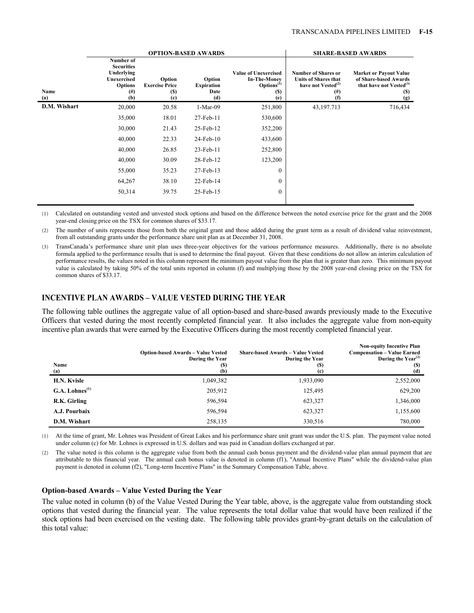|              |                                                                                                         |                                                                       | <b>OPTION-BASED AWARDS</b>                 |                                                                                                   |                                                                                                        | <b>SHARE-BASED AWARDS</b>                                                                            |
|--------------|---------------------------------------------------------------------------------------------------------|-----------------------------------------------------------------------|--------------------------------------------|---------------------------------------------------------------------------------------------------|--------------------------------------------------------------------------------------------------------|------------------------------------------------------------------------------------------------------|
| Name<br>(a)  | Number of<br><b>Securities</b><br>Underlying<br><b>Unexercised</b><br><b>Options</b><br>$^{(#)}$<br>(b) | Option<br><b>Exercise Price</b><br>(S)<br>$\left( \mathrm{c} \right)$ | Option<br><b>Expiration</b><br>Date<br>(d) | <b>Value of Unexercised</b><br><b>In-The-Money</b><br>Options <sup>(1)</sup><br><b>(S)</b><br>(e) | <b>Number of Shares or</b><br><b>Units of Shares that</b><br>have not Vested $^{(2)}$<br>$(\#)$<br>(f) | <b>Market or Payout Value</b><br>of Share-based Awards<br>that have not $Vested^{(3)}$<br>(S)<br>(g) |
| D.M. Wishart | 20,000                                                                                                  | 20.58                                                                 | $1-Mar-09$                                 | 251,800                                                                                           | 43, 197. 713                                                                                           | 716,434                                                                                              |
|              | 35,000                                                                                                  | 18.01                                                                 | 27-Feb-11                                  | 530,600                                                                                           |                                                                                                        |                                                                                                      |
|              | 30,000                                                                                                  | 21.43                                                                 | 25-Feb-12                                  | 352,200                                                                                           |                                                                                                        |                                                                                                      |
|              | 40,000                                                                                                  | 22.33                                                                 | $24$ -Feb- $10$                            | 433,600                                                                                           |                                                                                                        |                                                                                                      |
|              | 40,000                                                                                                  | 26.85                                                                 | $23$ -Feb-11                               | 252,800                                                                                           |                                                                                                        |                                                                                                      |
|              | 40,000                                                                                                  | 30.09                                                                 | 28-Feb-12                                  | 123,200                                                                                           |                                                                                                        |                                                                                                      |
|              | 55,000                                                                                                  | 35.23                                                                 | 27-Feb-13                                  | $\mathbf{0}$                                                                                      |                                                                                                        |                                                                                                      |
|              | 64,267                                                                                                  | 38.10                                                                 | 22-Feb-14                                  | $\boldsymbol{0}$                                                                                  |                                                                                                        |                                                                                                      |
|              | 50,314                                                                                                  | 39.75                                                                 | 25-Feb-15                                  | $\boldsymbol{0}$                                                                                  |                                                                                                        |                                                                                                      |

(1) Calculated on outstanding vested and unvested stock options and based on the difference between the noted exercise price for the grant and the 2008 year-end closing price on the TSX for common shares of \$33.17.

(2) The number of units represents those from both the original grant and those added during the grant term as a result of dividend value reinvestment, from all outstanding grants under the performance share unit plan as at December 31, 2008.

(3) TransCanada's performance share unit plan uses three-year objectives for the various performance measures. Additionally, there is no absolute formula applied to the performance results that is used to determine the final payout. Given that these conditions do not allow an interim calculation of performance results, the values noted in this column represent the minimum payout value from the plan that is greater than zero. This minimum payout value is calculated by taking 50% of the total units reported in column (f) and multiplying those by the 2008 year-end closing price on the TSX for common shares of \$33.17.

# **INCENTIVE PLAN AWARDS – VALUE VESTED DURING THE YEAR**

The following table outlines the aggregate value of all option-based and share-based awards previously made to the Executive Officers that vested during the most recently completed financial year. It also includes the aggregate value from non-equity incentive plan awards that were earned by the Executive Officers during the most recently completed financial year.

| Name<br>(a)                               | <b>Option-based Awards – Value Vested</b><br>During the Year<br>(S)<br>(b) | <b>Share-based Awards - Value Vested</b><br>During the Year<br>$\left( \mathbf{S}\right)$<br>(c) | <b>Non-equity Incentive Plan</b><br><b>Compensation – Value Earned</b><br>During the $Year^{(2)}$<br><b>(S)</b><br>(d) |
|-------------------------------------------|----------------------------------------------------------------------------|--------------------------------------------------------------------------------------------------|------------------------------------------------------------------------------------------------------------------------|
| H.N. Kvisle                               | 1,049,382                                                                  | 1,933,090                                                                                        | 2,552,000                                                                                                              |
| $G.A.$ Lohnes <sup><math>(1)</math></sup> | 205,912                                                                    | 125,495                                                                                          | 629,200                                                                                                                |
| R.K. Girling                              | 596,594                                                                    | 623,327                                                                                          | 1,346,000                                                                                                              |
| A.J. Pourbaix                             | 596,594                                                                    | 623,327                                                                                          | 1,155,600                                                                                                              |
| D.M. Wishart                              | 258,135                                                                    | 330,516                                                                                          | 780,000                                                                                                                |

(1) At the time of grant, Mr. Lohnes was President of Great Lakes and his performance share unit grant was under the U.S. plan. The payment value noted under column (c) for Mr. Lohnes is expressed in U.S. dollars and was paid in Canadian dollars exchanged at par.

(2) The value noted is this column is the aggregate value from both the annual cash bonus payment and the dividend-value plan annual payment that are attributable to this financial year. The annual cash bonus value is denoted in column (f1), "Annual Incentive Plans" while the dividend-value plan payment is denoted in column (f2), "Long-term Incentive Plans" in the Summary Compensation Table, above.

#### **Option-based Awards – Value Vested During the Year**

The value noted in column (b) of the Value Vested During the Year table, above, is the aggregate value from outstanding stock options that vested during the financial year. The value represents the total dollar value that would have been realized if the stock options had been exercised on the vesting date. The following table provides grant-by-grant details on the calculation of this total value: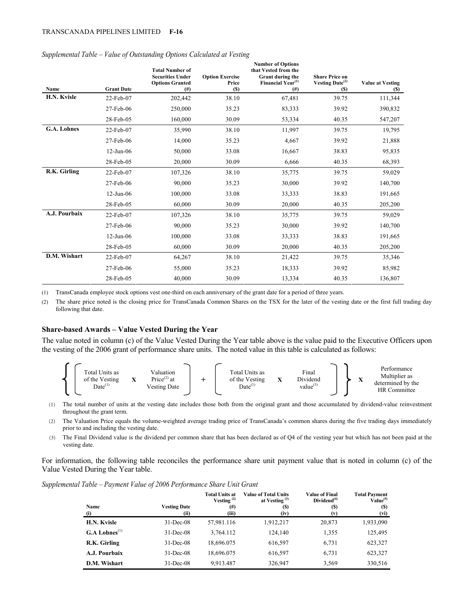| Name               | <b>Grant Date</b> | <b>Total Number of</b><br><b>Securities Under</b><br><b>Options Granted</b><br>(# <sup>2</sup> ) | <b>Option Exercise</b><br>Price<br>(S) | <b>Number of Options</b><br>that Vested from the<br>Grant during the<br>Financial Year <sup>(1)</sup><br>$($ # $)$ | <b>Share Price on</b><br>Vesting Date $^{(2)}$<br>(S) | <b>Value at Vesting</b><br><b>(S)</b> |
|--------------------|-------------------|--------------------------------------------------------------------------------------------------|----------------------------------------|--------------------------------------------------------------------------------------------------------------------|-------------------------------------------------------|---------------------------------------|
| H.N. Kvisle        | 22-Feb-07         | 202,442                                                                                          | 38.10                                  | 67,481                                                                                                             | 39.75                                                 | 111,344                               |
|                    | 27-Feb-06         | 250,000                                                                                          | 35.23                                  | 83,333                                                                                                             | 39.92                                                 | 390,832                               |
|                    | 28-Feb-05         | 160,000                                                                                          | 30.09                                  | 53,334                                                                                                             | 40.35                                                 | 547,207                               |
| <b>G.A. Lohnes</b> | 22-Feb-07         | 35,990                                                                                           | 38.10                                  | 11,997                                                                                                             | 39.75                                                 | 19,795                                |
|                    | 27-Feb-06         | 14,000                                                                                           | 35.23                                  | 4,667                                                                                                              | 39.92                                                 | 21,888                                |
|                    | $12$ -Jun-06      | 50,000                                                                                           | 33.08                                  | 16,667                                                                                                             | 38.83                                                 | 95,835                                |
|                    | 28-Feb-05         | 20,000                                                                                           | 30.09                                  | 6,666                                                                                                              | 40.35                                                 | 68,393                                |
| R.K. Girling       | 22-Feb-07         | 107,326                                                                                          | 38.10                                  | 35,775                                                                                                             | 39.75                                                 | 59,029                                |
|                    | 27-Feb-06         | 90,000                                                                                           | 35.23                                  | 30,000                                                                                                             | 39.92                                                 | 140,700                               |
|                    | $12-Jun-06$       | 100,000                                                                                          | 33.08                                  | 33,333                                                                                                             | 38.83                                                 | 191,665                               |
|                    | 28-Feb-05         | 60,000                                                                                           | 30.09                                  | 20,000                                                                                                             | 40.35                                                 | 205,200                               |
| A.J. Pourbaix      | 22-Feb-07         | 107,326                                                                                          | 38.10                                  | 35,775                                                                                                             | 39.75                                                 | 59,029                                |
|                    | 27-Feb-06         | 90,000                                                                                           | 35.23                                  | 30,000                                                                                                             | 39.92                                                 | 140,700                               |
|                    | $12$ -Jun-06      | 100,000                                                                                          | 33.08                                  | 33,333                                                                                                             | 38.83                                                 | 191,665                               |
|                    | 28-Feb-05         | 60,000                                                                                           | 30.09                                  | 20,000                                                                                                             | 40.35                                                 | 205,200                               |
| D.M. Wishart       | 22-Feb-07         | 64,267                                                                                           | 38.10                                  | 21,422                                                                                                             | 39.75                                                 | 35,346                                |
|                    | 27-Feb-06         | 55,000                                                                                           | 35.23                                  | 18,333                                                                                                             | 39.92                                                 | 85,982                                |
|                    | 28-Feb-05         | 40,000                                                                                           | 30.09                                  | 13,334                                                                                                             | 40.35                                                 | 136,807                               |

#### *Supplemental Table – Value of Outstanding Options Calculated at Vesting*

(1) TransCanada employee stock options vest one-third on each anniversary of the grant date for a period of three years.

(2) The share price noted is the closing price for TransCanada Common Shares on the TSX for the later of the vesting date or the first full trading day following that date.

#### **Share-based Awards – Value Vested During the Year**

The value noted in column (c) of the Value Vested During the Year table above is the value paid to the Executive Officers upon the vesting of the 2006 grant of performance share units. The noted value in this table is calculated as follows:



(1) The total number of units at the vesting date includes those both from the original grant and those accumulated by dividend-value reinvestment throughout the grant term.

(2) The Valuation Price equals the volume-weighted average trading price of TransCanada's common shares during the five trading days immediately prior to and including the vesting date.

(3) The Final Dividend value is the dividend per common share that has been declared as of Q4 of the vesting year but which has not been paid at the vesting date.

For information, the following table reconciles the performance share unit payment value that is noted in column (c) of the Value Vested During the Year table.

| Supplemental Table – Payment Value of 2006 Performance Share Unit Grant |  |  |
|-------------------------------------------------------------------------|--|--|
|                                                                         |  |  |

| <b>Name</b><br>(i)          | <b>Vesting Date</b><br>(ii) | Total Units at<br>Vesting $(2)$<br>$^{(#)}$<br>(iii) | <b>Value of Total Units</b><br>at Vesting $(3)$<br><b>(S)</b><br>(iv) | <b>Value of Final</b><br>Dividend <sup>(4)</sup><br>(S)<br>(v) | <b>Total Payment</b><br>Value <sup>(5)</sup><br><b>(S)</b><br>(vi) |
|-----------------------------|-----------------------------|------------------------------------------------------|-----------------------------------------------------------------------|----------------------------------------------------------------|--------------------------------------------------------------------|
| H.N. Kvisle                 | $31$ -Dec-08                | 57,981.116                                           | 1,912,217                                                             | 20,873                                                         | 1,933,090                                                          |
| $G.A$ Lohnes <sup>(1)</sup> | $31$ -Dec-08                | 3.764.112                                            | 124,140                                                               | 1,355                                                          | 125,495                                                            |
| R.K. Girling                | $31$ -Dec-08                | 18,696.075                                           | 616,597                                                               | 6,731                                                          | 623,327                                                            |
| A.J. Pourbaix               | $31$ -Dec-08                | 18,696.075                                           | 616,597                                                               | 6,731                                                          | 623,327                                                            |
| D.M. Wishart                | $31$ -Dec-08                | 9,913.487                                            | 326,947                                                               | 3.569                                                          | 330,516                                                            |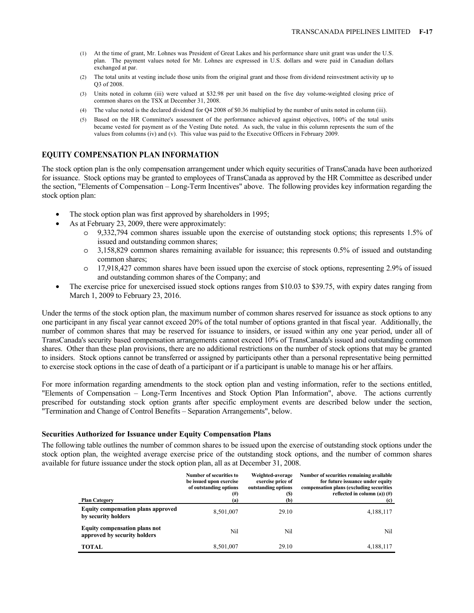- (1) At the time of grant, Mr. Lohnes was President of Great Lakes and his performance share unit grant was under the U.S. plan. The payment values noted for Mr. Lohnes are expressed in U.S. dollars and were paid in Canadian dollars exchanged at par.
- (2) The total units at vesting include those units from the original grant and those from dividend reinvestment activity up to Q3 of 2008.
- (3) Units noted in column (iii) were valued at \$32.98 per unit based on the five day volume-weighted closing price of common shares on the TSX at December 31, 2008.
- (4) The value noted is the declared dividend for Q4 2008 of \$0.36 multiplied by the number of units noted in column (iii).
- (5) Based on the HR Committee's assessment of the performance achieved against objectives, 100% of the total units became vested for payment as of the Vesting Date noted. As such, the value in this column represents the sum of the values from columns (iv) and (v). This value was paid to the Executive Officers in February 2009.

## **EQUITY COMPENSATION PLAN INFORMATION**

The stock option plan is the only compensation arrangement under which equity securities of TransCanada have been authorized for issuance. Stock options may be granted to employees of TransCanada as approved by the HR Committee as described under the section, "Elements of Compensation – Long-Term Incentives" above. The following provides key information regarding the stock option plan:

- The stock option plan was first approved by shareholders in 1995;
- As at February 23, 2009, there were approximately:
	- o 9,332,794 common shares issuable upon the exercise of outstanding stock options; this represents 1.5% of issued and outstanding common shares;
	- o 3,158,829 common shares remaining available for issuance; this represents 0.5% of issued and outstanding common shares;
	- o 17,918,427 common shares have been issued upon the exercise of stock options, representing 2.9% of issued and outstanding common shares of the Company; and
- The exercise price for unexercised issued stock options ranges from \$10.03 to \$39.75, with expiry dates ranging from March 1, 2009 to February 23, 2016.

Under the terms of the stock option plan, the maximum number of common shares reserved for issuance as stock options to any one participant in any fiscal year cannot exceed 20% of the total number of options granted in that fiscal year. Additionally, the number of common shares that may be reserved for issuance to insiders, or issued within any one year period, under all of TransCanada's security based compensation arrangements cannot exceed 10% of TransCanada's issued and outstanding common shares. Other than these plan provisions, there are no additional restrictions on the number of stock options that may be granted to insiders. Stock options cannot be transferred or assigned by participants other than a personal representative being permitted to exercise stock options in the case of death of a participant or if a participant is unable to manage his or her affairs.

For more information regarding amendments to the stock option plan and vesting information, refer to the sections entitled, "Elements of Compensation – Long-Term Incentives and Stock Option Plan Information", above. The actions currently prescribed for outstanding stock option grants after specific employment events are described below under the section, "Termination and Change of Control Benefits – Separation Arrangements", below.

## **Securities Authorized for Issuance under Equity Compensation Plans**

The following table outlines the number of common shares to be issued upon the exercise of outstanding stock options under the stock option plan, the weighted average exercise price of the outstanding stock options, and the number of common shares available for future issuance under the stock option plan, all as at December 31, 2008.

|                                                                      | <b>Number of securities to</b><br>be issued upon exercise<br>of outstanding options<br>$^{(#)}$ | Weighted-average<br>exercise price of<br>outstanding options<br>(S) | Number of securities remaining available<br>for future issuance under equity<br>compensation plans (excluding securities<br>reflected in column (a)) $(\#)$ |
|----------------------------------------------------------------------|-------------------------------------------------------------------------------------------------|---------------------------------------------------------------------|-------------------------------------------------------------------------------------------------------------------------------------------------------------|
| <b>Plan Category</b>                                                 | (a)                                                                                             | (b)                                                                 | (c)                                                                                                                                                         |
| <b>Equity compensation plans approved</b><br>by security holders     | 8,501,007                                                                                       | 29.10                                                               | 4,188,117                                                                                                                                                   |
| <b>Equity compensation plans not</b><br>approved by security holders | Nil                                                                                             | Nil                                                                 | Nil                                                                                                                                                         |
| <b>TOTAL</b>                                                         | 8,501,007                                                                                       | 29.10                                                               | 4,188,117                                                                                                                                                   |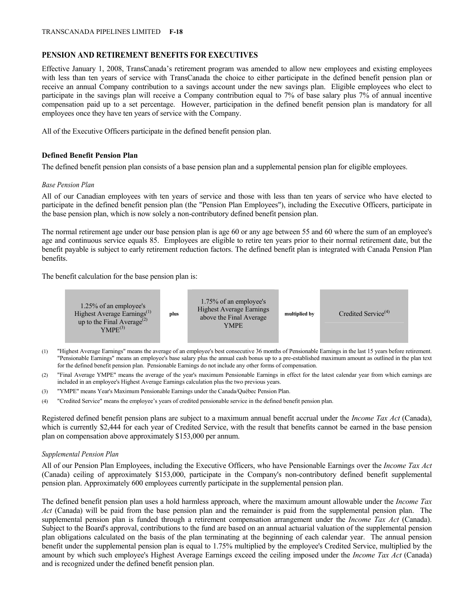# **PENSION AND RETIREMENT BENEFITS FOR EXECUTIVES**

Effective January 1, 2008, TransCanada's retirement program was amended to allow new employees and existing employees with less than ten years of service with TransCanada the choice to either participate in the defined benefit pension plan or receive an annual Company contribution to a savings account under the new savings plan. Eligible employees who elect to participate in the savings plan will receive a Company contribution equal to 7% of base salary plus 7% of annual incentive compensation paid up to a set percentage. However, participation in the defined benefit pension plan is mandatory for all employees once they have ten years of service with the Company.

All of the Executive Officers participate in the defined benefit pension plan.

# **Defined Benefit Pension Plan**

The defined benefit pension plan consists of a base pension plan and a supplemental pension plan for eligible employees.

# *Base Pension Plan*

All of our Canadian employees with ten years of service and those with less than ten years of service who have elected to participate in the defined benefit pension plan (the "Pension Plan Employees"), including the Executive Officers, participate in the base pension plan, which is now solely a non-contributory defined benefit pension plan.

The normal retirement age under our base pension plan is age 60 or any age between 55 and 60 where the sum of an employee's age and continuous service equals 85. Employees are eligible to retire ten years prior to their normal retirement date, but the benefit payable is subject to early retirement reduction factors. The defined benefit plan is integrated with Canada Pension Plan benefits.

The benefit calculation for the base pension plan is:



- (1) "Highest Average Earnings" means the average of an employee's best consecutive 36 months of Pensionable Earnings in the last 15 years before retirement. "Pensionable Earnings" means an employee's base salary plus the annual cash bonus up to a pre-established maximum amount as outlined in the plan text for the defined benefit pension plan. Pensionable Earnings do not include any other forms of compensation.
- (2) "Final Average YMPE" means the average of the year's maximum Pensionable Earnings in effect for the latest calendar year from which earnings are included in an employee's Highest Average Earnings calculation plus the two previous years.
- (3) "YMPE" means Year's Maximum Pensionable Earnings under the Canada/Québec Pension Plan.
- (4) "Credited Service" means the employee's years of credited pensionable service in the defined benefit pension plan.

Registered defined benefit pension plans are subject to a maximum annual benefit accrual under the *Income Tax Act* (Canada), which is currently \$2,444 for each year of Credited Service, with the result that benefits cannot be earned in the base pension plan on compensation above approximately \$153,000 per annum.

# *Supplemental Pension Plan*

All of our Pension Plan Employees, including the Executive Officers, who have Pensionable Earnings over the *Income Tax Act* (Canada) ceiling of approximately \$153,000, participate in the Company's non-contributory defined benefit supplemental pension plan. Approximately 600 employees currently participate in the supplemental pension plan.

The defined benefit pension plan uses a hold harmless approach, where the maximum amount allowable under the *Income Tax Act* (Canada) will be paid from the base pension plan and the remainder is paid from the supplemental pension plan. The supplemental pension plan is funded through a retirement compensation arrangement under the *Income Tax Act* (Canada). Subject to the Board's approval, contributions to the fund are based on an annual actuarial valuation of the supplemental pension plan obligations calculated on the basis of the plan terminating at the beginning of each calendar year. The annual pension benefit under the supplemental pension plan is equal to 1.75% multiplied by the employee's Credited Service, multiplied by the amount by which such employee's Highest Average Earnings exceed the ceiling imposed under the *Income Tax Act* (Canada) and is recognized under the defined benefit pension plan.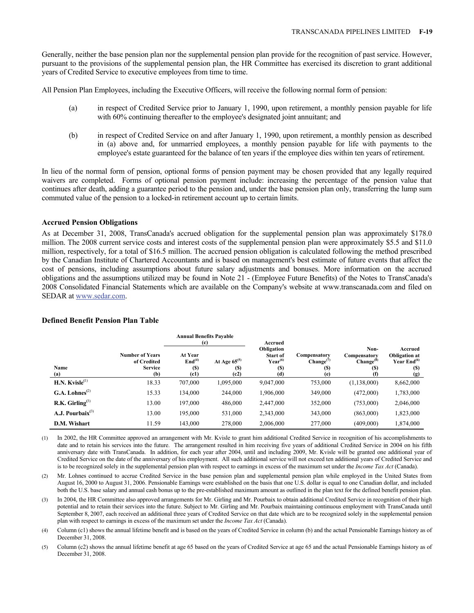Generally, neither the base pension plan nor the supplemental pension plan provide for the recognition of past service. However, pursuant to the provisions of the supplemental pension plan, the HR Committee has exercised its discretion to grant additional years of Credited Service to executive employees from time to time.

All Pension Plan Employees, including the Executive Officers, will receive the following normal form of pension:

- (a) in respect of Credited Service prior to January 1, 1990, upon retirement, a monthly pension payable for life with 60% continuing thereafter to the employee's designated joint annuitant; and
- (b) in respect of Credited Service on and after January 1, 1990, upon retirement, a monthly pension as described in (a) above and, for unmarried employees, a monthly pension payable for life with payments to the employee's estate guaranteed for the balance of ten years if the employee dies within ten years of retirement.

In lieu of the normal form of pension, optional forms of pension payment may be chosen provided that any legally required waivers are completed. Forms of optional pension payment include: increasing the percentage of the pension value that continues after death, adding a guarantee period to the pension and, under the base pension plan only, transferring the lump sum commuted value of the pension to a locked-in retirement account up to certain limits.

#### **Accrued Pension Obligations**

As at December 31, 2008, TransCanada's accrued obligation for the supplemental pension plan was approximately \$178.0 million. The 2008 current service costs and interest costs of the supplemental pension plan were approximately \$5.5 and \$11.0 million, respectively, for a total of \$16.5 million. The accrued pension obligation is calculated following the method prescribed by the Canadian Institute of Chartered Accountants and is based on management's best estimate of future events that affect the cost of pensions, including assumptions about future salary adjustments and bonuses. More information on the accrued obligations and the assumptions utilized may be found in Note 21 - (Employee Future Benefits) of the Notes to TransCanada's 2008 Consolidated Financial Statements which are available on the Company's website at www.transcanada.com and filed on SEDAR at www.sedar.com.

|                                           |                                                                | <b>Annual Benefits Pavable</b><br>(c)               |                                         | Accrued                                                            |                                              |                                                                    |                                                                |
|-------------------------------------------|----------------------------------------------------------------|-----------------------------------------------------|-----------------------------------------|--------------------------------------------------------------------|----------------------------------------------|--------------------------------------------------------------------|----------------------------------------------------------------|
| Name<br>(a)                               | <b>Number of Years</b><br>of Credited<br><b>Service</b><br>(b) | At Year<br>End <sup>(4)</sup><br><b>(S)</b><br>(c1) | At Age $65^{(5)}$<br><b>(S)</b><br>(c2) | Obligation<br><b>Start of</b><br>$Year^{(6)}$<br><b>(S)</b><br>(d) | Compensatory<br>$Change^{(7)}$<br>(S)<br>(e) | Non-<br>Compensatory<br>Change <sup>(8)</sup><br><b>(S)</b><br>(f) | Accrued<br><b>Obligation at</b><br>Year $End(6)$<br>(S)<br>(g) |
| $H.N.$ Kvisle <sup>(1)</sup>              | 18.33                                                          | 707,000                                             | 1,095,000                               | 9,047,000                                                          | 753,000                                      | (1,138,000)                                                        | 8,662,000                                                      |
| $G.A.$ Lohnes <sup><math>(2)</math></sup> | 15.33                                                          | 134.000                                             | 244,000                                 | 1,906,000                                                          | 349,000                                      | (472,000)                                                          | 1,783,000                                                      |
| R.K. Girling <sup>(3)</sup>               | 13.00                                                          | 197,000                                             | 486,000                                 | 2,447,000                                                          | 352,000                                      | (753,000)                                                          | 2,046,000                                                      |
| A.J. Pourbaix $^{(3)}$                    | 13.00                                                          | 195,000                                             | 531,000                                 | 2,343,000                                                          | 343,000                                      | (863,000)                                                          | 1,823,000                                                      |
| D.M. Wishart                              | 11.59                                                          | 143,000                                             | 278,000                                 | 2,006,000                                                          | 277,000                                      | (409,000)                                                          | 1,874,000                                                      |

#### **Defined Benefit Pension Plan Table**

(1) In 2002, the HR Committee approved an arrangement with Mr. Kvisle to grant him additional Credited Service in recognition of his accomplishments to date and to retain his services into the future. The arrangement resulted in him receiving five years of additional Credited Service in 2004 on his fifth anniversary date with TransCanada. In addition, for each year after 2004, until and including 2009, Mr. Kvisle will be granted one additional year of Credited Service on the date of the anniversary of his employment. All such additional service will not exceed ten additional years of Credited Service and is to be recognized solely in the supplemental pension plan with respect to earnings in excess of the maximum set under the *Income Tax Act* (Canada).

(2) Mr. Lohnes continued to accrue Credited Service in the base pension plan and supplemental pension plan while employed in the United States from August 16, 2000 to August 31, 2006. Pensionable Earnings were established on the basis that one U.S. dollar is equal to one Canadian dollar, and included both the U.S. base salary and annual cash bonus up to the pre-established maximum amount as outlined in the plan text for the defined benefit pension plan.

(3) In 2004, the HR Committee also approved arrangements for Mr. Girling and Mr. Pourbaix to obtain additional Credited Service in recognition of their high potential and to retain their services into the future. Subject to Mr. Girling and Mr. Pourbaix maintaining continuous employment with TransCanada until September 8, 2007, each received an additional three years of Credited Service on that date which are to be recognized solely in the supplemental pension plan with respect to earnings in excess of the maximum set under the *Income Tax Act* (Canada).

(4) Column (c1) shows the annual lifetime benefit and is based on the years of Credited Service in column (b) and the actual Pensionable Earnings history as of December 31, 2008.

(5) Column (c2) shows the annual lifetime benefit at age 65 based on the years of Credited Service at age 65 and the actual Pensionable Earnings history as of December 31, 2008.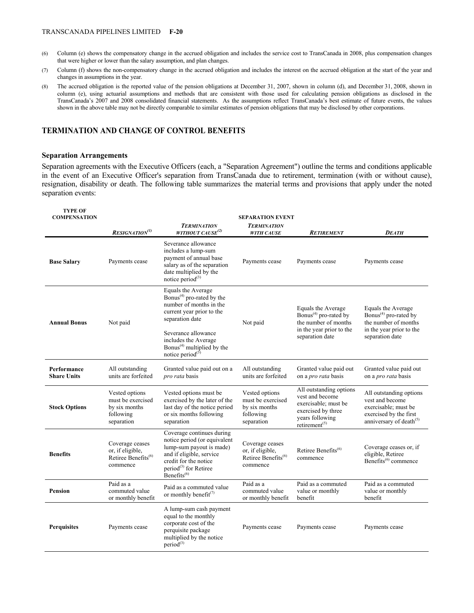#### TRANSCANADA PIPELINES LIMITED **F-20**

- (6) Column (e) shows the compensatory change in the accrued obligation and includes the service cost to TransCanada in 2008, plus compensation changes that were higher or lower than the salary assumption, and plan changes.
- (7) Column (f) shows the non-compensatory change in the accrued obligation and includes the interest on the accrued obligation at the start of the year and changes in assumptions in the year.
- (8) The accrued obligation is the reported value of the pension obligations at December 31, 2007, shown in column (d), and December 31, 2008, shown in column (e), using actuarial assumptions and methods that are consistent with those used for calculating pension obligations as disclosed in the TransCanada's 2007 and 2008 consolidated financial statements. As the assumptions reflect TransCanada's best estimate of future events, the values shown in the above table may not be directly comparable to similar estimates of pension obligations that may be disclosed by other corporations.

#### **TERMINATION AND CHANGE OF CONTROL BENEFITS**

### **Separation Arrangements**

Separation agreements with the Executive Officers (each, a "Separation Agreement") outline the terms and conditions applicable in the event of an Executive Officer's separation from TransCanada due to retirement, termination (with or without cause), resignation, disability or death. The following table summarizes the material terms and provisions that apply under the noted separation events:

| <b>TYPE OF</b><br><b>COMPENSATION</b> | <b>SEPARATION EVENT</b>                                                            |                                                                                                                                                                                                                                                                     |                                                                                    |                                                                                                                                                       |                                                                                                                                     |  |  |
|---------------------------------------|------------------------------------------------------------------------------------|---------------------------------------------------------------------------------------------------------------------------------------------------------------------------------------------------------------------------------------------------------------------|------------------------------------------------------------------------------------|-------------------------------------------------------------------------------------------------------------------------------------------------------|-------------------------------------------------------------------------------------------------------------------------------------|--|--|
|                                       | RESIGNATION <sup>(1)</sup>                                                         | <b>TERMINATION</b><br>WITHOUT CAUSE <sup>(2)</sup>                                                                                                                                                                                                                  | <b>TERMINATION</b><br><b>WITH CAUSE</b>                                            | <b>RETIREMENT</b>                                                                                                                                     | <b>DEATH</b>                                                                                                                        |  |  |
| <b>Base Salary</b>                    | Payments cease                                                                     | Severance allowance<br>includes a lump-sum<br>payment of annual base<br>salary as of the separation<br>date multiplied by the<br>notice period $(3)$                                                                                                                | Payments cease                                                                     | Payments cease                                                                                                                                        | Payments cease                                                                                                                      |  |  |
| <b>Annual Bonus</b>                   | Not paid                                                                           | Equals the Average<br>Bonus <sup>(4)</sup> pro-rated by the<br>number of months in the<br>current year prior to the<br>separation date<br>Severance allowance<br>includes the Average<br>Bonus <sup><math>(4)</math></sup> multiplied by the<br>notice period $(3)$ | Not paid                                                                           | Equals the Average<br>Bonus <sup><math>(4)</math></sup> pro-rated by<br>the number of months<br>in the year prior to the<br>separation date           | Equals the Average<br>Bonus <sup>(4)</sup> pro-rated by<br>the number of months<br>in the year prior to the<br>separation date      |  |  |
| Performance<br><b>Share Units</b>     | All outstanding<br>units are forfeited                                             | Granted value paid out on a<br><i>pro rata</i> basis                                                                                                                                                                                                                | All outstanding<br>units are forfeited                                             | Granted value paid out<br>on a pro rata basis                                                                                                         | Granted value paid out<br>on a <i>pro rata</i> basis                                                                                |  |  |
| <b>Stock Options</b>                  | Vested options<br>must be exercised<br>by six months<br>following<br>separation    | Vested options must be<br>exercised by the later of the<br>last day of the notice period<br>or six months following<br>separation                                                                                                                                   | Vested options<br>must be exercised<br>by six months<br>following<br>separation    | All outstanding options<br>vest and become<br>exercisable; must be<br>exercised by three<br>years following<br>retirement <sup><math>(5)</math></sup> | All outstanding options<br>vest and become<br>exercisable; must be<br>exercised by the first<br>anniversary of death <sup>(5)</sup> |  |  |
| <b>Benefits</b>                       | Coverage ceases<br>or, if eligible,<br>Retiree Benefits <sup>(6)</sup><br>commence | Coverage continues during<br>notice period (or equivalent<br>lump-sum payout is made)<br>and if eligible, service<br>credit for the notice<br>period <sup>(3)</sup> for Retiree<br>Benefits <sup>(6)</sup>                                                          | Coverage ceases<br>or, if eligible,<br>Retiree Benefits <sup>(6)</sup><br>commence | Retiree Benefits <sup>(6)</sup><br>commence                                                                                                           | Coverage ceases or, if<br>eligible, Retiree<br>Benefits <sup>(6)</sup> commence                                                     |  |  |
| <b>Pension</b>                        | Paid as a<br>commuted value<br>or monthly benefit                                  | Paid as a commuted value<br>or monthly benefit <sup>(7)</sup>                                                                                                                                                                                                       | Paid as a<br>commuted value<br>or monthly benefit                                  | Paid as a commuted<br>value or monthly<br>benefit                                                                                                     | Paid as a commuted<br>value or monthly<br>benefit                                                                                   |  |  |
| <b>Perquisites</b>                    | Payments cease                                                                     | A lump-sum cash payment<br>equal to the monthly<br>corporate cost of the<br>perquisite package<br>multiplied by the notice<br>period <sup>(3)</sup>                                                                                                                 | Payments cease                                                                     | Payments cease                                                                                                                                        | Payments cease                                                                                                                      |  |  |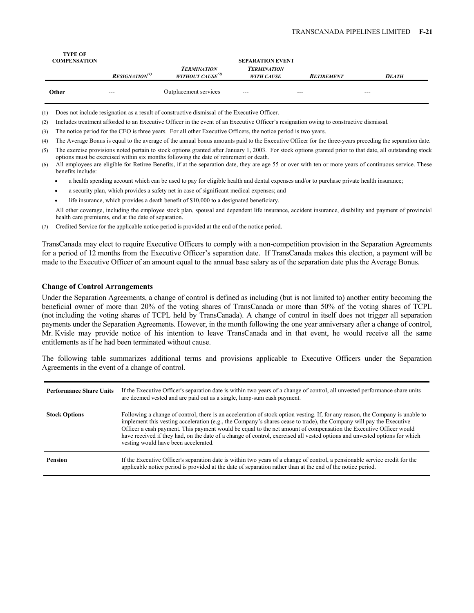| <b>TYPE OF</b><br><b>COMPENSATION</b> |                              | <b>SEPARATION EVENT</b>                            |                                         |                   |              |  |
|---------------------------------------|------------------------------|----------------------------------------------------|-----------------------------------------|-------------------|--------------|--|
|                                       | $\textit{RESIGNATION}^{(1)}$ | <b>TERMINATION</b><br>WITHOUT CAUSE <sup>(2)</sup> | <b>TERMINATION</b><br><b>WITH CAUSE</b> | <b>RETIREMENT</b> | <b>DEATH</b> |  |
| Other                                 | $--$                         | Outplacement services                              | $---$                                   | $---$             | $--$         |  |

(1) Does not include resignation as a result of constructive dismissal of the Executive Officer.

(2) Includes treatment afforded to an Executive Officer in the event of an Executive Officer's resignation owing to constructive dismissal.

(3) The notice period for the CEO is three years. For all other Executive Officers, the notice period is two years.

(4) The Average Bonus is equal to the average of the annual bonus amounts paid to the Executive Officer for the three-years preceding the separation date.

(5) The exercise provisions noted pertain to stock options granted after January 1, 2003. For stock options granted prior to that date, all outstanding stock options must be exercised within six months following the date of retirement or death.

- a health spending account which can be used to pay for eligible health and dental expenses and/or to purchase private health insurance;
- a security plan, which provides a safety net in case of significant medical expenses; and
- life insurance, which provides a death benefit of \$10,000 to a designated beneficiary.

All other coverage, including the employee stock plan, spousal and dependent life insurance, accident insurance, disability and payment of provincial health care premiums, end at the date of separation.

(7) Credited Service for the applicable notice period is provided at the end of the notice period.

TransCanada may elect to require Executive Officers to comply with a non-competition provision in the Separation Agreements for a period of 12 months from the Executive Officer's separation date. If TransCanada makes this election, a payment will be made to the Executive Officer of an amount equal to the annual base salary as of the separation date plus the Average Bonus.

#### **Change of Control Arrangements**

Under the Separation Agreements, a change of control is defined as including (but is not limited to) another entity becoming the beneficial owner of more than 20% of the voting shares of TransCanada or more than 50% of the voting shares of TCPL (not including the voting shares of TCPL held by TransCanada). A change of control in itself does not trigger all separation payments under the Separation Agreements. However, in the month following the one year anniversary after a change of control, Mr. Kvisle may provide notice of his intention to leave TransCanada and in that event, he would receive all the same entitlements as if he had been terminated without cause.

The following table summarizes additional terms and provisions applicable to Executive Officers under the Separation Agreements in the event of a change of control.

| <b>Performance Share Units</b> | If the Executive Officer's separation date is within two years of a change of control, all unvested performance share units<br>are deemed vested and are paid out as a single, lump-sum cash payment.                                                                                                                                                                                                                                                                                                                                           |
|--------------------------------|-------------------------------------------------------------------------------------------------------------------------------------------------------------------------------------------------------------------------------------------------------------------------------------------------------------------------------------------------------------------------------------------------------------------------------------------------------------------------------------------------------------------------------------------------|
| <b>Stock Options</b>           | Following a change of control, there is an acceleration of stock option vesting. If, for any reason, the Company is unable to<br>implement this vesting acceleration (e.g., the Company's shares cease to trade), the Company will pay the Executive<br>Officer a cash payment. This payment would be equal to the net amount of compensation the Executive Officer would<br>have received if they had, on the date of a change of control, exercised all vested options and unvested options for which<br>vesting would have been accelerated. |
| <b>Pension</b>                 | If the Executive Officer's separation date is within two years of a change of control, a pensionable service credit for the<br>applicable notice period is provided at the date of separation rather than at the end of the notice period.                                                                                                                                                                                                                                                                                                      |

<sup>(6)</sup> All employees are eligible for Retiree Benefits, if at the separation date, they are age 55 or over with ten or more years of continuous service. These benefits include: